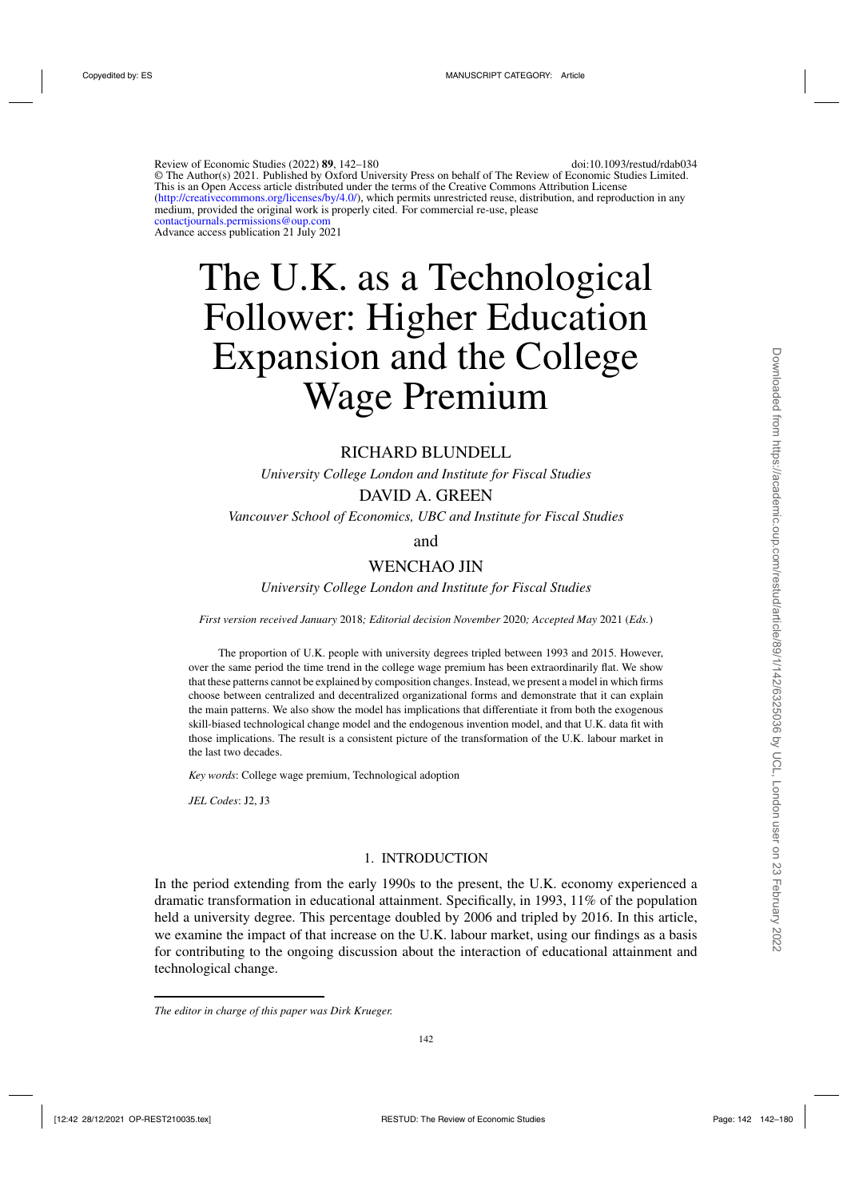Review of Economic Studies (2022) **89**, 142–180 doi:10.1093/restud/rdab034 © The Author(s) 2021. Published by Oxford University Press on behalf of The Review of Economic Studies Limited. This is an Open Access article distributed under the terms of the Creative Commons Attribution License [\(http://creativecommons.org/licenses/by/4.0/\)](http://creativecommons.org/licenses/by/4.0/), which permits unrestricted reuse, distribution, and reproduction in any medium, provided the original work is properly cited. For commercial re-use, please [contactjournals.permissions@oup.com](maito:contactjournals.permissions@oup.com) Advance access publication 21 July 2021

# The U.K. as a Technological Follower: Higher Education Expansion and the College Wage Premium

# RICHARD BLUNDELL

*University College London and Institute for Fiscal Studies*

# DAVID A. GREEN

*Vancouver School of Economics, UBC and Institute for Fiscal Studies*

and

# WENCHAO JIN

*University College London and Institute for Fiscal Studies*

*First version received January* 2018*; Editorial decision November* 2020*; Accepted May* 2021 (*Eds.*)

The proportion of U.K. people with university degrees tripled between 1993 and 2015. However, over the same period the time trend in the college wage premium has been extraordinarily flat. We show that these patterns cannot be explained by composition changes. Instead, we present a model in which firms choose between centralized and decentralized organizational forms and demonstrate that it can explain the main patterns. We also show the model has implications that differentiate it from both the exogenous skill-biased technological change model and the endogenous invention model, and that U.K. data fit with those implications. The result is a consistent picture of the transformation of the U.K. labour market in the last two decades.

*Key words*: College wage premium, Technological adoption

*JEL Codes*: J2, J3

# 1. INTRODUCTION

In the period extending from the early 1990s to the present, the U.K. economy experienced a dramatic transformation in educational attainment. Specifically, in 1993, 11% of the population held a university degree. This percentage doubled by 2006 and tripled by 2016. In this article, we examine the impact of that increase on the U.K. labour market, using our findings as a basis for contributing to the ongoing discussion about the interaction of educational attainment and technological change.

*The editor in charge of this paper was Dirk Krueger.*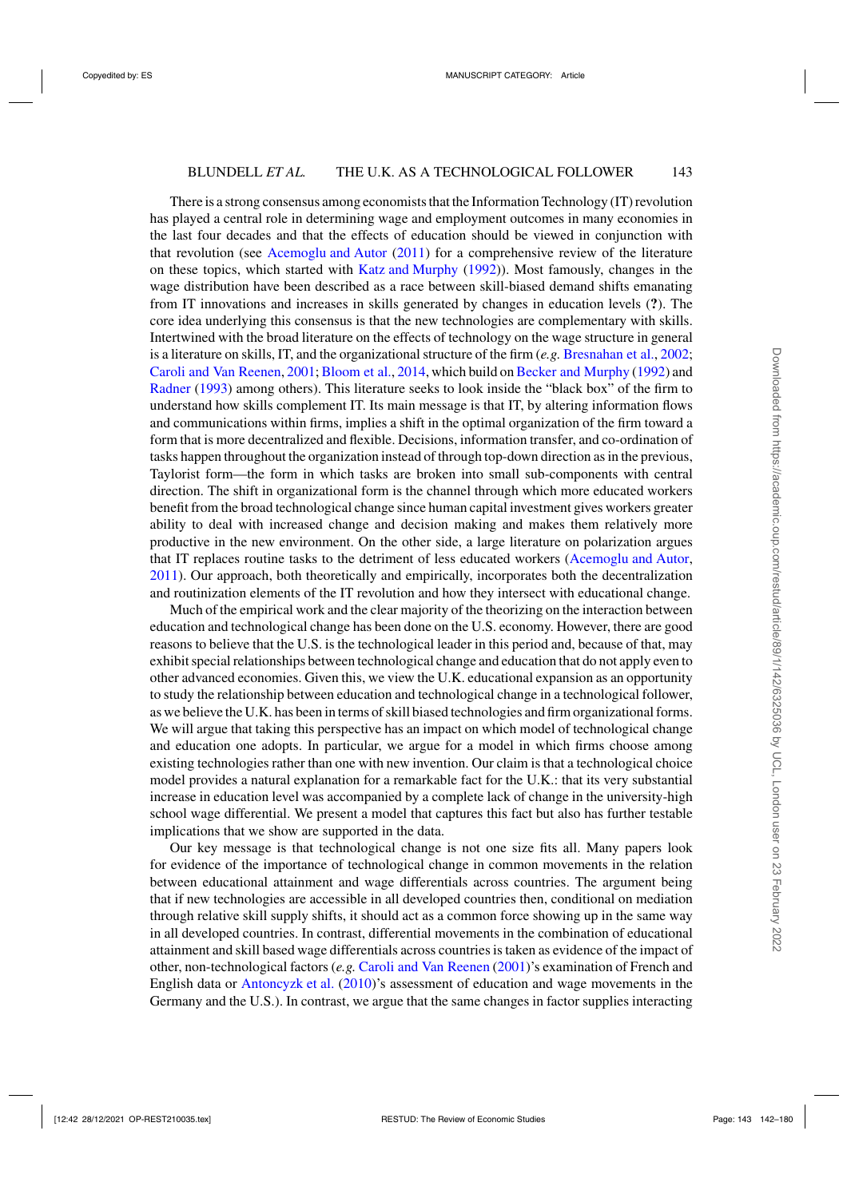There is a strong consensus among economists that the Information Technology (IT) revolution has played a central role in determining wage and employment outcomes in many economies in the last four decades and that the effects of education should be viewed in conjunction with that revolution (see [Acemoglu and Autor](#page-37-0) [\(2011](#page-37-0)) for a comprehensive review of the literature on these topics, which started with [Katz and Murphy](#page-38-0) [\(1992\)](#page-38-0)). Most famously, changes in the wage distribution have been described as a race between skill-biased demand shifts emanating from IT innovations and increases in skills generated by changes in education levels (**?**). The core idea underlying this consensus is that the new technologies are complementary with skills. Intertwined with the broad literature on the effects of technology on the wage structure in general is a literature on skills, IT, and the organizational structure of the firm (*e.g.* [Bresnahan et al.,](#page-37-0) [2002](#page-37-0); [Caroli and Van Reenen,](#page-37-0) [2001;](#page-37-0) [Bloom et al.](#page-37-0), [2014](#page-37-0), which build on [Becker and Murphy](#page-37-0) [\(1992\)](#page-37-0) and [Radner](#page-38-0) [\(1993](#page-38-0)) among others). This literature seeks to look inside the "black box" of the firm to understand how skills complement IT. Its main message is that IT, by altering information flows and communications within firms, implies a shift in the optimal organization of the firm toward a form that is more decentralized and flexible. Decisions, information transfer, and co-ordination of tasks happen throughout the organization instead of through top-down direction as in the previous, Taylorist form—the form in which tasks are broken into small sub-components with central direction. The shift in organizational form is the channel through which more educated workers benefit from the broad technological change since human capital investment gives workers greater ability to deal with increased change and decision making and makes them relatively more productive in the new environment. On the other side, a large literature on polarization argues that IT replaces routine tasks to the detriment of less educated workers [\(Acemoglu and Autor](#page-37-0), [2011](#page-37-0)). Our approach, both theoretically and empirically, incorporates both the decentralization and routinization elements of the IT revolution and how they intersect with educational change.

Much of the empirical work and the clear majority of the theorizing on the interaction between education and technological change has been done on the U.S. economy. However, there are good reasons to believe that the U.S. is the technological leader in this period and, because of that, may exhibit special relationships between technological change and education that do not apply even to other advanced economies. Given this, we view the U.K. educational expansion as an opportunity to study the relationship between education and technological change in a technological follower, as we believe the U.K. has been in terms of skill biased technologies and firm organizational forms. We will argue that taking this perspective has an impact on which model of technological change and education one adopts. In particular, we argue for a model in which firms choose among existing technologies rather than one with new invention. Our claim is that a technological choice model provides a natural explanation for a remarkable fact for the U.K.: that its very substantial increase in education level was accompanied by a complete lack of change in the university-high school wage differential. We present a model that captures this fact but also has further testable implications that we show are supported in the data.

Our key message is that technological change is not one size fits all. Many papers look for evidence of the importance of technological change in common movements in the relation between educational attainment and wage differentials across countries. The argument being that if new technologies are accessible in all developed countries then, conditional on mediation through relative skill supply shifts, it should act as a common force showing up in the same way in all developed countries. In contrast, differential movements in the combination of educational attainment and skill based wage differentials across countries is taken as evidence of the impact of other, non-technological factors (*e.g.* [Caroli and Van Reenen](#page-37-0) [\(2001\)](#page-37-0)'s examination of French and English data or [Antoncyzk et al.](#page-37-0) [\(2010](#page-37-0))'s assessment of education and wage movements in the Germany and the U.S.). In contrast, we argue that the same changes in factor supplies interacting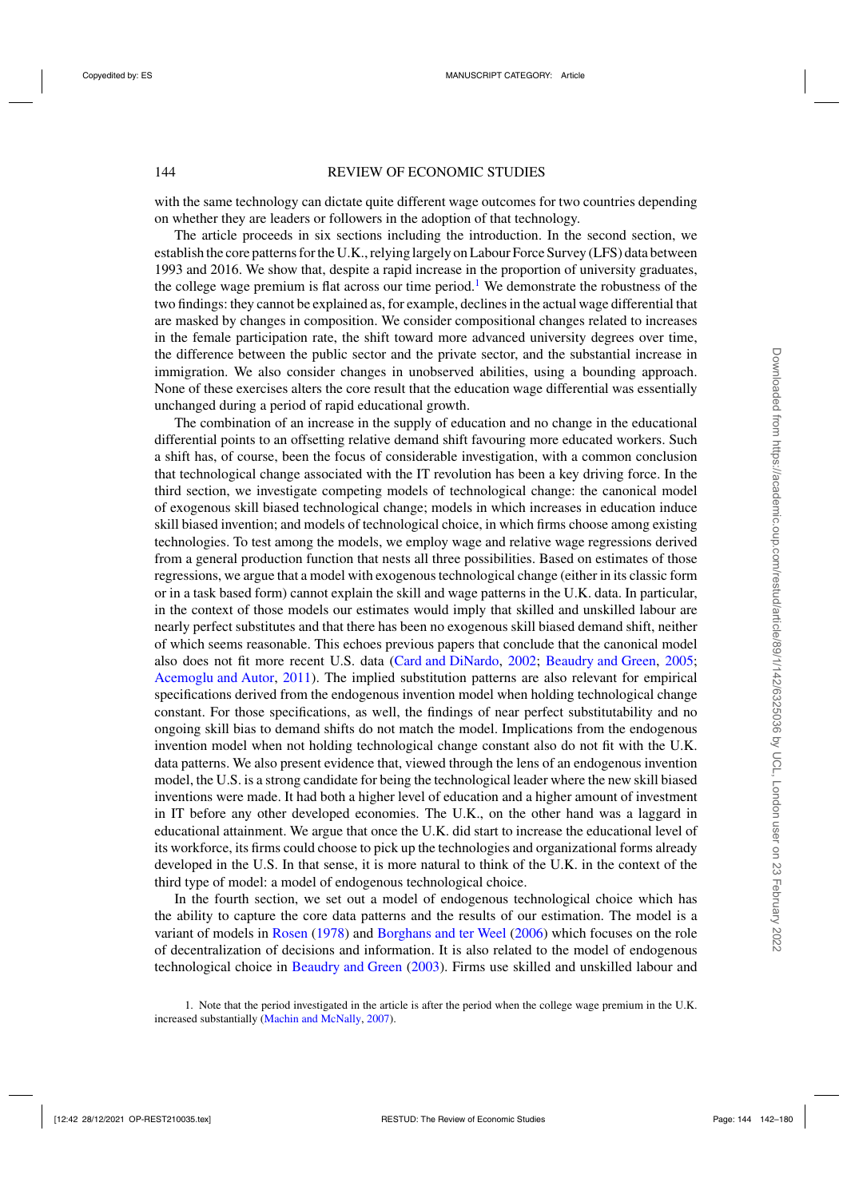with the same technology can dictate quite different wage outcomes for two countries depending on whether they are leaders or followers in the adoption of that technology.

The article proceeds in six sections including the introduction. In the second section, we establish the core patterns for the U.K., relying largely on Labour Force Survey (LFS) data between 1993 and 2016. We show that, despite a rapid increase in the proportion of university graduates, the college wage premium is flat across our time period.<sup>1</sup> We demonstrate the robustness of the two findings: they cannot be explained as, for example, declines in the actual wage differential that are masked by changes in composition. We consider compositional changes related to increases in the female participation rate, the shift toward more advanced university degrees over time, the difference between the public sector and the private sector, and the substantial increase in immigration. We also consider changes in unobserved abilities, using a bounding approach. None of these exercises alters the core result that the education wage differential was essentially unchanged during a period of rapid educational growth.

The combination of an increase in the supply of education and no change in the educational differential points to an offsetting relative demand shift favouring more educated workers. Such a shift has, of course, been the focus of considerable investigation, with a common conclusion that technological change associated with the IT revolution has been a key driving force. In the third section, we investigate competing models of technological change: the canonical model of exogenous skill biased technological change; models in which increases in education induce skill biased invention; and models of technological choice, in which firms choose among existing technologies. To test among the models, we employ wage and relative wage regressions derived from a general production function that nests all three possibilities. Based on estimates of those regressions, we argue that a model with exogenous technological change (either in its classic form or in a task based form) cannot explain the skill and wage patterns in the U.K. data. In particular, in the context of those models our estimates would imply that skilled and unskilled labour are nearly perfect substitutes and that there has been no exogenous skill biased demand shift, neither of which seems reasonable. This echoes previous papers that conclude that the canonical model also does not fit more recent U.S. data [\(Card and DiNardo,](#page-37-0) [2002](#page-37-0); [Beaudry and Green](#page-37-0), [2005](#page-37-0); [Acemoglu and Autor,](#page-37-0) [2011\)](#page-37-0). The implied substitution patterns are also relevant for empirical specifications derived from the endogenous invention model when holding technological change constant. For those specifications, as well, the findings of near perfect substitutability and no ongoing skill bias to demand shifts do not match the model. Implications from the endogenous invention model when not holding technological change constant also do not fit with the U.K. data patterns. We also present evidence that, viewed through the lens of an endogenous invention model, the U.S. is a strong candidate for being the technological leader where the new skill biased inventions were made. It had both a higher level of education and a higher amount of investment in IT before any other developed economies. The U.K., on the other hand was a laggard in educational attainment. We argue that once the U.K. did start to increase the educational level of its workforce, its firms could choose to pick up the technologies and organizational forms already developed in the U.S. In that sense, it is more natural to think of the U.K. in the context of the third type of model: a model of endogenous technological choice.

In the fourth section, we set out a model of endogenous technological choice which has the ability to capture the core data patterns and the results of our estimation. The model is a variant of models in [Rosen](#page-38-0) [\(1978](#page-38-0)) and [Borghans and ter Weel](#page-37-0) [\(2006\)](#page-37-0) which focuses on the role of decentralization of decisions and information. It is also related to the model of endogenous technological choice in [Beaudry and Green](#page-37-0) [\(2003](#page-37-0)). Firms use skilled and unskilled labour and

1. Note that the period investigated in the article is after the period when the college wage premium in the U.K. increased substantially [\(Machin and McNally](#page-38-0), [2007\)](#page-38-0).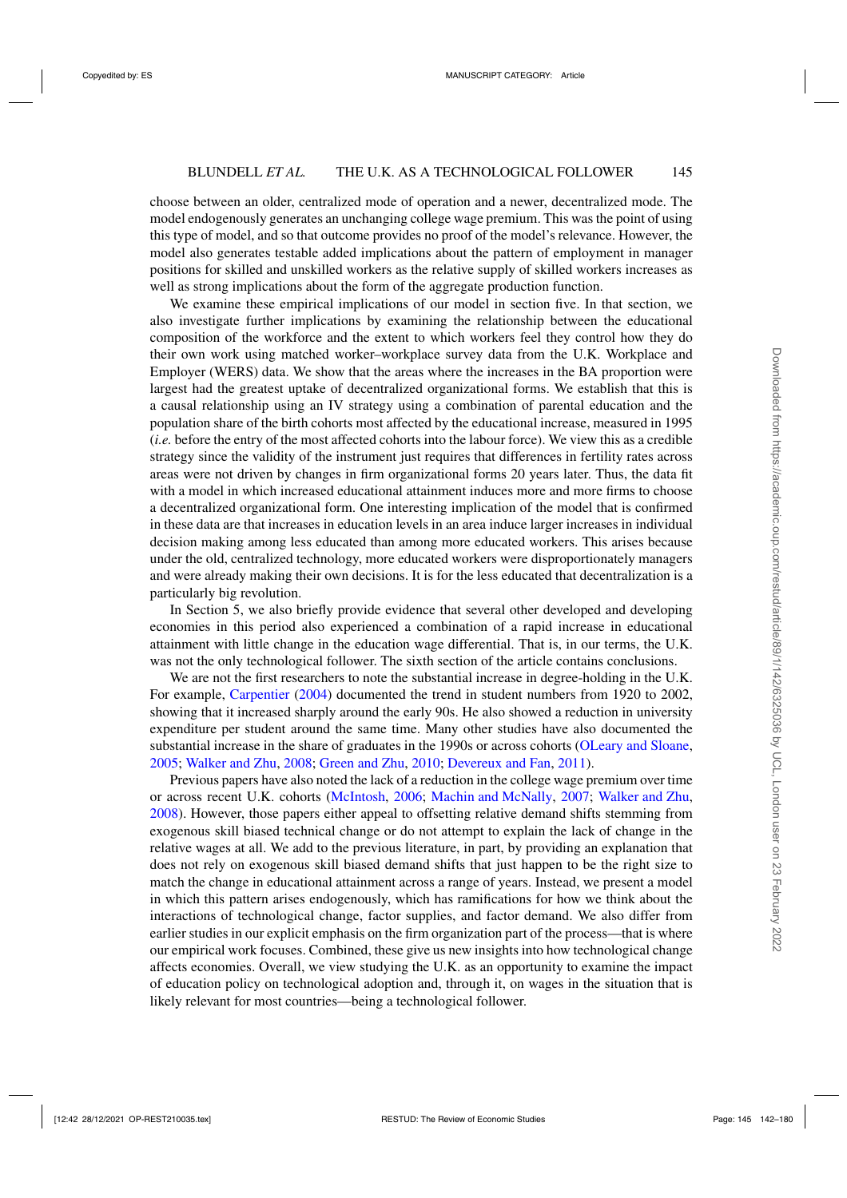choose between an older, centralized mode of operation and a newer, decentralized mode. The model endogenously generates an unchanging college wage premium. This was the point of using this type of model, and so that outcome provides no proof of the model's relevance. However, the model also generates testable added implications about the pattern of employment in manager positions for skilled and unskilled workers as the relative supply of skilled workers increases as well as strong implications about the form of the aggregate production function.

We examine these empirical implications of our model in section five. In that section, we also investigate further implications by examining the relationship between the educational composition of the workforce and the extent to which workers feel they control how they do their own work using matched worker–workplace survey data from the U.K. Workplace and Employer (WERS) data. We show that the areas where the increases in the BA proportion were largest had the greatest uptake of decentralized organizational forms. We establish that this is a causal relationship using an IV strategy using a combination of parental education and the population share of the birth cohorts most affected by the educational increase, measured in 1995 (*i.e.* before the entry of the most affected cohorts into the labour force). We view this as a credible strategy since the validity of the instrument just requires that differences in fertility rates across areas were not driven by changes in firm organizational forms 20 years later. Thus, the data fit with a model in which increased educational attainment induces more and more firms to choose a decentralized organizational form. One interesting implication of the model that is confirmed in these data are that increases in education levels in an area induce larger increases in individual decision making among less educated than among more educated workers. This arises because under the old, centralized technology, more educated workers were disproportionately managers and were already making their own decisions. It is for the less educated that decentralization is a particularly big revolution.

In Section 5, we also briefly provide evidence that several other developed and developing economies in this period also experienced a combination of a rapid increase in educational attainment with little change in the education wage differential. That is, in our terms, the U.K. was not the only technological follower. The sixth section of the article contains conclusions.

We are not the first researchers to note the substantial increase in degree-holding in the U.K. For example, [Carpentier](#page-37-0) [\(2004](#page-37-0)) documented the trend in student numbers from 1920 to 2002, showing that it increased sharply around the early 90s. He also showed a reduction in university expenditure per student around the same time. Many other studies have also documented the substantial increase in the share of graduates in the 1990s or across cohorts [\(OLeary and Sloane](#page-38-0), [2005](#page-38-0); [Walker and Zhu,](#page-38-0) [2008;](#page-38-0) [Green and Zhu,](#page-38-0) [2010](#page-38-0); [Devereux and Fan](#page-38-0), [2011](#page-38-0)).

Previous papers have also noted the lack of a reduction in the college wage premium over time or across recent U.K. cohorts [\(McIntosh,](#page-38-0) [2006;](#page-38-0) [Machin and McNally](#page-38-0), [2007](#page-38-0); [Walker and Zhu](#page-38-0), [2008](#page-38-0)). However, those papers either appeal to offsetting relative demand shifts stemming from exogenous skill biased technical change or do not attempt to explain the lack of change in the relative wages at all. We add to the previous literature, in part, by providing an explanation that does not rely on exogenous skill biased demand shifts that just happen to be the right size to match the change in educational attainment across a range of years. Instead, we present a model in which this pattern arises endogenously, which has ramifications for how we think about the interactions of technological change, factor supplies, and factor demand. We also differ from earlier studies in our explicit emphasis on the firm organization part of the process—that is where our empirical work focuses. Combined, these give us new insights into how technological change affects economies. Overall, we view studying the U.K. as an opportunity to examine the impact of education policy on technological adoption and, through it, on wages in the situation that is likely relevant for most countries—being a technological follower.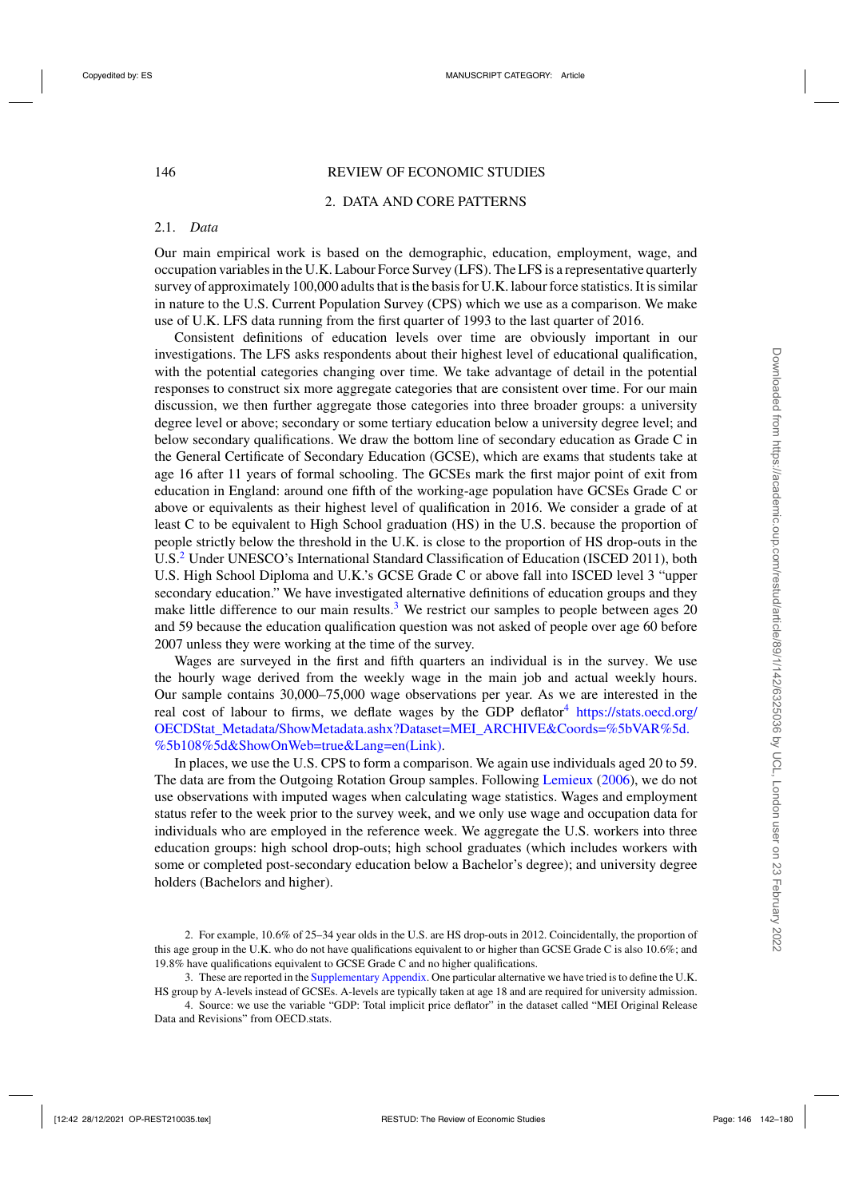# 146 REVIEW OF ECONOMIC STUDIES

# 2. DATA AND CORE PATTERNS

# 2.1. *Data*

Our main empirical work is based on the demographic, education, employment, wage, and occupation variables in the U.K. Labour Force Survey (LFS). The LFS is a representative quarterly survey of approximately 100,000 adults that is the basis for U.K. labour force statistics. It is similar in nature to the U.S. Current Population Survey (CPS) which we use as a comparison. We make use of U.K. LFS data running from the first quarter of 1993 to the last quarter of 2016.

Consistent definitions of education levels over time are obviously important in our investigations. The LFS asks respondents about their highest level of educational qualification, with the potential categories changing over time. We take advantage of detail in the potential responses to construct six more aggregate categories that are consistent over time. For our main discussion, we then further aggregate those categories into three broader groups: a university degree level or above; secondary or some tertiary education below a university degree level; and below secondary qualifications. We draw the bottom line of secondary education as Grade C in the General Certificate of Secondary Education (GCSE), which are exams that students take at age 16 after 11 years of formal schooling. The GCSEs mark the first major point of exit from education in England: around one fifth of the working-age population have GCSEs Grade C or above or equivalents as their highest level of qualification in 2016. We consider a grade of at least C to be equivalent to High School graduation (HS) in the U.S. because the proportion of people strictly below the threshold in the U.K. is close to the proportion of HS drop-outs in the U.S.<sup>2</sup> Under UNESCO's International Standard Classification of Education (ISCED 2011), both U.S. High School Diploma and U.K.'s GCSE Grade C or above fall into ISCED level 3 "upper secondary education." We have investigated alternative definitions of education groups and they make little difference to our main results.<sup>3</sup> We restrict our samples to people between ages 20 and 59 because the education qualification question was not asked of people over age 60 before 2007 unless they were working at the time of the survey.

Wages are surveyed in the first and fifth quarters an individual is in the survey. We use the hourly wage derived from the weekly wage in the main job and actual weekly hours. Our sample contains 30,000–75,000 wage observations per year. As we are interested in the real cost of labour to firms, we deflate wages by the GDP deflator<sup>4</sup> [https://stats.oecd.org/](https://stats.oecd.org/OECDStatprotect LY1	extunderscore Metadata/ShowMetadata.ashx?Dataset=MEI_ARCHIVE&Coords=%5bVAR%5d.%5b108%5d&ShowOnWeb=true&Lang=en(Link)) [OECDStat\\_Metadata/ShowMetadata.ashx?Dataset=MEI\\_ARCHIVE&Coords=%5bVAR%5d.](https://stats.oecd.org/OECDStatprotect LY1	extunderscore Metadata/ShowMetadata.ashx?Dataset=MEI_ARCHIVE&Coords=%5bVAR%5d.%5b108%5d&ShowOnWeb=true&Lang=en(Link)) [%5b108%5d&ShowOnWeb=true&Lang=en\(Link\).](https://stats.oecd.org/OECDStatprotect LY1	extunderscore Metadata/ShowMetadata.ashx?Dataset=MEI_ARCHIVE&Coords=%5bVAR%5d.%5b108%5d&ShowOnWeb=true&Lang=en(Link))

In places, we use the U.S. CPS to form a comparison. We again use individuals aged 20 to 59. The data are from the Outgoing Rotation Group samples. Following [Lemieux](#page-38-0) [\(2006\)](#page-38-0), we do not use observations with imputed wages when calculating wage statistics. Wages and employment status refer to the week prior to the survey week, and we only use wage and occupation data for individuals who are employed in the reference week. We aggregate the U.S. workers into three education groups: high school drop-outs; high school graduates (which includes workers with some or completed post-secondary education below a Bachelor's degree); and university degree holders (Bachelors and higher).

<sup>2.</sup> For example, 10.6% of 25–34 year olds in the U.S. are HS drop-outs in 2012. Coincidentally, the proportion of this age group in the U.K. who do not have qualifications equivalent to or higher than GCSE Grade C is also 10.6%; and 19.8% have qualifications equivalent to GCSE Grade C and no higher qualifications.

<sup>3.</sup> These are reported in the [Supplementary Appendix.](https://academic.oup.com/restud/article-lookup/doi/10.1093/restud/rdab034#supplementary-data) One particular alternative we have tried is to define the U.K. HS group by A-levels instead of GCSEs. A-levels are typically taken at age 18 and are required for university admission.

<sup>4.</sup> Source: we use the variable "GDP: Total implicit price deflator" in the dataset called "MEI Original Release Data and Revisions" from OECD.stats.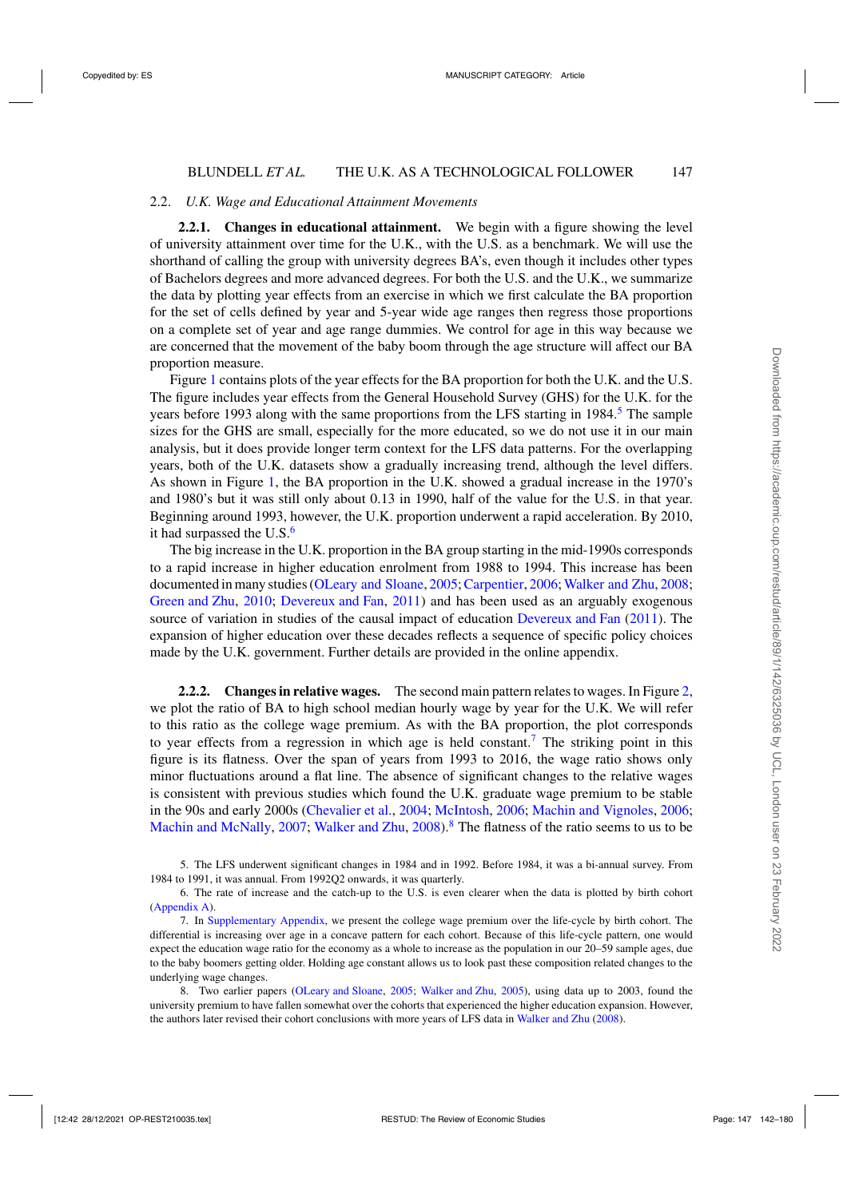#### 2.2. *U.K. Wage and Educational Attainment Movements*

**2.2.1. Changes in educational attainment.** We begin with a figure showing the level of university attainment over time for the U.K., with the U.S. as a benchmark. We will use the shorthand of calling the group with university degrees BA's, even though it includes other types of Bachelors degrees and more advanced degrees. For both the U.S. and the U.K., we summarize the data by plotting year effects from an exercise in which we first calculate the BA proportion for the set of cells defined by year and 5-year wide age ranges then regress those proportions on a complete set of year and age range dummies. We control for age in this way because we are concerned that the movement of the baby boom through the age structure will affect our BA proportion measure.

Figure [1](#page-6-0) contains plots of the year effects for the BA proportion for both the U.K. and the U.S. The figure includes year effects from the General Household Survey (GHS) for the U.K. for the years before 1993 along with the same proportions from the LFS starting in 1984.<sup>5</sup> The sample sizes for the GHS are small, especially for the more educated, so we do not use it in our main analysis, but it does provide longer term context for the LFS data patterns. For the overlapping years, both of the U.K. datasets show a gradually increasing trend, although the level differs. As shown in Figure [1,](#page-6-0) the BA proportion in the U.K. showed a gradual increase in the 1970's and 1980's but it was still only about 0.13 in 1990, half of the value for the U.S. in that year. Beginning around 1993, however, the U.K. proportion underwent a rapid acceleration. By 2010, it had surpassed the  $U.S.<sup>6</sup>$ 

The big increase in the U.K. proportion in the BA group starting in the mid-1990s corresponds to a rapid increase in higher education enrolment from 1988 to 1994. This increase has been documented in many studies [\(OLeary and Sloane,](#page-38-0) [2005;](#page-38-0) [Carpentier](#page-37-0), [2006](#page-37-0); [Walker and Zhu](#page-38-0), [2008](#page-38-0); [Green and Zhu](#page-38-0), [2010](#page-38-0); [Devereux and Fan](#page-38-0), [2011\)](#page-38-0) and has been used as an arguably exogenous source of variation in studies of the causal impact of education [Devereux and Fan](#page-38-0) [\(2011\)](#page-38-0). The expansion of higher education over these decades reflects a sequence of specific policy choices made by the U.K. government. Further details are provided in the online appendix.

**2.2.2. Changes in relative wages.** The second main pattern relates to wages. In Figure [2,](#page-7-0) we plot the ratio of BA to high school median hourly wage by year for the U.K. We will refer to this ratio as the college wage premium. As with the BA proportion, the plot corresponds to year effects from a regression in which age is held constant.<sup>7</sup> The striking point in this figure is its flatness. Over the span of years from 1993 to 2016, the wage ratio shows only minor fluctuations around a flat line. The absence of significant changes to the relative wages is consistent with previous studies which found the U.K. graduate wage premium to be stable in the 90s and early 2000s [\(Chevalier et al.,](#page-38-0) [2004;](#page-38-0) [McIntosh,](#page-38-0) [2006;](#page-38-0) [Machin and Vignoles](#page-38-0), [2006](#page-38-0); [Machin and McNally,](#page-38-0) [2007;](#page-38-0) [Walker and Zhu,](#page-38-0) [2008\)](#page-38-0).<sup>8</sup> The flatness of the ratio seems to us to be

<sup>5.</sup> The LFS underwent significant changes in 1984 and in 1992. Before 1984, it was a bi-annual survey. From 1984 to 1991, it was annual. From 1992Q2 onwards, it was quarterly.

<sup>6.</sup> The rate of increase and the catch-up to the U.S. is even clearer when the data is plotted by birth cohort [\(Appendix A\)](https://academic.oup.com/restud/article-lookup/doi/10.1093/restud/rdab034#supplementary-data).

<sup>7.</sup> In [Supplementary Appendix,](https://academic.oup.com/restud/article-lookup/doi/10.1093/restud/rdab034#supplementary-data) we present the college wage premium over the life-cycle by birth cohort. The differential is increasing over age in a concave pattern for each cohort. Because of this life-cycle pattern, one would expect the education wage ratio for the economy as a whole to increase as the population in our 20–59 sample ages, due to the baby boomers getting older. Holding age constant allows us to look past these composition related changes to the underlying wage changes.

<sup>8.</sup> Two earlier papers [\(OLeary and Sloane](#page-38-0), [2005](#page-38-0); [Walker and Zhu](#page-38-0), [2005](#page-38-0)), using data up to 2003, found the university premium to have fallen somewhat over the cohorts that experienced the higher education expansion. However, the authors later revised their cohort conclusions with more years of LFS data in [Walker and Zhu](#page-38-0) [\(2008](#page-38-0)).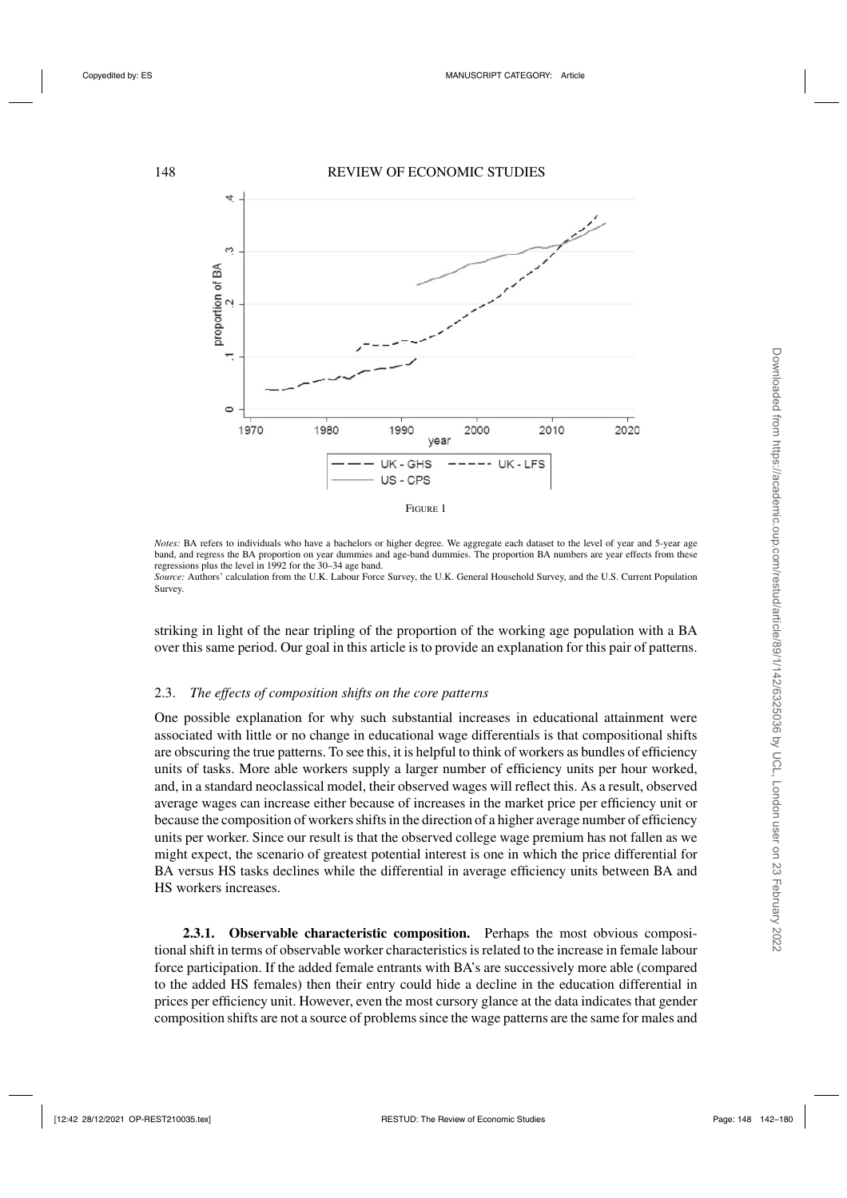<span id="page-6-0"></span>

*Notes*: BA refers to individuals who have a bachelors or higher degree. We aggregate each dataset to the level of year and 5-year age band, and regress the BA proportion on year dummies and age-band dummies. The proportion BA numbers are year effects from these regressions plus the level in 1992 for the 30–34 age band.

*Source:* Authors' calculation from the U.K. Labour Force Survey, the U.K. General Household Survey, and the U.S. Current Population Survey.

striking in light of the near tripling of the proportion of the working age population with a BA over this same period. Our goal in this article is to provide an explanation for this pair of patterns.

# 2.3. *The effects of composition shifts on the core patterns*

One possible explanation for why such substantial increases in educational attainment were associated with little or no change in educational wage differentials is that compositional shifts are obscuring the true patterns. To see this, it is helpful to think of workers as bundles of efficiency units of tasks. More able workers supply a larger number of efficiency units per hour worked, and, in a standard neoclassical model, their observed wages will reflect this. As a result, observed average wages can increase either because of increases in the market price per efficiency unit or because the composition of workers shifts in the direction of a higher average number of efficiency units per worker. Since our result is that the observed college wage premium has not fallen as we might expect, the scenario of greatest potential interest is one in which the price differential for BA versus HS tasks declines while the differential in average efficiency units between BA and HS workers increases.

**2.3.1. Observable characteristic composition.** Perhaps the most obvious compositional shift in terms of observable worker characteristics is related to the increase in female labour force participation. If the added female entrants with BA's are successively more able (compared to the added HS females) then their entry could hide a decline in the education differential in prices per efficiency unit. However, even the most cursory glance at the data indicates that gender composition shifts are not a source of problems since the wage patterns are the same for males and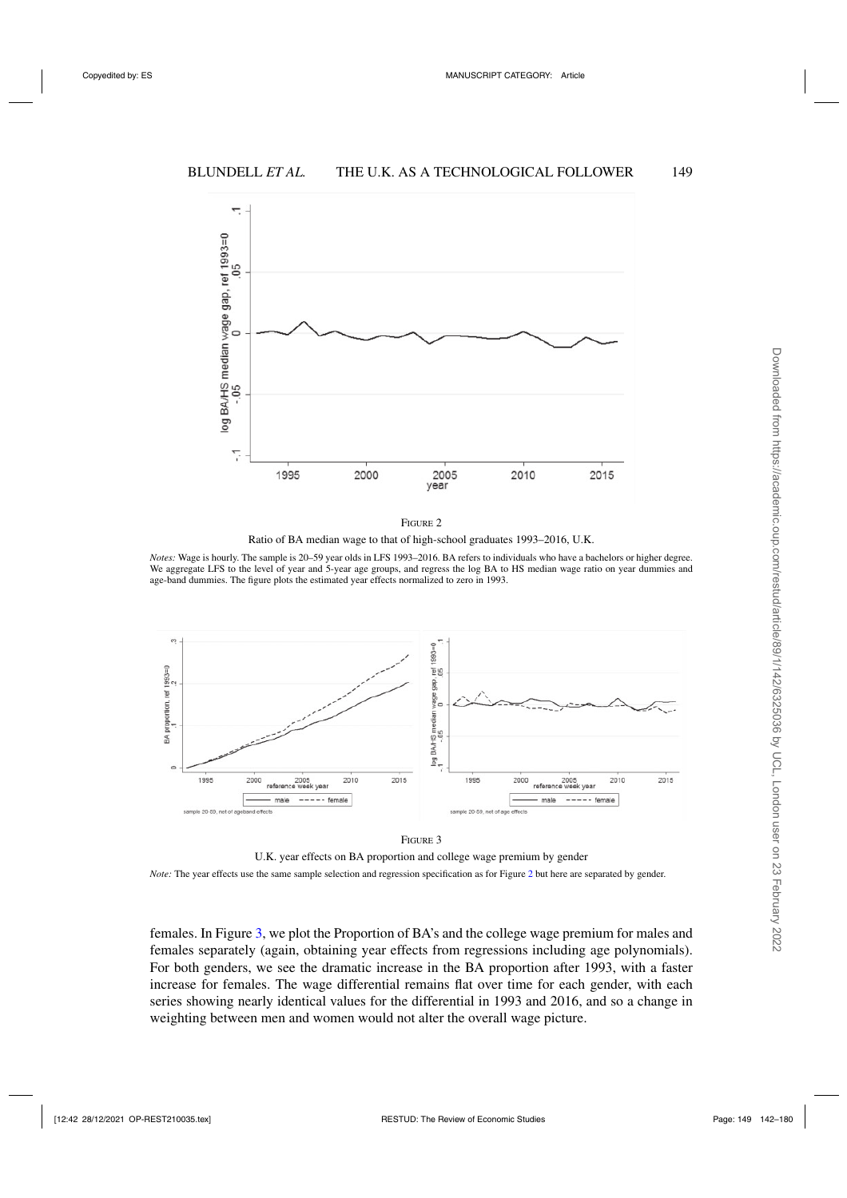<span id="page-7-0"></span>

Ratio of BA median wage to that of high-school graduates 1993–2016, U.K.

*Notes:* Wage is hourly. The sample is 20–59 year olds in LFS 1993–2016. BA refers to individuals who have a bachelors or higher degree. We aggregate LFS to the level of year and 5-year age groups, and regress the log BA to HS median wage ratio on year dummies and age-band dummies. The figure plots the estimated year effects normalized to zero in 1993.





U.K. year effects on BA proportion and college wage premium by gender *Note:* The year effects use the same sample selection and regression specification as for Figure 2 but here are separated by gender.

females. In Figure 3, we plot the Proportion of BA's and the college wage premium for males and females separately (again, obtaining year effects from regressions including age polynomials). For both genders, we see the dramatic increase in the BA proportion after 1993, with a faster increase for females. The wage differential remains flat over time for each gender, with each series showing nearly identical values for the differential in 1993 and 2016, and so a change in weighting between men and women would not alter the overall wage picture.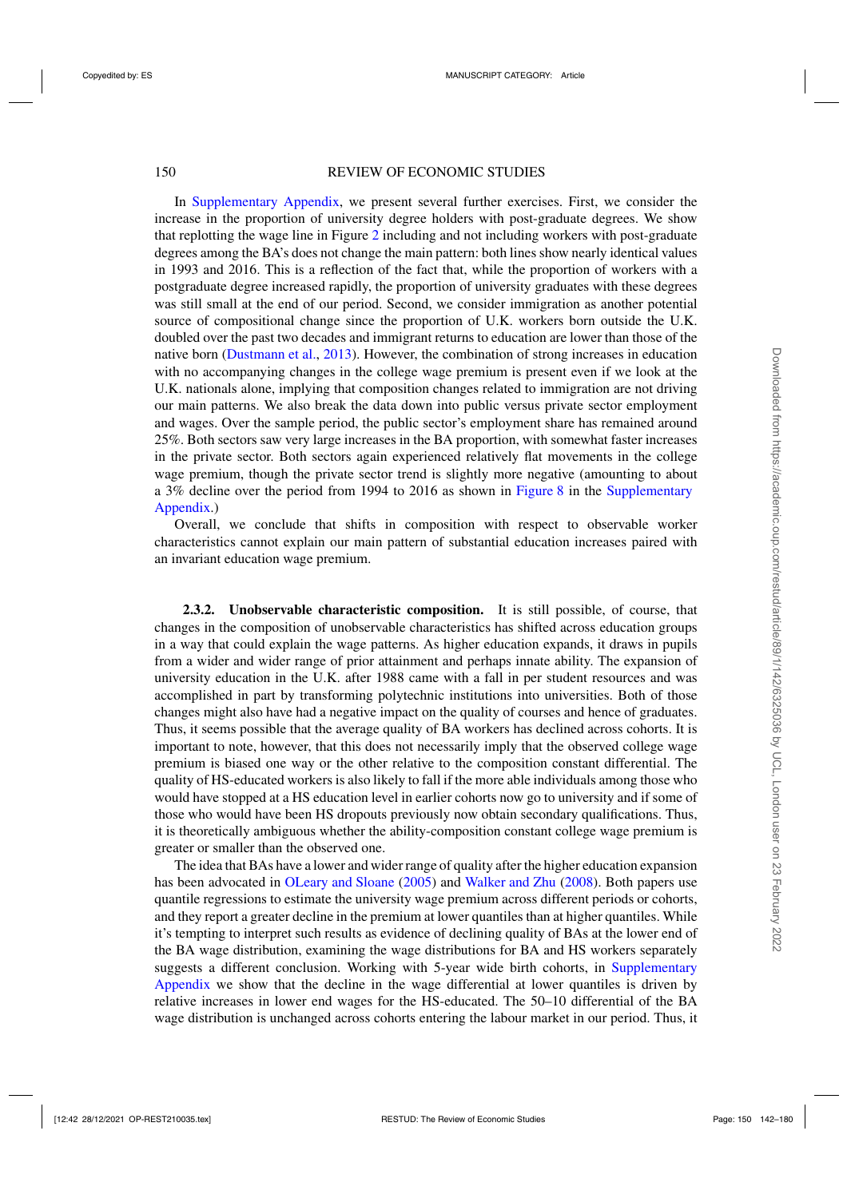# 150 REVIEW OF ECONOMIC STUDIES

In [Supplementary Appendix,](https://academic.oup.com/restud/article-lookup/doi/10.1093/restud/rdab034#supplementary-data) we present several further exercises. First, we consider the increase in the proportion of university degree holders with post-graduate degrees. We show that replotting the wage line in Figure [2](#page-7-0) including and not including workers with post-graduate degrees among the BA's does not change the main pattern: both lines show nearly identical values in 1993 and 2016. This is a reflection of the fact that, while the proportion of workers with a postgraduate degree increased rapidly, the proportion of university graduates with these degrees was still small at the end of our period. Second, we consider immigration as another potential source of compositional change since the proportion of U.K. workers born outside the U.K. doubled over the past two decades and immigrant returns to education are lower than those of the native born [\(Dustmann et al.](#page-38-0), [2013](#page-38-0)). However, the combination of strong increases in education with no accompanying changes in the college wage premium is present even if we look at the U.K. nationals alone, implying that composition changes related to immigration are not driving our main patterns. We also break the data down into public versus private sector employment and wages. Over the sample period, the public sector's employment share has remained around 25%. Both sectors saw very large increases in the BA proportion, with somewhat faster increases in the private sector. Both sectors again experienced relatively flat movements in the college wage premium, though the private sector trend is slightly more negative (amounting to about a 3% decline over the period from 1994 to 2016 as shown in [Figure 8](https://academic.oup.com/restud/article-lookup/doi/10.1093/restud/rdab034#supplementary-data) in the [Supplementary](https://academic.oup.com/restud/article-lookup/doi/10.1093/restud/rdab034#supplementary-data) [Appendix.](https://academic.oup.com/restud/article-lookup/doi/10.1093/restud/rdab034#supplementary-data))

Overall, we conclude that shifts in composition with respect to observable worker characteristics cannot explain our main pattern of substantial education increases paired with an invariant education wage premium.

**2.3.2. Unobservable characteristic composition.** It is still possible, of course, that changes in the composition of unobservable characteristics has shifted across education groups in a way that could explain the wage patterns. As higher education expands, it draws in pupils from a wider and wider range of prior attainment and perhaps innate ability. The expansion of university education in the U.K. after 1988 came with a fall in per student resources and was accomplished in part by transforming polytechnic institutions into universities. Both of those changes might also have had a negative impact on the quality of courses and hence of graduates. Thus, it seems possible that the average quality of BA workers has declined across cohorts. It is important to note, however, that this does not necessarily imply that the observed college wage premium is biased one way or the other relative to the composition constant differential. The quality of HS-educated workers is also likely to fall if the more able individuals among those who would have stopped at a HS education level in earlier cohorts now go to university and if some of those who would have been HS dropouts previously now obtain secondary qualifications. Thus, it is theoretically ambiguous whether the ability-composition constant college wage premium is greater or smaller than the observed one.

The idea that BAs have a lower and wider range of quality after the higher education expansion has been advocated in [OLeary and Sloane](#page-38-0) [\(2005\)](#page-38-0) and [Walker and Zhu](#page-38-0) [\(2008\)](#page-38-0). Both papers use quantile regressions to estimate the university wage premium across different periods or cohorts, and they report a greater decline in the premium at lower quantiles than at higher quantiles. While it's tempting to interpret such results as evidence of declining quality of BAs at the lower end of the BA wage distribution, examining the wage distributions for BA and HS workers separately suggests a different conclusion. Working with 5-year wide birth cohorts, in [Supplementary](https://academic.oup.com/restud/article-lookup/doi/10.1093/restud/rdab034#supplementary-data) [Appendix](https://academic.oup.com/restud/article-lookup/doi/10.1093/restud/rdab034#supplementary-data) we show that the decline in the wage differential at lower quantiles is driven by relative increases in lower end wages for the HS-educated. The 50–10 differential of the BA wage distribution is unchanged across cohorts entering the labour market in our period. Thus, it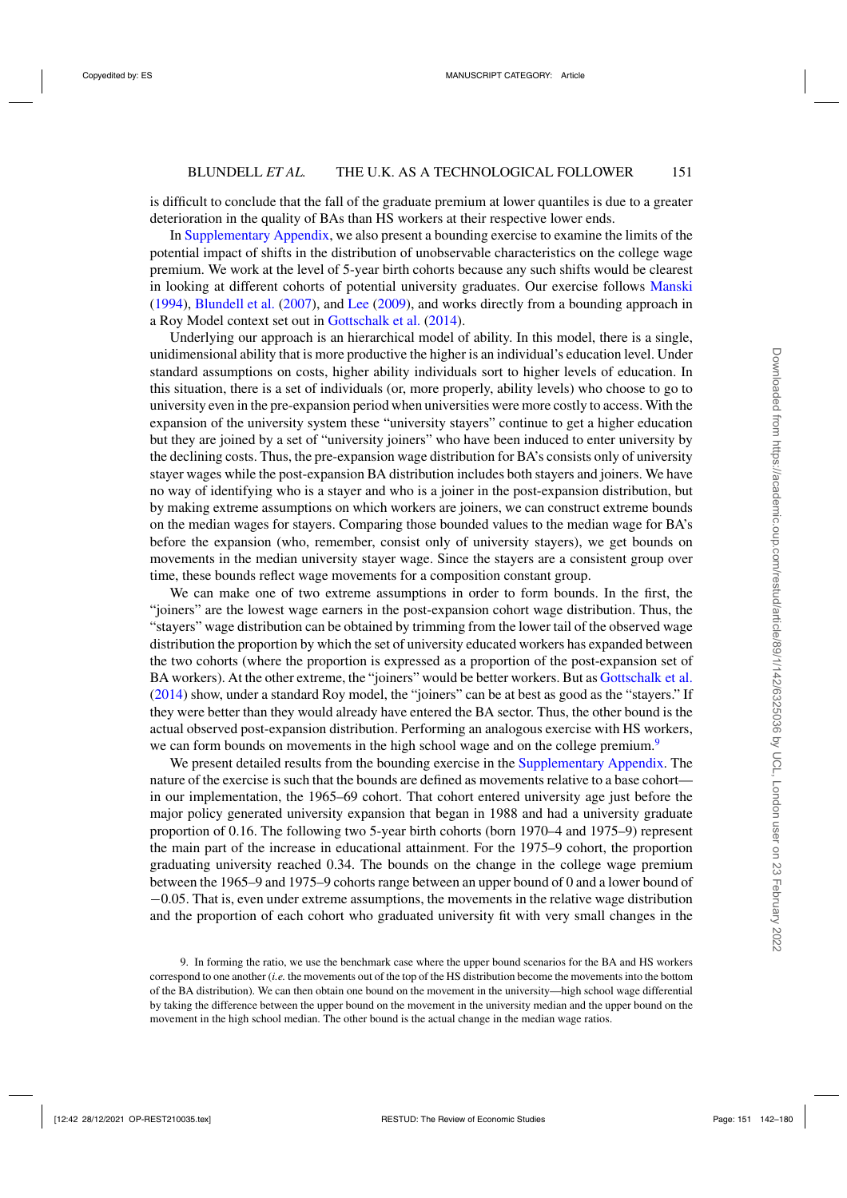is difficult to conclude that the fall of the graduate premium at lower quantiles is due to a greater deterioration in the quality of BAs than HS workers at their respective lower ends.

In [Supplementary Appendix,](https://academic.oup.com/restud/article-lookup/doi/10.1093/restud/rdab034#supplementary-data) we also present a bounding exercise to examine the limits of the potential impact of shifts in the distribution of unobservable characteristics on the college wage premium. We work at the level of 5-year birth cohorts because any such shifts would be clearest in looking at different cohorts of potential university graduates. Our exercise follows [Manski](#page-38-0) [\(1994\)](#page-38-0), [Blundell et al.](#page-37-0) [\(2007](#page-37-0)), and [Lee](#page-38-0) [\(2009](#page-38-0)), and works directly from a bounding approach in a Roy Model context set out in [Gottschalk et al.](#page-38-0) [\(2014](#page-38-0)).

Underlying our approach is an hierarchical model of ability. In this model, there is a single, unidimensional ability that is more productive the higher is an individual's education level. Under standard assumptions on costs, higher ability individuals sort to higher levels of education. In this situation, there is a set of individuals (or, more properly, ability levels) who choose to go to university even in the pre-expansion period when universities were more costly to access. With the expansion of the university system these "university stayers" continue to get a higher education but they are joined by a set of "university joiners" who have been induced to enter university by the declining costs. Thus, the pre-expansion wage distribution for BA's consists only of university stayer wages while the post-expansion BA distribution includes both stayers and joiners. We have no way of identifying who is a stayer and who is a joiner in the post-expansion distribution, but by making extreme assumptions on which workers are joiners, we can construct extreme bounds on the median wages for stayers. Comparing those bounded values to the median wage for BA's before the expansion (who, remember, consist only of university stayers), we get bounds on movements in the median university stayer wage. Since the stayers are a consistent group over time, these bounds reflect wage movements for a composition constant group.

We can make one of two extreme assumptions in order to form bounds. In the first, the "joiners" are the lowest wage earners in the post-expansion cohort wage distribution. Thus, the "stayers" wage distribution can be obtained by trimming from the lower tail of the observed wage distribution the proportion by which the set of university educated workers has expanded between the two cohorts (where the proportion is expressed as a proportion of the post-expansion set of BA workers). At the other extreme, the "joiners" would be better workers. But as [Gottschalk et al.](#page-38-0) [\(2014\)](#page-38-0) show, under a standard Roy model, the "joiners" can be at best as good as the "stayers." If they were better than they would already have entered the BA sector. Thus, the other bound is the actual observed post-expansion distribution. Performing an analogous exercise with HS workers, we can form bounds on movements in the high school wage and on the college premium.<sup>9</sup>

We present detailed results from the bounding exercise in the [Supplementary Appendix.](https://academic.oup.com/restud/article-lookup/doi/10.1093/restud/rdab034#supplementary-data) The nature of the exercise is such that the bounds are defined as movements relative to a base cohort in our implementation, the 1965–69 cohort. That cohort entered university age just before the major policy generated university expansion that began in 1988 and had a university graduate proportion of 0.16. The following two 5-year birth cohorts (born 1970–4 and 1975–9) represent the main part of the increase in educational attainment. For the 1975–9 cohort, the proportion graduating university reached 0.34. The bounds on the change in the college wage premium between the 1965–9 and 1975–9 cohorts range between an upper bound of 0 and a lower bound of −0.05. That is, even under extreme assumptions, the movements in the relative wage distribution and the proportion of each cohort who graduated university fit with very small changes in the

<sup>9.</sup> In forming the ratio, we use the benchmark case where the upper bound scenarios for the BA and HS workers correspond to one another (*i.e.* the movements out of the top of the HS distribution become the movements into the bottom of the BA distribution). We can then obtain one bound on the movement in the university—high school wage differential by taking the difference between the upper bound on the movement in the university median and the upper bound on the movement in the high school median. The other bound is the actual change in the median wage ratios.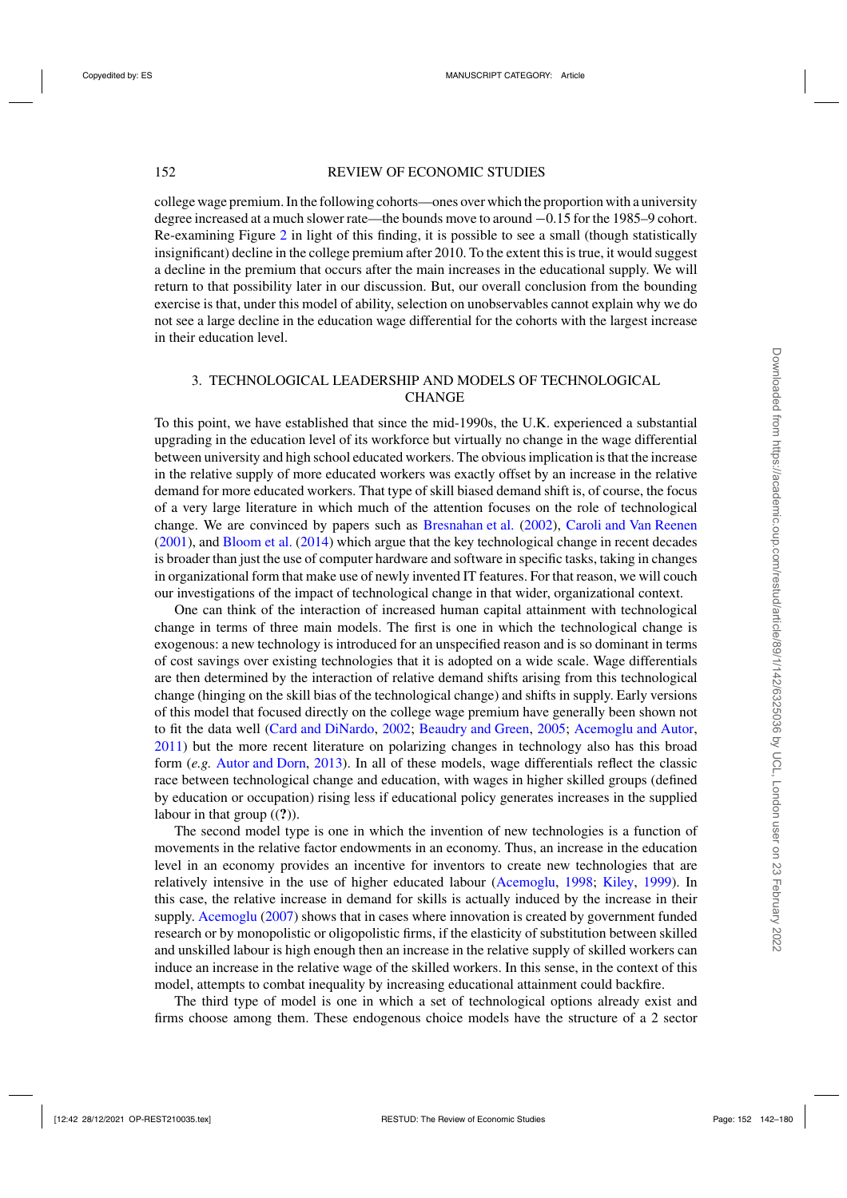# 152 REVIEW OF ECONOMIC STUDIES

college wage premium. In the following cohorts—ones over which the proportion with a university degree increased at a much slower rate—the bounds move to around −0.15 for the 1985–9 cohort. Re-examining Figure [2](#page-7-0) in light of this finding, it is possible to see a small (though statistically insignificant) decline in the college premium after 2010. To the extent this is true, it would suggest a decline in the premium that occurs after the main increases in the educational supply. We will return to that possibility later in our discussion. But, our overall conclusion from the bounding exercise is that, under this model of ability, selection on unobservables cannot explain why we do not see a large decline in the education wage differential for the cohorts with the largest increase in their education level.

# 3. TECHNOLOGICAL LEADERSHIP AND MODELS OF TECHNOLOGICAL **CHANGE**

To this point, we have established that since the mid-1990s, the U.K. experienced a substantial upgrading in the education level of its workforce but virtually no change in the wage differential between university and high school educated workers. The obvious implication is that the increase in the relative supply of more educated workers was exactly offset by an increase in the relative demand for more educated workers. That type of skill biased demand shift is, of course, the focus of a very large literature in which much of the attention focuses on the role of technological change. We are convinced by papers such as [Bresnahan et al.](#page-37-0) [\(2002\)](#page-37-0), [Caroli and Van Reenen](#page-37-0) [\(2001](#page-37-0)), and [Bloom et al.](#page-37-0) [\(2014](#page-37-0)) which argue that the key technological change in recent decades is broader than just the use of computer hardware and software in specific tasks, taking in changes in organizational form that make use of newly invented IT features. For that reason, we will couch our investigations of the impact of technological change in that wider, organizational context.

One can think of the interaction of increased human capital attainment with technological change in terms of three main models. The first is one in which the technological change is exogenous: a new technology is introduced for an unspecified reason and is so dominant in terms of cost savings over existing technologies that it is adopted on a wide scale. Wage differentials are then determined by the interaction of relative demand shifts arising from this technological change (hinging on the skill bias of the technological change) and shifts in supply. Early versions of this model that focused directly on the college wage premium have generally been shown not to fit the data well [\(Card and DiNardo](#page-37-0), [2002;](#page-37-0) [Beaudry and Green](#page-37-0), [2005;](#page-37-0) [Acemoglu and Autor,](#page-37-0) [2011\)](#page-37-0) but the more recent literature on polarizing changes in technology also has this broad form (*e.g.* [Autor and Dorn](#page-37-0), [2013\)](#page-37-0). In all of these models, wage differentials reflect the classic race between technological change and education, with wages in higher skilled groups (defined by education or occupation) rising less if educational policy generates increases in the supplied labour in that group ((**?**)).

The second model type is one in which the invention of new technologies is a function of movements in the relative factor endowments in an economy. Thus, an increase in the education level in an economy provides an incentive for inventors to create new technologies that are relatively intensive in the use of higher educated labour [\(Acemoglu](#page-37-0), [1998;](#page-37-0) [Kiley,](#page-38-0) [1999](#page-38-0)). In this case, the relative increase in demand for skills is actually induced by the increase in their supply. [Acemoglu](#page-37-0) [\(2007\)](#page-37-0) shows that in cases where innovation is created by government funded research or by monopolistic or oligopolistic firms, if the elasticity of substitution between skilled and unskilled labour is high enough then an increase in the relative supply of skilled workers can induce an increase in the relative wage of the skilled workers. In this sense, in the context of this model, attempts to combat inequality by increasing educational attainment could backfire.

The third type of model is one in which a set of technological options already exist and firms choose among them. These endogenous choice models have the structure of a 2 sector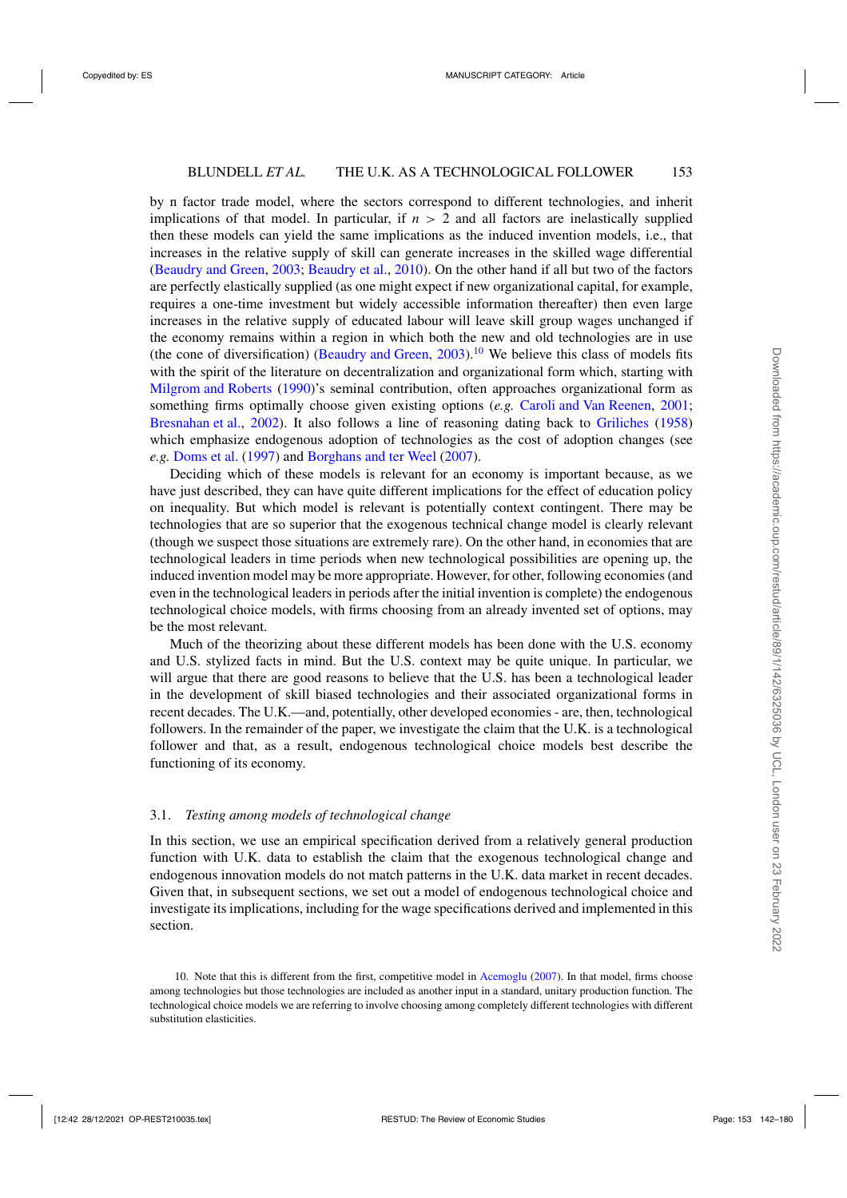by n factor trade model, where the sectors correspond to different technologies, and inherit implications of that model. In particular, if  $n > 2$  and all factors are inelastically supplied then these models can yield the same implications as the induced invention models, i.e., that increases in the relative supply of skill can generate increases in the skilled wage differential [\(Beaudry and Green](#page-37-0), [2003](#page-37-0); [Beaudry et al.](#page-37-0), [2010](#page-37-0)). On the other hand if all but two of the factors are perfectly elastically supplied (as one might expect if new organizational capital, for example, requires a one-time investment but widely accessible information thereafter) then even large increases in the relative supply of educated labour will leave skill group wages unchanged if the economy remains within a region in which both the new and old technologies are in use (the cone of diversification) [\(Beaudry and Green,](#page-37-0) [2003](#page-37-0)).<sup>10</sup> We believe this class of models fits with the spirit of the literature on decentralization and organizational form which, starting with [Milgrom and Roberts](#page-38-0) [\(1990](#page-38-0))'s seminal contribution, often approaches organizational form as something firms optimally choose given existing options (*e.g.* [Caroli and Van Reenen,](#page-37-0) [2001](#page-37-0); [Bresnahan et al.](#page-37-0), [2002](#page-37-0)). It also follows a line of reasoning dating back to [Griliches](#page-38-0) [\(1958\)](#page-38-0) which emphasize endogenous adoption of technologies as the cost of adoption changes (see *e.g.* [Doms et al.](#page-38-0) [\(1997\)](#page-38-0) and [Borghans and ter Weel](#page-37-0) [\(2007\)](#page-37-0).

Deciding which of these models is relevant for an economy is important because, as we have just described, they can have quite different implications for the effect of education policy on inequality. But which model is relevant is potentially context contingent. There may be technologies that are so superior that the exogenous technical change model is clearly relevant (though we suspect those situations are extremely rare). On the other hand, in economies that are technological leaders in time periods when new technological possibilities are opening up, the induced invention model may be more appropriate. However, for other, following economies (and even in the technological leaders in periods after the initial invention is complete) the endogenous technological choice models, with firms choosing from an already invented set of options, may be the most relevant.

Much of the theorizing about these different models has been done with the U.S. economy and U.S. stylized facts in mind. But the U.S. context may be quite unique. In particular, we will argue that there are good reasons to believe that the U.S. has been a technological leader in the development of skill biased technologies and their associated organizational forms in recent decades. The U.K.—and, potentially, other developed economies - are, then, technological followers. In the remainder of the paper, we investigate the claim that the U.K. is a technological follower and that, as a result, endogenous technological choice models best describe the functioning of its economy.

# 3.1. *Testing among models of technological change*

In this section, we use an empirical specification derived from a relatively general production function with U.K. data to establish the claim that the exogenous technological change and endogenous innovation models do not match patterns in the U.K. data market in recent decades. Given that, in subsequent sections, we set out a model of endogenous technological choice and investigate its implications, including for the wage specifications derived and implemented in this section.

<sup>10.</sup> Note that this is different from the first, competitive model in [Acemoglu](#page-37-0) [\(2007\)](#page-37-0). In that model, firms choose among technologies but those technologies are included as another input in a standard, unitary production function. The technological choice models we are referring to involve choosing among completely different technologies with different substitution elasticities.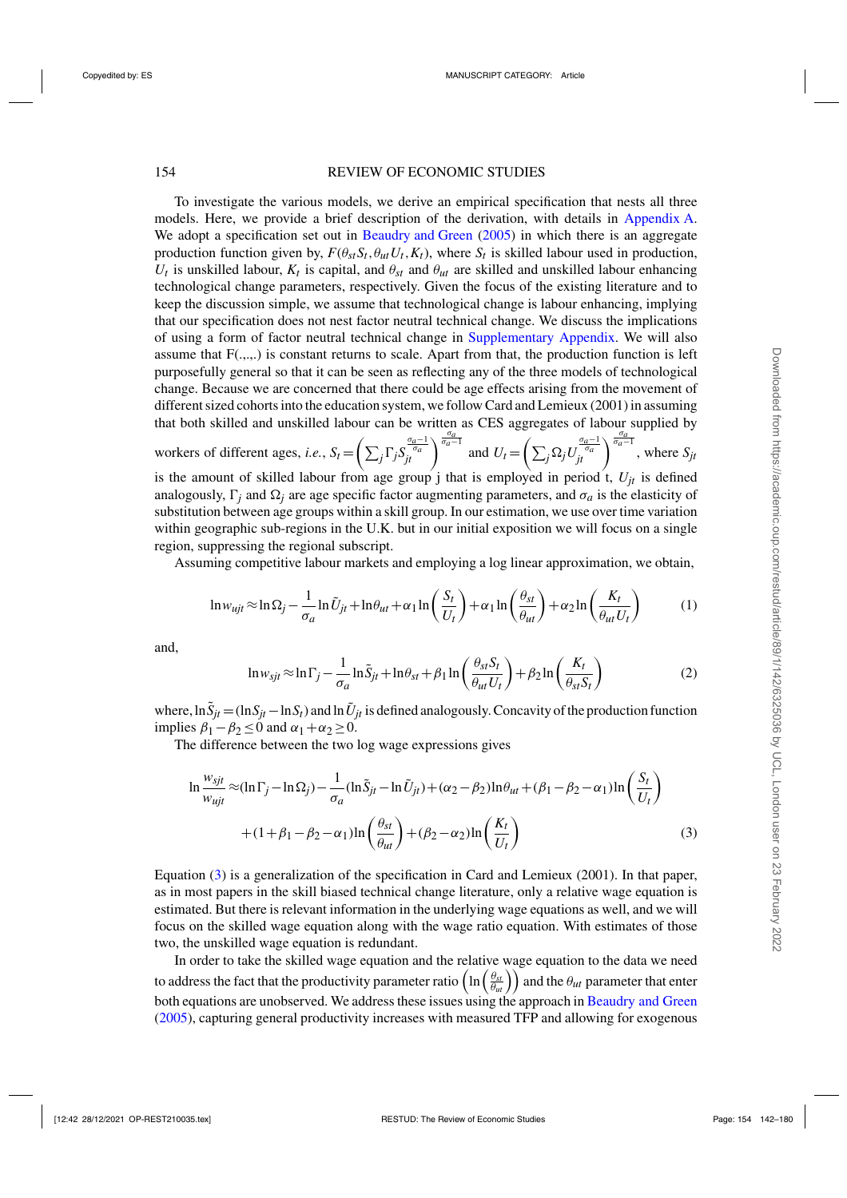<span id="page-12-0"></span>To investigate the various models, we derive an empirical specification that nests all three models. Here, we provide a brief description of the derivation, with details in Appendix [A.](#page-35-0) We adopt a specification set out in [Beaudry and Green](#page-37-0) [\(2005](#page-37-0)) in which there is an aggregate production function given by,  $F(\theta_{st}S_t, \theta_{ut}U_t, K_t)$ , where  $S_t$  is skilled labour used in production,  $U_t$  is unskilled labour,  $K_t$  is capital, and  $\theta_{st}$  and  $\theta_{ut}$  are skilled and unskilled labour enhancing technological change parameters, respectively. Given the focus of the existing literature and to keep the discussion simple, we assume that technological change is labour enhancing, implying that our specification does not nest factor neutral technical change. We discuss the implications of using a form of factor neutral technical change in [Supplementary Appendix.](https://academic.oup.com/restud/article-lookup/doi/10.1093/restud/rdab034#supplementary-data) We will also assume that  $F(.,.,.)$  is constant returns to scale. Apart from that, the production function is left purposefully general so that it can be seen as reflecting any of the three models of technological change. Because we are concerned that there could be age effects arising from the movement of different sized cohorts into the education system, we follow Card and Lemieux (2001) in assuming that both skilled and unskilled labour can be written as CES aggregates of labour supplied by

workers of different ages, *i.e.*,  $S_t = \left(\sum_j \Gamma_j S_{jt}^{\frac{\sigma_a-1}{\sigma_a}}\right)^{\frac{\sigma_a}{\sigma_a-1}}$  and  $U_t = \left(\sum_j \Omega_j U_{jt}^{\frac{\sigma_a-1}{\sigma_a}}\right)^{\frac{\sigma_a}{\sigma_a-1}}$ , where  $S_{jt}$ is the amount of skilled labour from age group j that is employed in period t,  $U_{it}$  is defined analogously,  $\Gamma$ <sub>*j*</sub> and  $\Omega$ *<sub>j</sub>* are age specific factor augmenting parameters, and  $\sigma$ <sup>*a*</sup> is the elasticity of substitution between age groups within a skill group. In our estimation, we use over time variation within geographic sub-regions in the U.K. but in our initial exposition we will focus on a single region, suppressing the regional subscript.

Assuming competitive labour markets and employing a log linear approximation, we obtain,

$$
\ln w_{ujt} \approx \ln \Omega_j - \frac{1}{\sigma_a} \ln \tilde{U}_{jt} + \ln \theta_{ut} + \alpha_1 \ln \left( \frac{S_t}{U_t} \right) + \alpha_1 \ln \left( \frac{\theta_{st}}{\theta_{ut}} \right) + \alpha_2 \ln \left( \frac{K_t}{\theta_{ut} U_t} \right) \tag{1}
$$

and,

$$
\ln w_{sjt} \approx \ln \Gamma_j - \frac{1}{\sigma_a} \ln \tilde{S}_{jt} + \ln \theta_{st} + \beta_1 \ln \left( \frac{\theta_{st} S_t}{\theta_{ut} U_t} \right) + \beta_2 \ln \left( \frac{K_t}{\theta_{st} S_t} \right)
$$
(2)

where,  $\ln \tilde{S}_{jt} = (\ln S_{jt} - \ln S_t)$  and  $\ln \tilde{U}_{jt}$  is defined analogously. Concavity of the production function implies  $\beta_1 - \beta_2 \leq 0$  and  $\alpha_1 + \alpha_2 \geq 0$ .

The difference between the two log wage expressions gives

$$
\ln \frac{w_{sjt}}{w_{ujt}} \approx (\ln \Gamma_j - \ln \Omega_j) - \frac{1}{\sigma_a} (\ln \tilde{S}_{jt} - \ln \tilde{U}_{jt}) + (\alpha_2 - \beta_2) \ln \theta_{ut} + (\beta_1 - \beta_2 - \alpha_1) \ln \left( \frac{S_t}{U_t} \right)
$$

$$
+ (1 + \beta_1 - \beta_2 - \alpha_1) \ln \left( \frac{\theta_{st}}{\theta_{ut}} \right) + (\beta_2 - \alpha_2) \ln \left( \frac{K_t}{U_t} \right) \tag{3}
$$

Equation (3) is a generalization of the specification in Card and Lemieux (2001). In that paper, as in most papers in the skill biased technical change literature, only a relative wage equation is estimated. But there is relevant information in the underlying wage equations as well, and we will focus on the skilled wage equation along with the wage ratio equation. With estimates of those two, the unskilled wage equation is redundant.

In order to take the skilled wage equation and the relative wage equation to the data we need to address the fact that the productivity parameter ratio  $\left(\ln\left(\frac{\theta_{st}}{\theta_{ut}}\right)\right)$  and the  $\theta_{ut}$  parameter that enter both equations are unobserved. We address these issues using the approach in [Beaudry and Green](#page-37-0) [\(2005](#page-37-0)), capturing general productivity increases with measured TFP and allowing for exogenous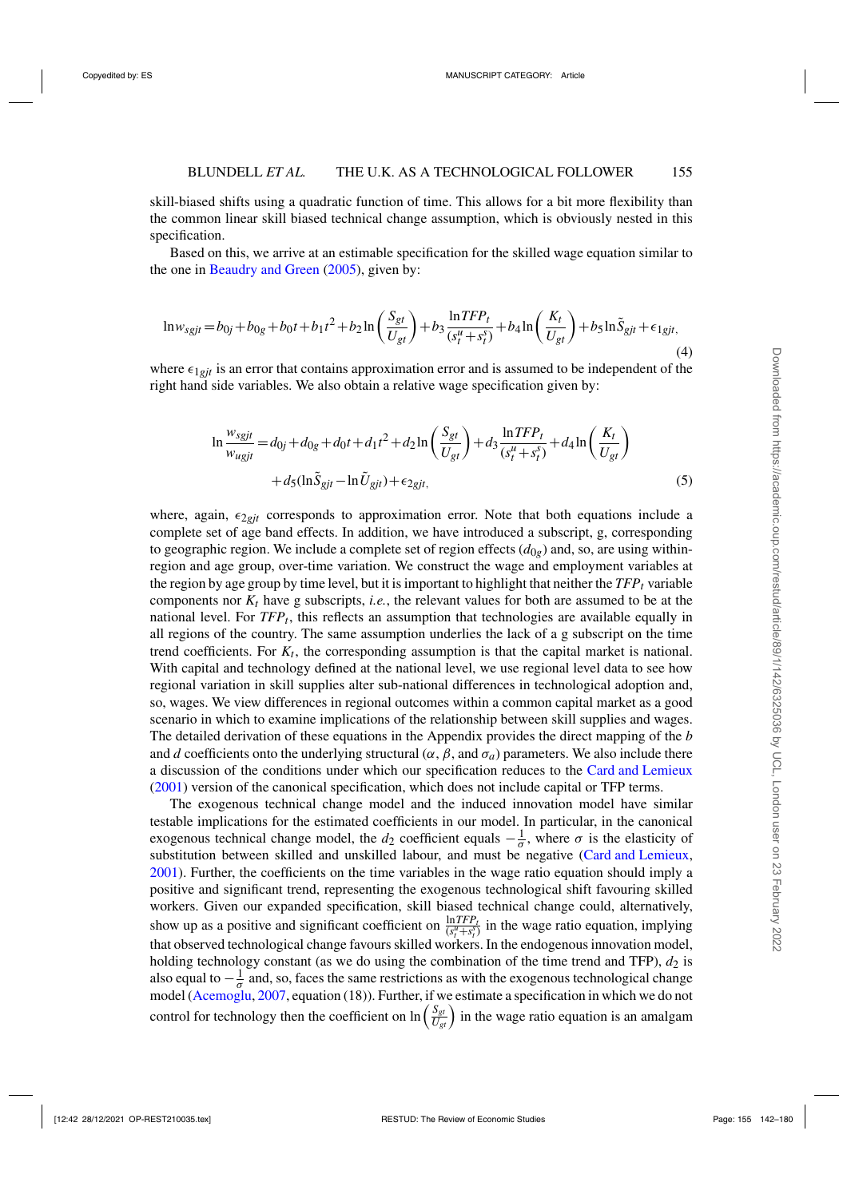<span id="page-13-0"></span>skill-biased shifts using a quadratic function of time. This allows for a bit more flexibility than the common linear skill biased technical change assumption, which is obviously nested in this specification.

Based on this, we arrive at an estimable specification for the skilled wage equation similar to the one in [Beaudry and Green](#page-37-0) [\(2005\)](#page-37-0), given by:

$$
\ln w_{sgit} = b_{0j} + b_{0g} + b_0 t + b_1 t^2 + b_2 \ln \left( \frac{S_{gt}}{U_{gt}} \right) + b_3 \frac{\ln TFP_t}{(s_t^u + s_t^s)} + b_4 \ln \left( \frac{K_t}{U_{gt}} \right) + b_5 \ln \tilde{S}_{gt} + \epsilon_{1git}
$$
\n(4)

where  $\epsilon_{1git}$  is an error that contains approximation error and is assumed to be independent of the right hand side variables. We also obtain a relative wage specification given by:

$$
\ln \frac{w_{sgjt}}{w_{ugjt}} = d_{0j} + d_{0g} + d_0t + d_1t^2 + d_2\ln\left(\frac{S_{gt}}{U_{gt}}\right) + d_3\frac{\ln TFP_t}{(s_t^u + s_t^s)} + d_4\ln\left(\frac{K_t}{U_{gt}}\right) + d_5(\ln \tilde{S}_{gt} - \ln \tilde{U}_{gt}) + \epsilon_{2gt},
$$
\n(5)

where, again,  $\epsilon_{2git}$  corresponds to approximation error. Note that both equations include a complete set of age band effects. In addition, we have introduced a subscript, g, corresponding to geographic region. We include a complete set of region effects  $(d_{0g})$  and, so, are using withinregion and age group, over-time variation. We construct the wage and employment variables at the region by age group by time level, but it is important to highlight that neither the  $TFP_t$  variable components nor  $K_t$  have g subscripts, *i.e.*, the relevant values for both are assumed to be at the national level. For *TFPt*, this reflects an assumption that technologies are available equally in all regions of the country. The same assumption underlies the lack of a g subscript on the time trend coefficients. For  $K_t$ , the corresponding assumption is that the capital market is national. With capital and technology defined at the national level, we use regional level data to see how regional variation in skill supplies alter sub-national differences in technological adoption and, so, wages. We view differences in regional outcomes within a common capital market as a good scenario in which to examine implications of the relationship between skill supplies and wages. The detailed derivation of these equations in the Appendix provides the direct mapping of the *b* and *d* coefficients onto the underlying structural ( $\alpha$ ,  $\beta$ , and  $\sigma_a$ ) parameters. We also include there a discussion of the conditions under which our specification reduces to the [Card and Lemieux](#page-37-0) [\(2001\)](#page-37-0) version of the canonical specification, which does not include capital or TFP terms.

The exogenous technical change model and the induced innovation model have similar testable implications for the estimated coefficients in our model. In particular, in the canonical exogenous technical change model, the *d*<sub>2</sub> coefficient equals  $-\frac{1}{\sigma}$ , where  $\sigma$  is the elasticity of substitution between skilled and unskilled labour, and must be negative [\(Card and Lemieux](#page-37-0), [2001](#page-37-0)). Further, the coefficients on the time variables in the wage ratio equation should imply a positive and significant trend, representing the exogenous technological shift favouring skilled workers. Given our expanded specification, skill biased technical change could, alternatively, show up as a positive and significant coefficient on  $\frac{\ln TFP_t}{(s_t^u + s_t^x)}$  in the wage ratio equation, implying that observed technological change favours skilled workers. In the endogenous innovation model, holding technology constant (as we do using the combination of the time trend and TFP),  $d_2$  is also equal to  $-\frac{1}{\sigma}$  and, so, faces the same restrictions as with the exogenous technological change model [\(Acemoglu](#page-37-0), [2007](#page-37-0), equation (18)). Further, if we estimate a specification in which we do not control for technology then the coefficient on  $\ln\left(\frac{S_{gt}}{U_{gt}}\right)$  in the wage ratio equation is an amalgam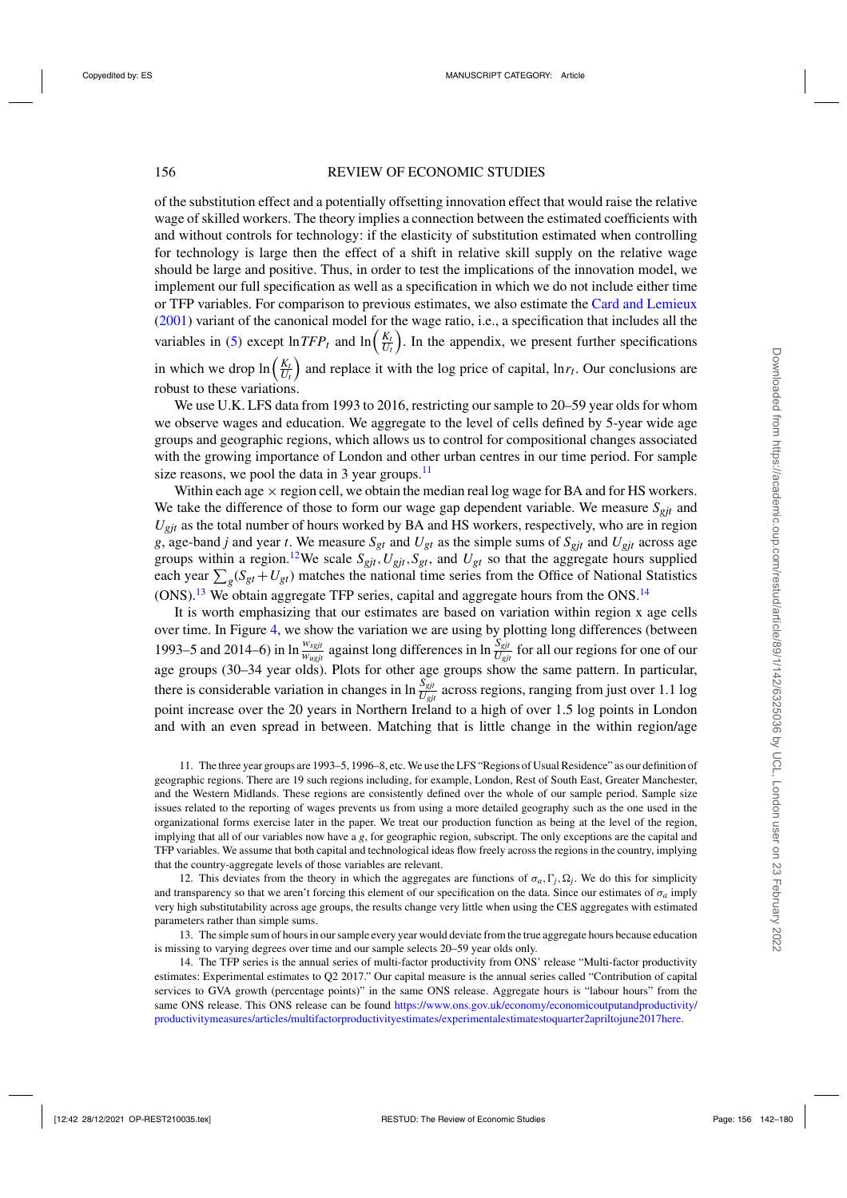of the substitution effect and a potentially offsetting innovation effect that would raise the relative wage of skilled workers. The theory implies a connection between the estimated coefficients with and without controls for technology: if the elasticity of substitution estimated when controlling for technology is large then the effect of a shift in relative skill supply on the relative wage should be large and positive. Thus, in order to test the implications of the innovation model, we implement our full specification as well as a specification in which we do not include either time or TFP variables. For comparison to previous estimates, we also estimate the [Card and Lemieux](#page-37-0) [\(2001](#page-37-0)) variant of the canonical model for the wage ratio, i.e., a specification that includes all the variables in [\(5\)](#page-13-0) except  $\ln TFP_t$  and  $\ln \left( \frac{K_t}{U_t} \right)$ . In the appendix, we present further specifications in which we drop  $\ln\left(\frac{K_t}{U_t}\right)$  and replace it with the log price of capital,  $\ln r_t$ . Our conclusions are robust to these variations.

We use U.K. LFS data from 1993 to 2016, restricting our sample to 20–59 year olds for whom we observe wages and education. We aggregate to the level of cells defined by 5-year wide age groups and geographic regions, which allows us to control for compositional changes associated with the growing importance of London and other urban centres in our time period. For sample size reasons, we pool the data in 3 year groups. $\frac{11}{1}$ 

Within each age  $\times$  region cell, we obtain the median real log wage for BA and for HS workers. We take the difference of those to form our wage gap dependent variable. We measure  $S_{eit}$  and  $U_{\text{git}}$  as the total number of hours worked by BA and HS workers, respectively, who are in region *g*, age-band *j* and year *t*. We measure  $S_{gt}$  and  $U_{gt}$  as the simple sums of  $S_{gt}$  and  $U_{gt}$  across age groups within a region.<sup>12</sup>We scale  $S_{gjt}$ ,  $U_{gjt}$ ,  $S_{gt}$ , and  $U_{gt}$  so that the aggregate hours supplied each year  $\sum_{g}(S_{gt} + U_{gt})$  matches the national time series from the Office of National Statistics  $(ONS).<sup>13</sup>$  We obtain aggregate TFP series, capital and aggregate hours from the ONS.<sup>14</sup>

It is worth emphasizing that our estimates are based on variation within region x age cells over time. In Figure [4,](#page-15-0) we show the variation we are using by plotting long differences (between 1993–5 and 2014–6) in  $\ln \frac{w_{sgjt}}{w_{ugjt}}$  against long differences in  $\ln \frac{S_{git}}{U_{git}}$  for all our regions for one of our age groups (30–34 year olds). Plots for other age groups show the same pattern. In particular, there is considerable variation in changes in  $\ln \frac{S_{gjt}}{U_{gjt}}$  across regions, ranging from just over 1.1 log point increase over the 20 years in Northern Ireland to a high of over 1.5 log points in London and with an even spread in between. Matching that is little change in the within region/age

11. The three year groups are 1993–5, 1996–8, etc. We use the LFS "Regions of Usual Residence" as our definition of geographic regions. There are 19 such regions including, for example, London, Rest of South East, Greater Manchester, and the Western Midlands. These regions are consistently defined over the whole of our sample period. Sample size issues related to the reporting of wages prevents us from using a more detailed geography such as the one used in the organizational forms exercise later in the paper. We treat our production function as being at the level of the region, implying that all of our variables now have a *g*, for geographic region, subscript. The only exceptions are the capital and TFP variables. We assume that both capital and technological ideas flow freely across the regions in the country, implying that the country-aggregate levels of those variables are relevant.

12. This deviates from the theory in which the aggregates are functions of  $\sigma_a$ ,  $\Gamma_j$ ,  $\Omega_j$ . We do this for simplicity and transparency so that we aren't forcing this element of our specification on the data. Since our estimates of  $\sigma_a$  imply very high substitutability across age groups, the results change very little when using the CES aggregates with estimated parameters rather than simple sums.

13. The simple sum of hours in our sample every year would deviate from the true aggregate hours because education is missing to varying degrees over time and our sample selects 20–59 year olds only.

14. The TFP series is the annual series of multi-factor productivity from ONS' release "Multi-factor productivity estimates: Experimental estimates to Q2 2017." Our capital measure is the annual series called "Contribution of capital services to GVA growth (percentage points)" in the same ONS release. Aggregate hours is "labour hours" from the same ONS release. This ONS release can be found [https://www.ons.gov.uk/economy/economicoutputandproductivity/](https://www.ons.gov.uk/economy/economicoutputandproductivity/productivitymeasures/articles/multifactorproductivityestimates/experimentalestimatestoquarter2apriltojune2017here) [productivitymeasures/articles/multifactorproductivityestimates/experimentalestimatestoquarter2apriltojune2017here.](https://www.ons.gov.uk/economy/economicoutputandproductivity/productivitymeasures/articles/multifactorproductivityestimates/experimentalestimatestoquarter2apriltojune2017here)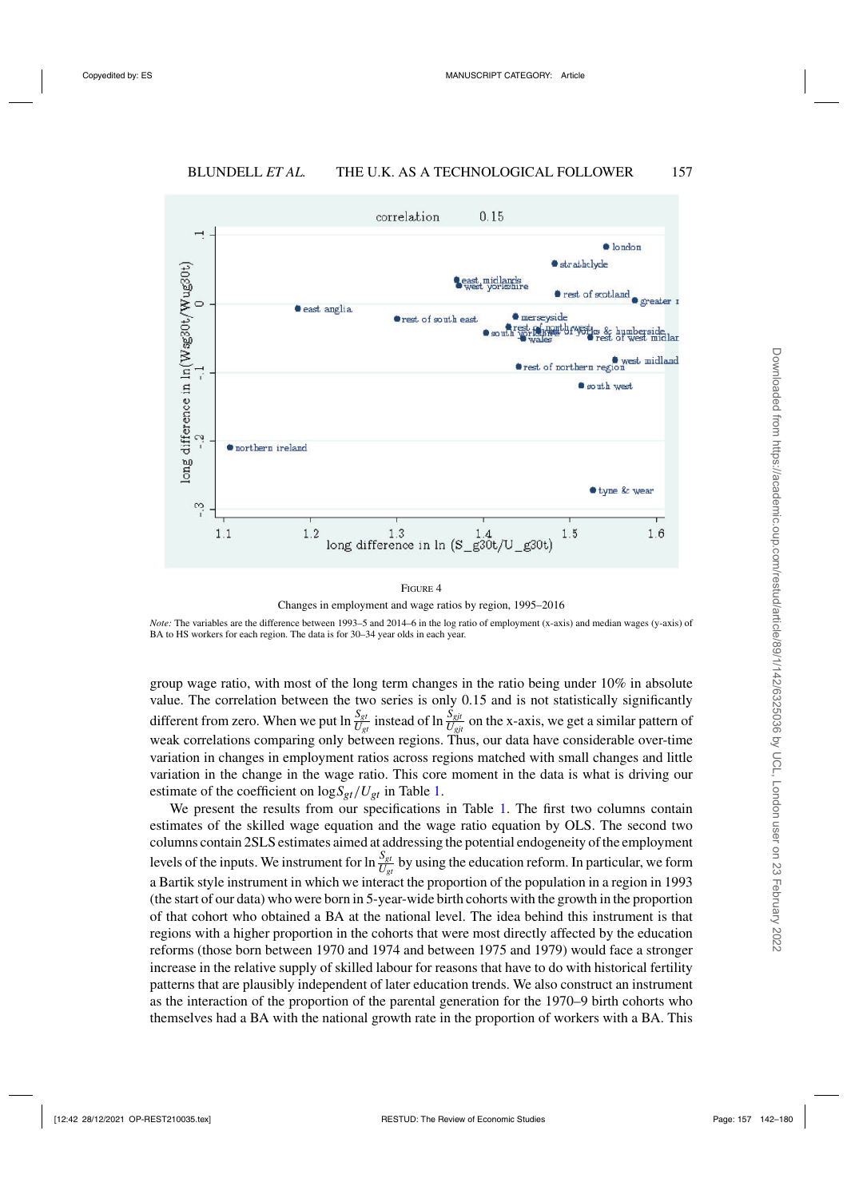<span id="page-15-0"></span>

Changes in employment and wage ratios by region, 1995–2016

*Note:* The variables are the difference between 1993–5 and 2014–6 in the log ratio of employment (x-axis) and median wages (y-axis) of BA to HS workers for each region. The data is for 30–34 year olds in each year.

group wage ratio, with most of the long term changes in the ratio being under 10% in absolute value. The correlation between the two series is only 0.15 and is not statistically significantly different from zero. When we put  $\ln \frac{S_{gt}}{U_{gt}}$  instead of  $\ln \frac{S_{gt}}{U_{gt}}$  on the x-axis, we get a similar pattern of weak correlations comparing only between regions. Thus, our data have considerable over-time variation in changes in employment ratios across regions matched with small changes and little variation in the change in the wage ratio. This core moment in the data is what is driving our estimate of the coefficient on  $\log S_{gt}/U_{gt}$  in Table [1.](#page-16-0)

We present the results from our specifications in Table [1.](#page-16-0) The first two columns contain estimates of the skilled wage equation and the wage ratio equation by OLS. The second two columns contain 2SLS estimates aimed at addressing the potential endogeneity of the employment levels of the inputs. We instrument for  $\ln \frac{S_{gt}}{U_{gt}}$  by using the education reform. In particular, we form a Bartik style instrument in which we interact the proportion of the population in a region in 1993 (the start of our data) who were born in 5-year-wide birth cohorts with the growth in the proportion of that cohort who obtained a BA at the national level. The idea behind this instrument is that regions with a higher proportion in the cohorts that were most directly affected by the education reforms (those born between 1970 and 1974 and between 1975 and 1979) would face a stronger increase in the relative supply of skilled labour for reasons that have to do with historical fertility patterns that are plausibly independent of later education trends. We also construct an instrument as the interaction of the proportion of the parental generation for the 1970–9 birth cohorts who themselves had a BA with the national growth rate in the proportion of workers with a BA. This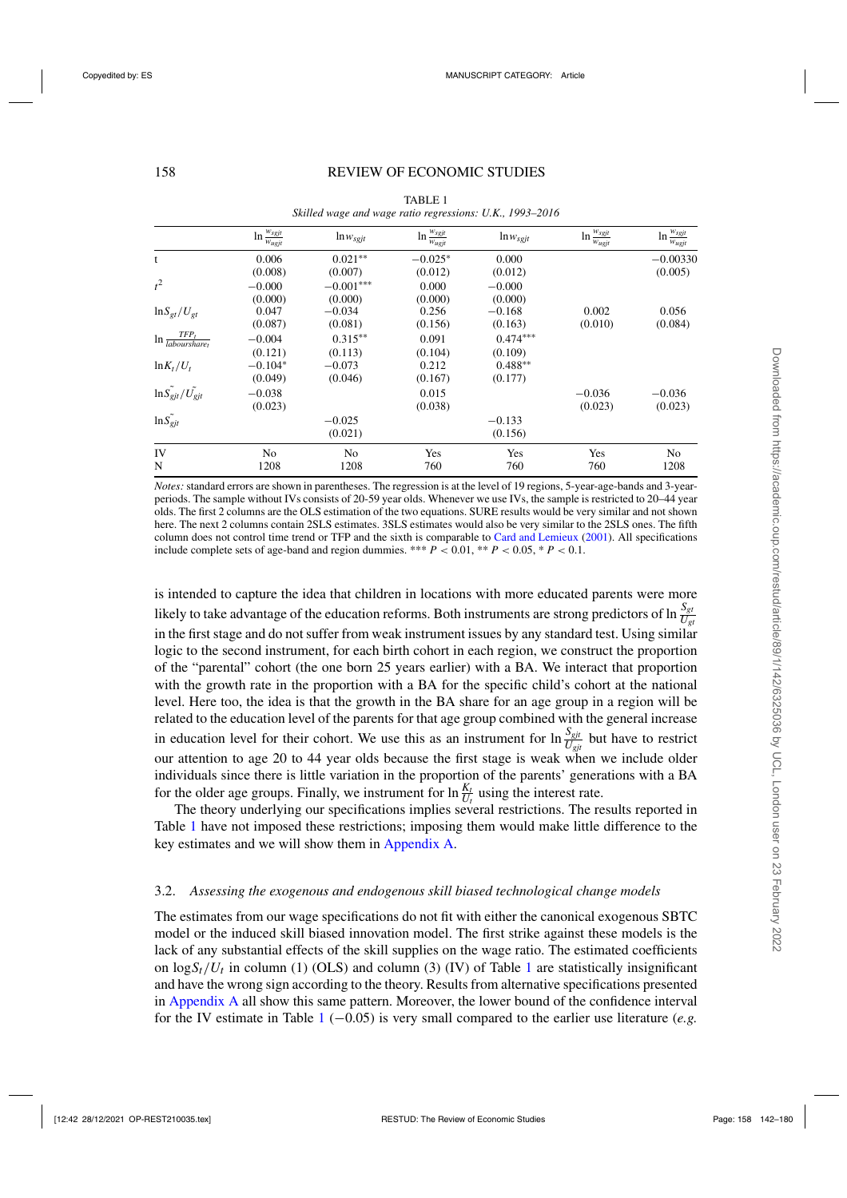<span id="page-16-0"></span>

|                                                                  | $\ln \frac{w_{sgjt}}{w_{ugjt}}$ | $\ln w_{sgjt}$ | $\ln \frac{w_{sgjt}}{w_{sgjt}}$<br>$w_{ugjt}$ | $ln w_{sgjt}$ | $\ln \frac{w_{sgjt}}{w_{sgjt}}$<br>$W_{ugjt}$ | $\ln \frac{w_{sgjt}}{w_{ugjt}}$ |
|------------------------------------------------------------------|---------------------------------|----------------|-----------------------------------------------|---------------|-----------------------------------------------|---------------------------------|
| t                                                                | 0.006                           | $0.021**$      | $-0.025*$                                     | 0.000         |                                               | $-0.00330$                      |
|                                                                  | (0.008)                         | (0.007)        | (0.012)                                       | (0.012)       |                                               | (0.005)                         |
| $t^2$                                                            | $-0.000$                        | $-0.001***$    | 0.000                                         | $-0.000$      |                                               |                                 |
|                                                                  | (0.000)                         | (0.000)        | (0.000)                                       | (0.000)       |                                               |                                 |
| $\ln S_{gt}/U_{gt}$                                              | 0.047                           | $-0.034$       | 0.256                                         | $-0.168$      | 0.002                                         | 0.056                           |
|                                                                  | (0.087)                         | (0.081)        | (0.156)                                       | (0.163)       | (0.010)                                       | (0.084)                         |
| $TFP_t$<br>$\ln \frac{1}{\textit{labours} \cdot \textit{large}}$ | $-0.004$                        | $0.315**$      | 0.091                                         | $0.474***$    |                                               |                                 |
|                                                                  | (0.121)                         | (0.113)        | (0.104)                                       | (0.109)       |                                               |                                 |
| $\ln K_t/U_t$                                                    | $-0.104*$                       | $-0.073$       | 0.212                                         | $0.488**$     |                                               |                                 |
|                                                                  | (0.049)                         | (0.046)        | (0.167)                                       | (0.177)       |                                               |                                 |
| $\ln S_{gjt}$ / $U_{gjt}$                                        | $-0.038$                        |                | 0.015                                         |               | $-0.036$                                      | $-0.036$                        |
|                                                                  | (0.023)                         |                | (0.038)                                       |               | (0.023)                                       | (0.023)                         |
| $\ln S_{gjt}$                                                    |                                 | $-0.025$       |                                               | $-0.133$      |                                               |                                 |
|                                                                  |                                 | (0.021)        |                                               | (0.156)       |                                               |                                 |
| IV                                                               | N <sub>0</sub>                  | N <sub>0</sub> | Yes                                           | Yes           | Yes                                           | No                              |
| N                                                                | 1208                            | 1208           | 760                                           | 760           | 760                                           | 1208                            |

TABLE 1 *Skilled wage and wage ratio regressions: U.K., 1993–2016*

*Notes:* standard errors are shown in parentheses. The regression is at the level of 19 regions, 5-year-age-bands and 3-yearperiods. The sample without IVs consists of 20-59 year olds. Whenever we use IVs, the sample is restricted to 20–44 year olds. The first 2 columns are the OLS estimation of the two equations. SURE results would be very similar and not shown here. The next 2 columns contain 2SLS estimates. 3SLS estimates would also be very similar to the 2SLS ones. The fifth column does not control time trend or TFP and the sixth is comparable to [Card and Lemieux](#page-37-0) [\(2001\)](#page-37-0). All specifications include complete sets of age-band and region dummies. \*\*\*  $P < 0.01$ , \*\*  $P < 0.05$ , \*  $P < 0.1$ .

is intended to capture the idea that children in locations with more educated parents were more likely to take advantage of the education reforms. Both instruments are strong predictors of  $\ln \frac{S_{gt}}{U_{gt}}$ in the first stage and do not suffer from weak instrument issues by any standard test. Using similar logic to the second instrument, for each birth cohort in each region, we construct the proportion of the "parental" cohort (the one born 25 years earlier) with a BA. We interact that proportion with the growth rate in the proportion with a BA for the specific child's cohort at the national level. Here too, the idea is that the growth in the BA share for an age group in a region will be related to the education level of the parents for that age group combined with the general increase in education level for their cohort. We use this as an instrument for  $\ln \frac{S_{gjt}}{U_{gjt}}$  but have to restrict our attention to age 20 to 44 year olds because the first stage is weak when we include older individuals since there is little variation in the proportion of the parents' generations with a BA for the older age groups. Finally, we instrument for  $\ln \frac{K_t}{U_t}$  using the interest rate.

The theory underlying our specifications implies several restrictions. The results reported in Table 1 have not imposed these restrictions; imposing them would make little difference to the key estimates and we will show them in [Appendix A.](https://academic.oup.com/restud/article-lookup/doi/10.1093/restud/rdab034#supplementary-data)

# 3.2. *Assessing the exogenous and endogenous skill biased technological change models*

The estimates from our wage specifications do not fit with either the canonical exogenous SBTC model or the induced skill biased innovation model. The first strike against these models is the lack of any substantial effects of the skill supplies on the wage ratio. The estimated coefficients on  $\log S_t/U_t$  in column (1) (OLS) and column (3) (IV) of Table 1 are statistically insignificant and have the wrong sign according to the theory. Results from alternative specifications presented in [Appendix A](https://academic.oup.com/restud/article-lookup/doi/10.1093/restud/rdab034#supplementary-data) all show this same pattern. Moreover, the lower bound of the confidence interval for the IV estimate in Table 1 (−0.05) is very small compared to the earlier use literature (*e.g.*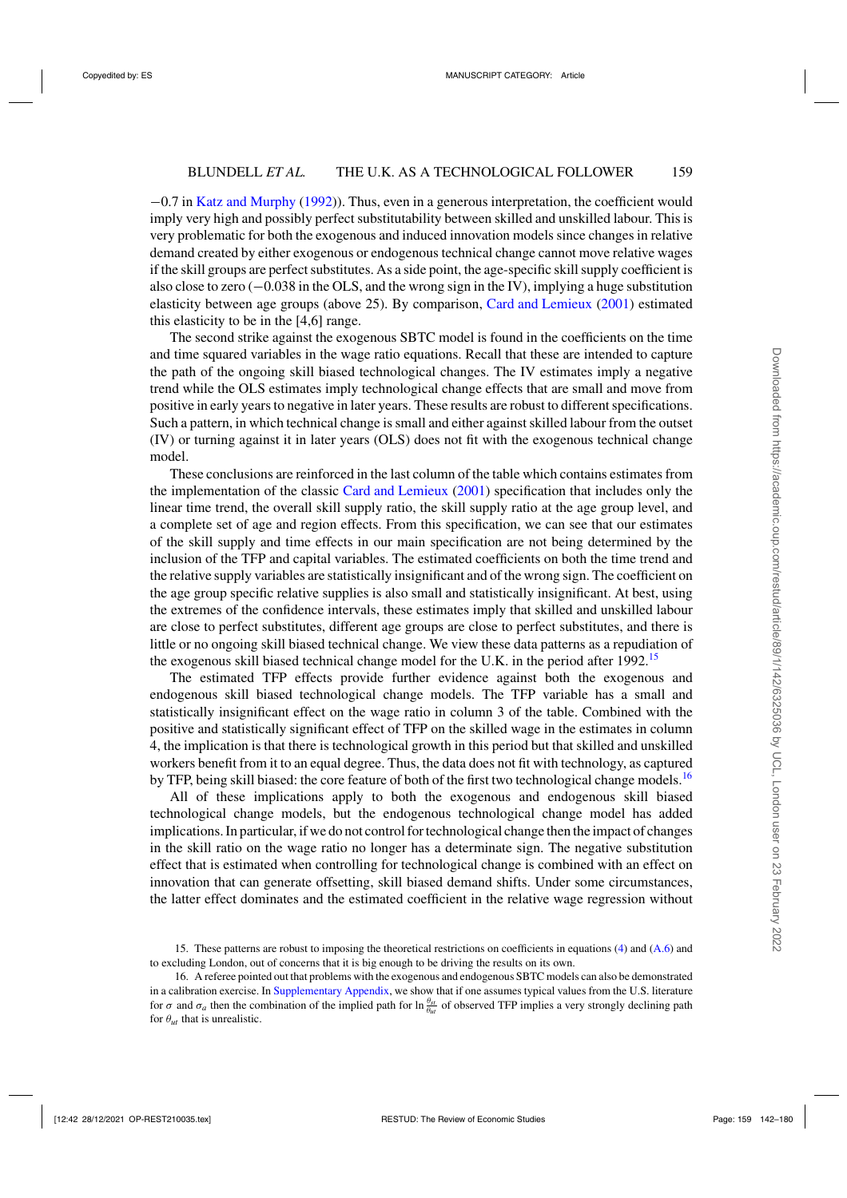−0.7 in [Katz and Murphy](#page-38-0) [\(1992\)](#page-38-0)). Thus, even in a generous interpretation, the coefficient would imply very high and possibly perfect substitutability between skilled and unskilled labour. This is very problematic for both the exogenous and induced innovation models since changes in relative demand created by either exogenous or endogenous technical change cannot move relative wages if the skill groups are perfect substitutes. As a side point, the age-specific skill supply coefficient is also close to zero (−0.038 in the OLS, and the wrong sign in the IV), implying a huge substitution elasticity between age groups (above 25). By comparison, [Card and Lemieux](#page-37-0) [\(2001\)](#page-37-0) estimated this elasticity to be in the [4,6] range.

The second strike against the exogenous SBTC model is found in the coefficients on the time and time squared variables in the wage ratio equations. Recall that these are intended to capture the path of the ongoing skill biased technological changes. The IV estimates imply a negative trend while the OLS estimates imply technological change effects that are small and move from positive in early years to negative in later years. These results are robust to different specifications. Such a pattern, in which technical change is small and either against skilled labour from the outset (IV) or turning against it in later years (OLS) does not fit with the exogenous technical change model.

These conclusions are reinforced in the last column of the table which contains estimates from the implementation of the classic [Card and Lemieux](#page-37-0) [\(2001](#page-37-0)) specification that includes only the linear time trend, the overall skill supply ratio, the skill supply ratio at the age group level, and a complete set of age and region effects. From this specification, we can see that our estimates of the skill supply and time effects in our main specification are not being determined by the inclusion of the TFP and capital variables. The estimated coefficients on both the time trend and the relative supply variables are statistically insignificant and of the wrong sign. The coefficient on the age group specific relative supplies is also small and statistically insignificant. At best, using the extremes of the confidence intervals, these estimates imply that skilled and unskilled labour are close to perfect substitutes, different age groups are close to perfect substitutes, and there is little or no ongoing skill biased technical change. We view these data patterns as a repudiation of the exogenous skill biased technical change model for the U.K. in the period after 1992.<sup>15</sup>

The estimated TFP effects provide further evidence against both the exogenous and endogenous skill biased technological change models. The TFP variable has a small and statistically insignificant effect on the wage ratio in column 3 of the table. Combined with the positive and statistically significant effect of TFP on the skilled wage in the estimates in column 4, the implication is that there is technological growth in this period but that skilled and unskilled workers benefit from it to an equal degree. Thus, the data does not fit with technology, as captured by TFP, being skill biased: the core feature of both of the first two technological change models.<sup>16</sup>

All of these implications apply to both the exogenous and endogenous skill biased technological change models, but the endogenous technological change model has added implications. In particular, if we do not control for technological change then the impact of changes in the skill ratio on the wage ratio no longer has a determinate sign. The negative substitution effect that is estimated when controlling for technological change is combined with an effect on innovation that can generate offsetting, skill biased demand shifts. Under some circumstances, the latter effect dominates and the estimated coefficient in the relative wage regression without

<sup>15.</sup> These patterns are robust to imposing the theoretical restrictions on coefficients in equations [\(4\)](#page-13-0) and [\(A.6\)](#page-36-0) and to excluding London, out of concerns that it is big enough to be driving the results on its own.

<sup>16.</sup> A referee pointed out that problems with the exogenous and endogenous SBTC models can also be demonstrated in a calibration exercise. In [Supplementary Appendix,](https://academic.oup.com/restud/article-lookup/doi/10.1093/restud/rdab034#supplementary-data) we show that if one assumes typical values from the U.S. literature for  $\sigma$  and  $\sigma_a$  then the combination of the implied path for  $\ln \frac{\theta_{st}}{\theta_{ut}}$  of observed TFP implies a very strongly declining path for  $\theta_{ut}$  that is unrealistic.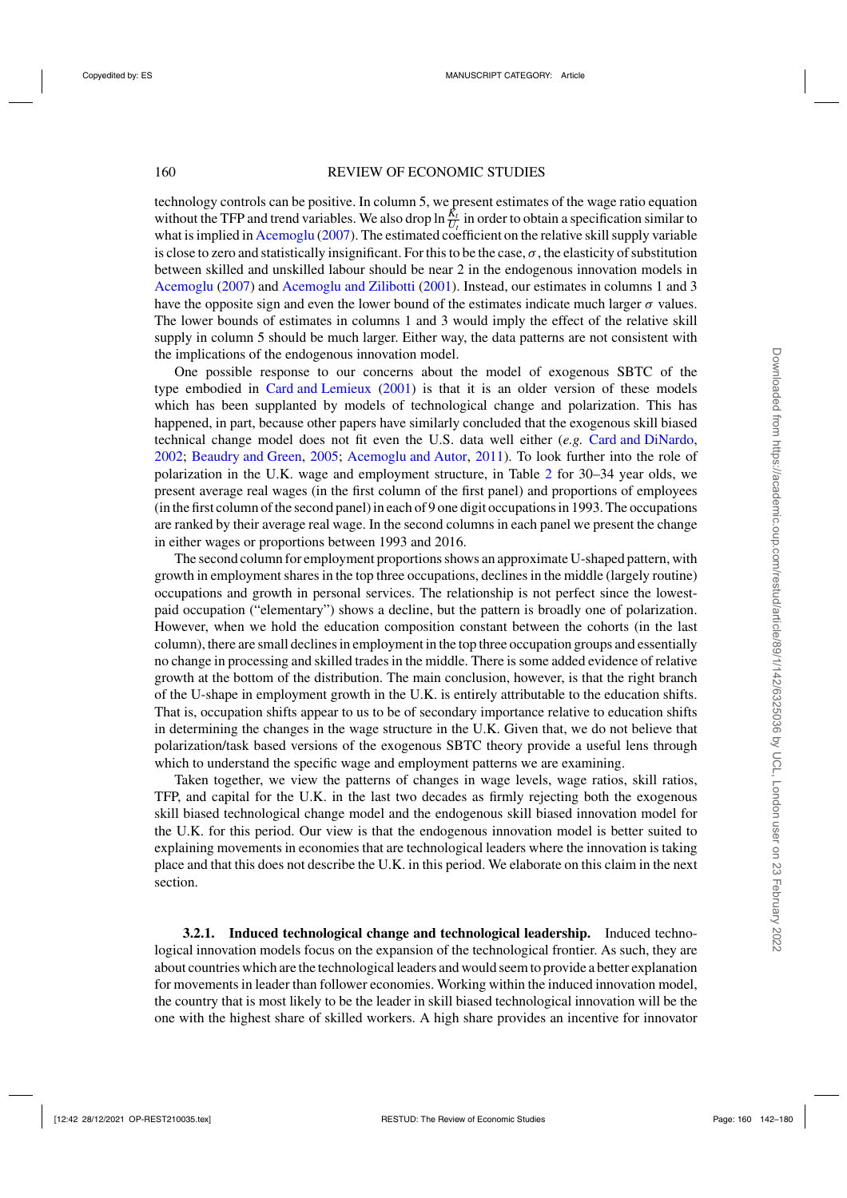technology controls can be positive. In column 5, we present estimates of the wage ratio equation without the TFP and trend variables. We also drop  $\ln \frac{R_t}{U_t}$  in order to obtain a specification similar to what is implied in [Acemoglu](#page-37-0) [\(2007](#page-37-0)). The estimated coefficient on the relative skill supply variable is close to zero and statistically insignificant. For this to be the case,  $\sigma$ , the elasticity of substitution between skilled and unskilled labour should be near 2 in the endogenous innovation models in [Acemoglu](#page-37-0) [\(2007\)](#page-37-0) and [Acemoglu and Zilibotti](#page-37-0) [\(2001\)](#page-37-0). Instead, our estimates in columns 1 and 3 have the opposite sign and even the lower bound of the estimates indicate much larger  $\sigma$  values. The lower bounds of estimates in columns 1 and 3 would imply the effect of the relative skill supply in column 5 should be much larger. Either way, the data patterns are not consistent with the implications of the endogenous innovation model.

One possible response to our concerns about the model of exogenous SBTC of the type embodied in [Card and Lemieux](#page-37-0) [\(2001](#page-37-0)) is that it is an older version of these models which has been supplanted by models of technological change and polarization. This has happened, in part, because other papers have similarly concluded that the exogenous skill biased technical change model does not fit even the U.S. data well either (*e.g.* [Card and DiNardo,](#page-37-0) [2002;](#page-37-0) [Beaudry and Green](#page-37-0), [2005](#page-37-0); [Acemoglu and Autor](#page-37-0), [2011](#page-37-0)). To look further into the role of polarization in the U.K. wage and employment structure, in Table [2](#page-19-0) for 30–34 year olds, we present average real wages (in the first column of the first panel) and proportions of employees (in the first column of the second panel) in each of 9 one digit occupations in 1993. The occupations are ranked by their average real wage. In the second columns in each panel we present the change in either wages or proportions between 1993 and 2016.

The second column for employment proportions shows an approximate U-shaped pattern, with growth in employment shares in the top three occupations, declines in the middle (largely routine) occupations and growth in personal services. The relationship is not perfect since the lowestpaid occupation ("elementary") shows a decline, but the pattern is broadly one of polarization. However, when we hold the education composition constant between the cohorts (in the last column), there are small declines in employment in the top three occupation groups and essentially no change in processing and skilled trades in the middle. There is some added evidence of relative growth at the bottom of the distribution. The main conclusion, however, is that the right branch of the U-shape in employment growth in the U.K. is entirely attributable to the education shifts. That is, occupation shifts appear to us to be of secondary importance relative to education shifts in determining the changes in the wage structure in the U.K. Given that, we do not believe that polarization/task based versions of the exogenous SBTC theory provide a useful lens through which to understand the specific wage and employment patterns we are examining.

Taken together, we view the patterns of changes in wage levels, wage ratios, skill ratios, TFP, and capital for the U.K. in the last two decades as firmly rejecting both the exogenous skill biased technological change model and the endogenous skill biased innovation model for the U.K. for this period. Our view is that the endogenous innovation model is better suited to explaining movements in economies that are technological leaders where the innovation is taking place and that this does not describe the U.K. in this period. We elaborate on this claim in the next section.

**3.2.1. Induced technological change and technological leadership.** Induced technological innovation models focus on the expansion of the technological frontier. As such, they are about countries which are the technological leaders and would seem to provide a better explanation for movements in leader than follower economies. Working within the induced innovation model, the country that is most likely to be the leader in skill biased technological innovation will be the one with the highest share of skilled workers. A high share provides an incentive for innovator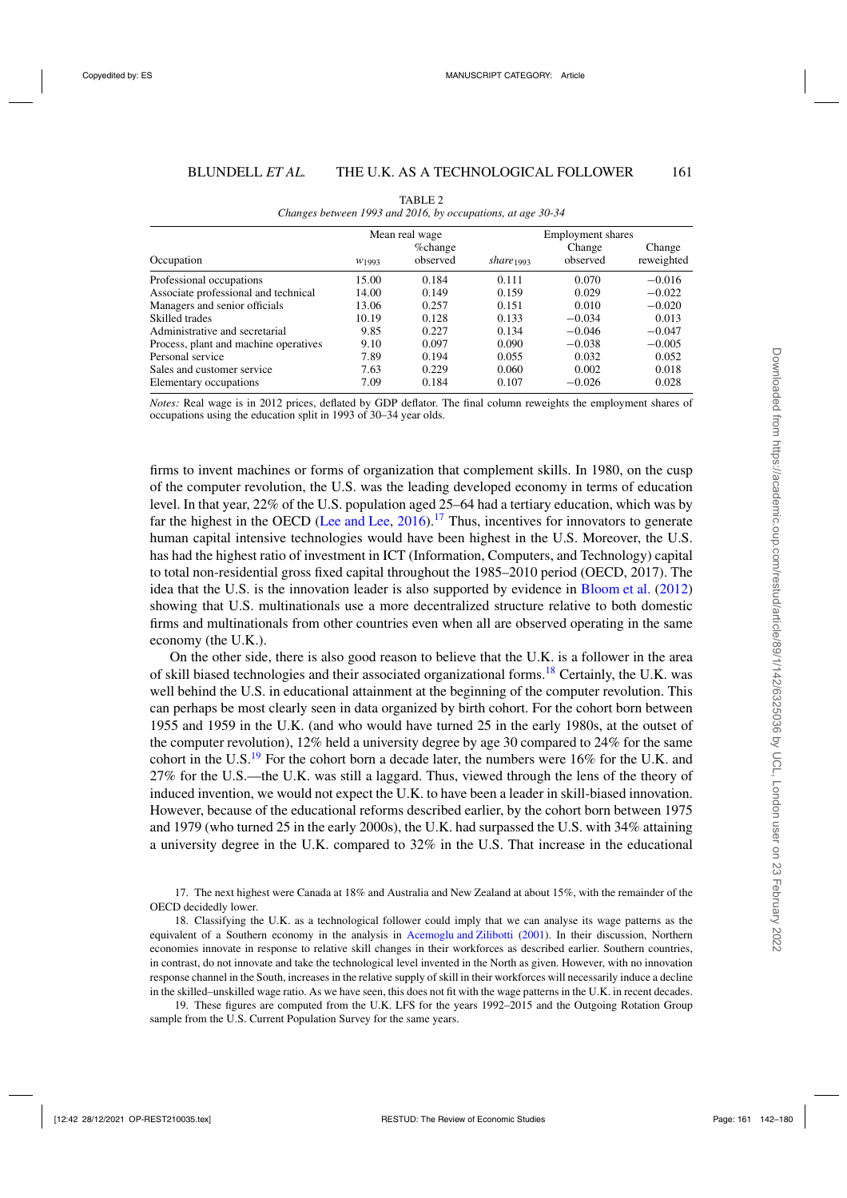<span id="page-19-0"></span>

|                                       | Mean real wage    |                     |                       | <b>Employment shares</b> |                      |
|---------------------------------------|-------------------|---------------------|-----------------------|--------------------------|----------------------|
| Occupation                            | W <sub>1993</sub> | %change<br>observed | share <sub>1993</sub> | Change<br>observed       | Change<br>reweighted |
| Professional occupations              | 15.00             | 0.184               | 0.111                 | 0.070                    | $-0.016$             |
| Associate professional and technical  | 14.00             | 0.149               | 0.159                 | 0.029                    | $-0.022$             |
| Managers and senior officials         | 13.06             | 0.257               | 0.151                 | 0.010                    | $-0.020$             |
| Skilled trades                        | 10.19             | 0.128               | 0.133                 | $-0.034$                 | 0.013                |
| Administrative and secretarial        | 9.85              | 0.227               | 0.134                 | $-0.046$                 | $-0.047$             |
| Process, plant and machine operatives | 9.10              | 0.097               | 0.090                 | $-0.038$                 | $-0.005$             |
| Personal service                      | 7.89              | 0.194               | 0.055                 | 0.032                    | 0.052                |
| Sales and customer service            | 7.63              | 0.229               | 0.060                 | 0.002                    | 0.018                |
| Elementary occupations                | 7.09              | 0.184               | 0.107                 | $-0.026$                 | 0.028                |

TABLE 2 *Changes between 1993 and 2016, by occupations, at age 30-34*

*Notes:* Real wage is in 2012 prices, deflated by GDP deflator. The final column reweights the employment shares of occupations using the education split in 1993 of 30–34 year olds.

firms to invent machines or forms of organization that complement skills. In 1980, on the cusp of the computer revolution, the U.S. was the leading developed economy in terms of education level. In that year, 22% of the U.S. population aged 25–64 had a tertiary education, which was by far the highest in the OECD [\(Lee and Lee](#page-38-0), [2016](#page-38-0)).<sup>17</sup> Thus, incentives for innovators to generate human capital intensive technologies would have been highest in the U.S. Moreover, the U.S. has had the highest ratio of investment in ICT (Information, Computers, and Technology) capital to total non-residential gross fixed capital throughout the 1985–2010 period (OECD, 2017). The idea that the U.S. is the innovation leader is also supported by evidence in [Bloom et al.](#page-37-0) [\(2012\)](#page-37-0) showing that U.S. multinationals use a more decentralized structure relative to both domestic firms and multinationals from other countries even when all are observed operating in the same economy (the U.K.).

On the other side, there is also good reason to believe that the U.K. is a follower in the area of skill biased technologies and their associated organizational forms.<sup>18</sup> Certainly, the U.K. was well behind the U.S. in educational attainment at the beginning of the computer revolution. This can perhaps be most clearly seen in data organized by birth cohort. For the cohort born between 1955 and 1959 in the U.K. (and who would have turned 25 in the early 1980s, at the outset of the computer revolution), 12% held a university degree by age 30 compared to 24% for the same cohort in the U.S.<sup>19</sup> For the cohort born a decade later, the numbers were 16% for the U.K. and 27% for the U.S.—the U.K. was still a laggard. Thus, viewed through the lens of the theory of induced invention, we would not expect the U.K. to have been a leader in skill-biased innovation. However, because of the educational reforms described earlier, by the cohort born between 1975 and 1979 (who turned 25 in the early 2000s), the U.K. had surpassed the U.S. with 34% attaining a university degree in the U.K. compared to 32% in the U.S. That increase in the educational

17. The next highest were Canada at 18% and Australia and New Zealand at about 15%, with the remainder of the OECD decidedly lower.

18. Classifying the U.K. as a technological follower could imply that we can analyse its wage patterns as the equivalent of a Southern economy in the analysis in [Acemoglu and Zilibotti](#page-37-0) [\(2001\)](#page-37-0). In their discussion, Northern economies innovate in response to relative skill changes in their workforces as described earlier. Southern countries, in contrast, do not innovate and take the technological level invented in the North as given. However, with no innovation response channel in the South, increases in the relative supply of skill in their workforces will necessarily induce a decline in the skilled–unskilled wage ratio. As we have seen, this does not fit with the wage patterns in the U.K. in recent decades.

19. These figures are computed from the U.K. LFS for the years 1992–2015 and the Outgoing Rotation Group sample from the U.S. Current Population Survey for the same years.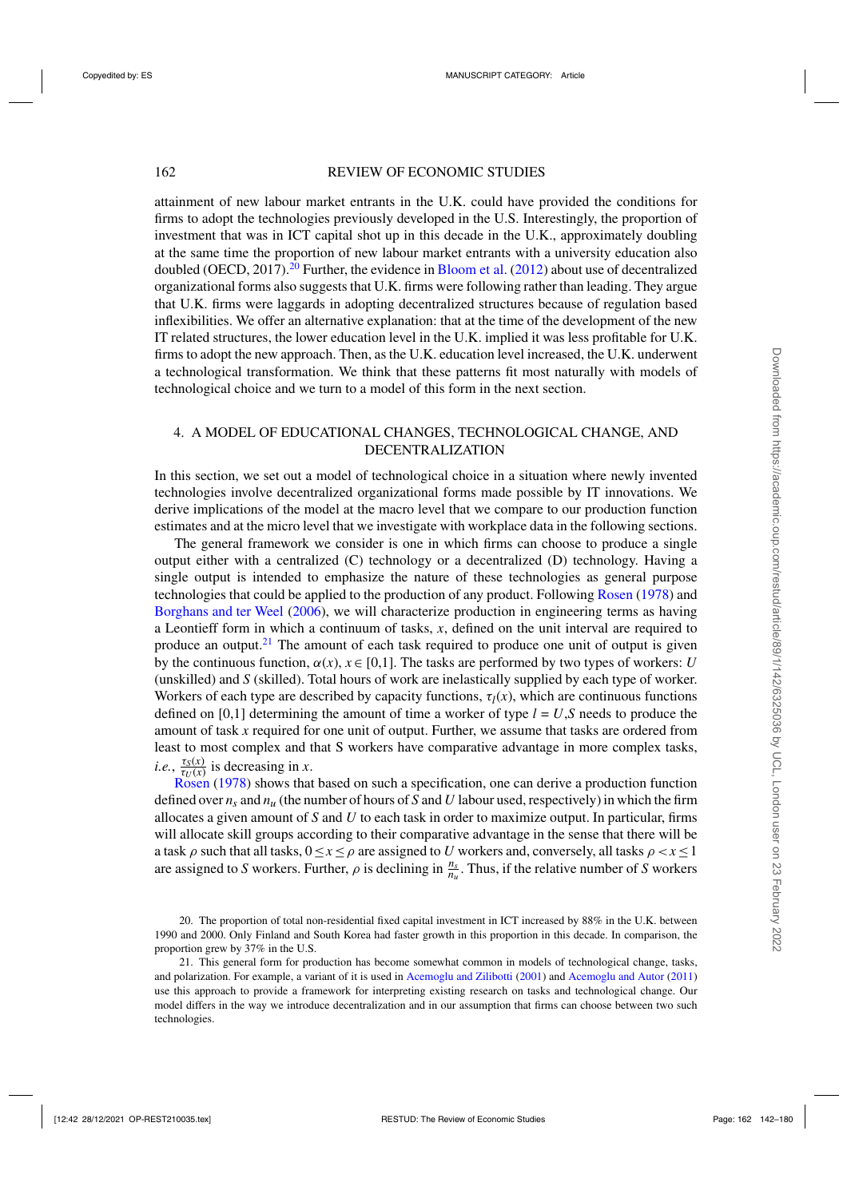attainment of new labour market entrants in the U.K. could have provided the conditions for firms to adopt the technologies previously developed in the U.S. Interestingly, the proportion of investment that was in ICT capital shot up in this decade in the U.K., approximately doubling at the same time the proportion of new labour market entrants with a university education also doubled (OECD,  $2017$ ).<sup>20</sup> Further, the evidence in [Bloom et al.](#page-37-0) [\(2012\)](#page-37-0) about use of decentralized organizational forms also suggests that U.K. firms were following rather than leading. They argue that U.K. firms were laggards in adopting decentralized structures because of regulation based inflexibilities. We offer an alternative explanation: that at the time of the development of the new IT related structures, the lower education level in the U.K. implied it was less profitable for U.K. firms to adopt the new approach. Then, as the U.K. education level increased, the U.K. underwent a technological transformation. We think that these patterns fit most naturally with models of technological choice and we turn to a model of this form in the next section.

# 4. A MODEL OF EDUCATIONAL CHANGES, TECHNOLOGICAL CHANGE, AND DECENTRALIZATION

In this section, we set out a model of technological choice in a situation where newly invented technologies involve decentralized organizational forms made possible by IT innovations. We derive implications of the model at the macro level that we compare to our production function estimates and at the micro level that we investigate with workplace data in the following sections.

The general framework we consider is one in which firms can choose to produce a single output either with a centralized (C) technology or a decentralized (D) technology. Having a single output is intended to emphasize the nature of these technologies as general purpose technologies that could be applied to the production of any product. Following [Rosen](#page-38-0) [\(1978](#page-38-0)) and [Borghans and ter Weel](#page-37-0) [\(2006\)](#page-37-0), we will characterize production in engineering terms as having a Leontieff form in which a continuum of tasks, *x*, defined on the unit interval are required to produce an output.<sup>21</sup> The amount of each task required to produce one unit of output is given by the continuous function,  $\alpha(x)$ ,  $x \in [0,1]$ . The tasks are performed by two types of workers: *U* (unskilled) and *S* (skilled). Total hours of work are inelastically supplied by each type of worker. Workers of each type are described by capacity functions,  $\tau_l(x)$ , which are continuous functions defined on [0,1] determining the amount of time a worker of type  $l = U$ , S needs to produce the amount of task *x* required for one unit of output. Further, we assume that tasks are ordered from least to most complex and that S workers have comparative advantage in more complex tasks, *i.e.*,  $\frac{\tau_S(x)}{\tau_U(x)}$  is decreasing in *x*.

[Rosen](#page-38-0) [\(1978](#page-38-0)) shows that based on such a specification, one can derive a production function defined over  $n_s$  and  $n_u$  (the number of hours of *S* and *U* labour used, respectively) in which the firm allocates a given amount of *S* and *U* to each task in order to maximize output. In particular, firms will allocate skill groups according to their comparative advantage in the sense that there will be a task  $\rho$  such that all tasks,  $0 \le x \le \rho$  are assigned to *U* workers and, conversely, all tasks  $\rho < x \le 1$ are assigned to *S* workers. Further,  $\rho$  is declining in  $\frac{n_s}{n_u}$ . Thus, if the relative number of *S* workers

<sup>20.</sup> The proportion of total non-residential fixed capital investment in ICT increased by 88% in the U.K. between 1990 and 2000. Only Finland and South Korea had faster growth in this proportion in this decade. In comparison, the proportion grew by 37% in the U.S.

<sup>21.</sup> This general form for production has become somewhat common in models of technological change, tasks, and polarization. For example, a variant of it is used in [Acemoglu and Zilibotti](#page-37-0) [\(2001](#page-37-0)) and [Acemoglu and Autor](#page-37-0) [\(2011\)](#page-37-0) use this approach to provide a framework for interpreting existing research on tasks and technological change. Our model differs in the way we introduce decentralization and in our assumption that firms can choose between two such technologies.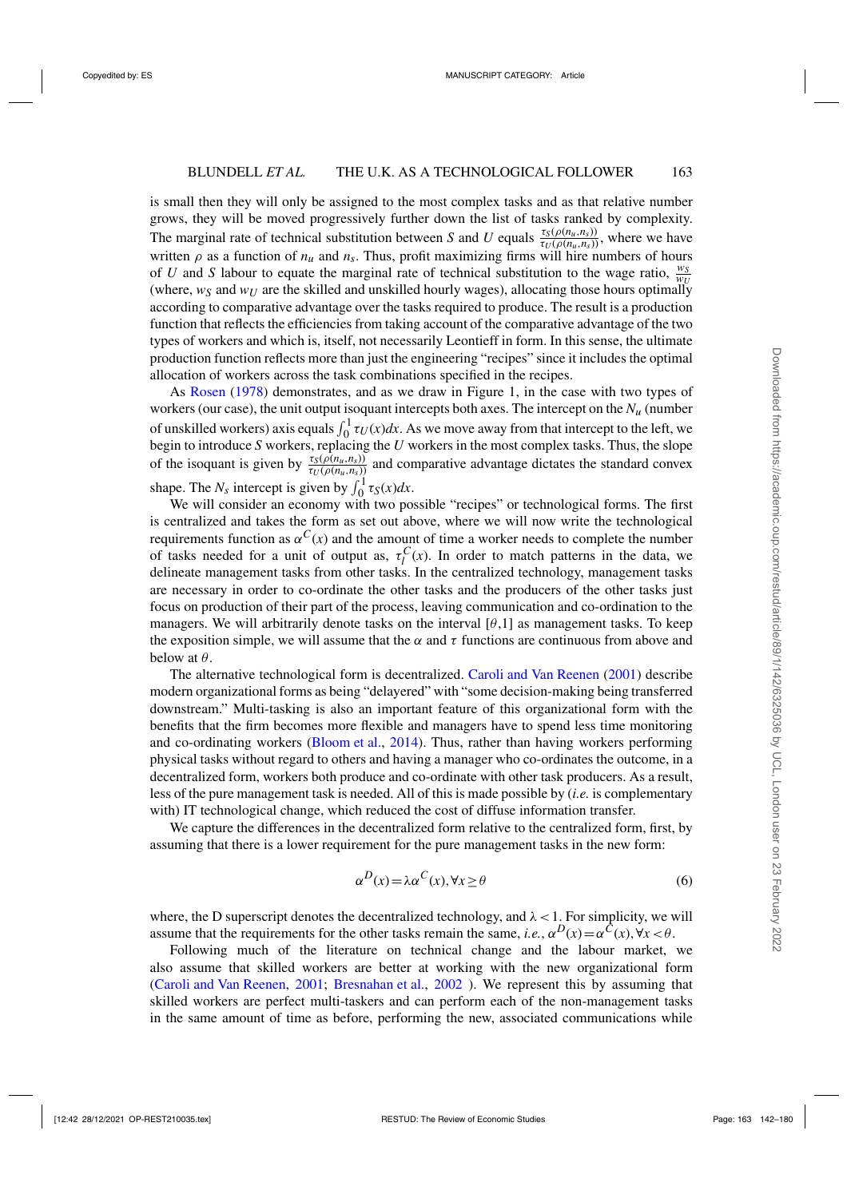is small then they will only be assigned to the most complex tasks and as that relative number grows, they will be moved progressively further down the list of tasks ranked by complexity. The marginal rate of technical substitution between *S* and *U* equals  $\frac{\tau_S(\rho(n_u,n_s))}{\tau_U(\rho(n_u,n_s))}$ , where we have written  $\rho$  as a function of  $n_u$  and  $n_s$ . Thus, profit maximizing firms will hire numbers of hours of *U* and *S* labour to equate the marginal rate of technical substitution to the wage ratio,  $\frac{w_S}{w_L}$ (where,  $w_S$  and  $w_U$  are the skilled and unskilled hourly wages), allocating those hours optimally according to comparative advantage over the tasks required to produce. The result is a production function that reflects the efficiencies from taking account of the comparative advantage of the two types of workers and which is, itself, not necessarily Leontieff in form. In this sense, the ultimate production function reflects more than just the engineering "recipes" since it includes the optimal allocation of workers across the task combinations specified in the recipes.

As [Rosen](#page-38-0) [\(1978](#page-38-0)) demonstrates, and as we draw in Figure 1, in the case with two types of workers (our case), the unit output isoquant intercepts both axes. The intercept on the *Nu* (number of unskilled workers) axis equals  $\int_0^1 \tau_U(x) dx$ . As we move away from that intercept to the left, we begin to introduce *S* workers, replacing the *U* workers in the most complex tasks. Thus, the slope of the isoquant is given by  $\frac{\tau_S(\rho(n_u,n_s))}{\tau_U(\rho(n_u,n_s))}$  and comparative advantage dictates the standard convex shape. The  $N_s$  intercept is given by  $\int_0^1 \tau_s(x) dx$ .

We will consider an economy with two possible "recipes" or technological forms. The first is centralized and takes the form as set out above, where we will now write the technological requirements function as  $\alpha^{C}(x)$  and the amount of time a worker needs to complete the number of tasks needed for a unit of output as,  $\tau_l^C(x)$ . In order to match patterns in the data, we delineate management tasks from other tasks. In the centralized technology, management tasks are necessary in order to co-ordinate the other tasks and the producers of the other tasks just focus on production of their part of the process, leaving communication and co-ordination to the managers. We will arbitrarily denote tasks on the interval  $[\theta,1]$  as management tasks. To keep the exposition simple, we will assume that the  $\alpha$  and  $\tau$  functions are continuous from above and below at  $\theta$ .

The alternative technological form is decentralized. [Caroli and Van Reenen](#page-37-0) [\(2001\)](#page-37-0) describe modern organizational forms as being "delayered" with "some decision-making being transferred downstream." Multi-tasking is also an important feature of this organizational form with the benefits that the firm becomes more flexible and managers have to spend less time monitoring and co-ordinating workers [\(Bloom et al.](#page-37-0), [2014](#page-37-0)). Thus, rather than having workers performing physical tasks without regard to others and having a manager who co-ordinates the outcome, in a decentralized form, workers both produce and co-ordinate with other task producers. As a result, less of the pure management task is needed. All of this is made possible by (*i.e.* is complementary with) IT technological change, which reduced the cost of diffuse information transfer.

We capture the differences in the decentralized form relative to the centralized form, first, by assuming that there is a lower requirement for the pure management tasks in the new form:

$$
\alpha^D(x) = \lambda \alpha^C(x), \forall x \ge \theta \tag{6}
$$

where, the D superscript denotes the decentralized technology, and  $\lambda < 1$ . For simplicity, we will assume that the requirements for the other tasks remain the same, *i.e.*,  $\alpha^D(x) = \alpha^C(x)$ ,  $\forall x < \theta$ .

Following much of the literature on technical change and the labour market, we also assume that skilled workers are better at working with the new organizational form [\(Caroli and Van Reenen](#page-37-0), [2001;](#page-37-0) [Bresnahan et al.,](#page-37-0) [2002](#page-37-0) ). We represent this by assuming that skilled workers are perfect multi-taskers and can perform each of the non-management tasks in the same amount of time as before, performing the new, associated communications while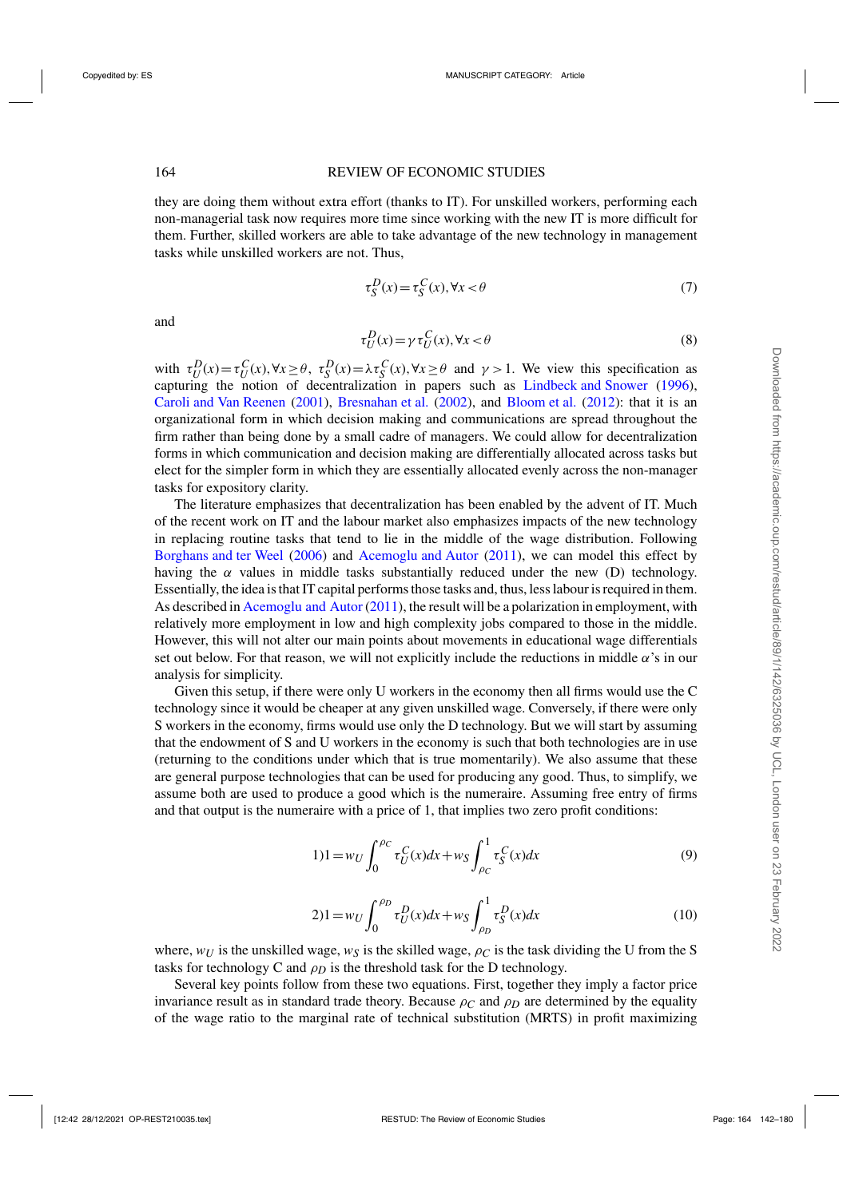<span id="page-22-0"></span>they are doing them without extra effort (thanks to IT). For unskilled workers, performing each non-managerial task now requires more time since working with the new IT is more difficult for them. Further, skilled workers are able to take advantage of the new technology in management tasks while unskilled workers are not. Thus,

$$
\tau_S^D(x) = \tau_S^C(x), \forall x < \theta \tag{7}
$$

and

$$
\tau_U^D(x) = \gamma \tau_U^C(x), \forall x < \theta \tag{8}
$$

with  $\tau_U^D(x) = \tau_U^C(x)$ ,  $\forall x \ge \theta$ ,  $\tau_S^D(x) = \lambda \tau_S^C(x)$ ,  $\forall x \ge \theta$  and  $\gamma > 1$ . We view this specification as capturing the notion of decentralization in papers such as [Lindbeck and Snower](#page-38-0) [\(1996](#page-38-0)), [Caroli and Van Reenen](#page-37-0) [\(2001\)](#page-37-0), [Bresnahan et al.](#page-37-0) [\(2002\)](#page-37-0), and [Bloom et al.](#page-37-0) [\(2012](#page-37-0)): that it is an organizational form in which decision making and communications are spread throughout the firm rather than being done by a small cadre of managers. We could allow for decentralization forms in which communication and decision making are differentially allocated across tasks but elect for the simpler form in which they are essentially allocated evenly across the non-manager tasks for expository clarity.

The literature emphasizes that decentralization has been enabled by the advent of IT. Much of the recent work on IT and the labour market also emphasizes impacts of the new technology in replacing routine tasks that tend to lie in the middle of the wage distribution. Following [Borghans and ter Weel](#page-37-0) [\(2006\)](#page-37-0) and [Acemoglu and Autor](#page-37-0) [\(2011\)](#page-37-0), we can model this effect by having the  $\alpha$  values in middle tasks substantially reduced under the new (D) technology. Essentially, the idea is that IT capital performs those tasks and, thus, less labour is required in them. As described in [Acemoglu and Autor](#page-37-0) [\(2011](#page-37-0)), the result will be a polarization in employment, with relatively more employment in low and high complexity jobs compared to those in the middle. However, this will not alter our main points about movements in educational wage differentials set out below. For that reason, we will not explicitly include the reductions in middle  $\alpha$ 's in our analysis for simplicity.

Given this setup, if there were only U workers in the economy then all firms would use the C technology since it would be cheaper at any given unskilled wage. Conversely, if there were only S workers in the economy, firms would use only the D technology. But we will start by assuming that the endowment of S and U workers in the economy is such that both technologies are in use (returning to the conditions under which that is true momentarily). We also assume that these are general purpose technologies that can be used for producing any good. Thus, to simplify, we assume both are used to produce a good which is the numeraire. Assuming free entry of firms and that output is the numeraire with a price of 1, that implies two zero profit conditions:

$$
1)1 = w_U \int_0^{\rho_C} \tau_U^C(x) dx + w_S \int_{\rho_C}^1 \tau_S^C(x) dx
$$
\n(9)

$$
2)1 = w_U \int_0^{\rho_D} \tau_U^D(x) dx + w_S \int_{\rho_D}^1 \tau_S^D(x) dx
$$
 (10)

where,  $w_U$  is the unskilled wage,  $w_S$  is the skilled wage,  $\rho_C$  is the task dividing the U from the S tasks for technology C and  $\rho_D$  is the threshold task for the D technology.

Several key points follow from these two equations. First, together they imply a factor price invariance result as in standard trade theory. Because  $\rho_C$  and  $\rho_D$  are determined by the equality of the wage ratio to the marginal rate of technical substitution (MRTS) in profit maximizing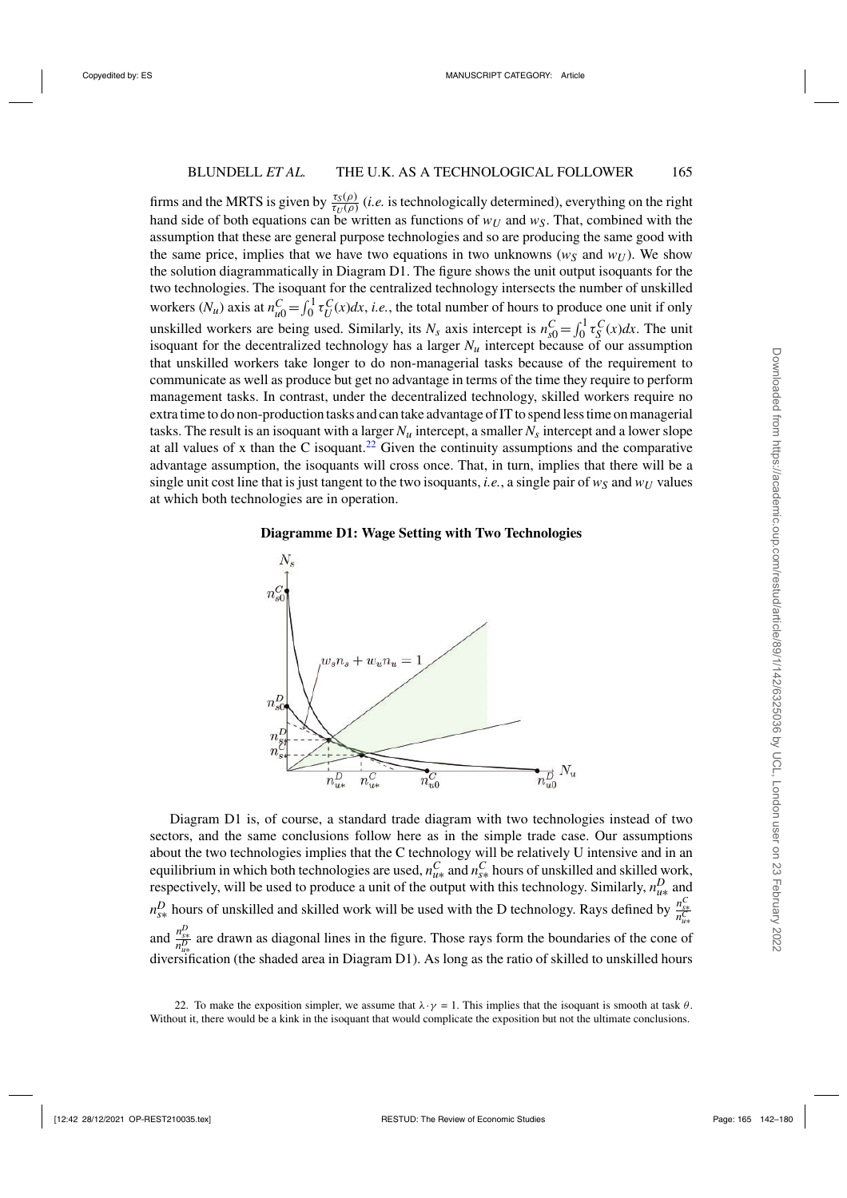firms and the MRTS is given by  $\frac{\tau_S(\rho)}{\tau_U(\rho)}$  (*i.e.* is technologically determined), everything on the right hand side of both equations can be written as functions of  $w_U$  and  $w_S$ . That, combined with the assumption that these are general purpose technologies and so are producing the same good with the same price, implies that we have two equations in two unknowns ( $w<sub>S</sub>$  and  $w<sub>U</sub>$ ). We show the solution diagrammatically in Diagram D1. The figure shows the unit output isoquants for the two technologies. The isoquant for the centralized technology intersects the number of unskilled workers  $(N_u)$  axis at  $n_{u0}^C = \int_0^1 \tau_U^C(x) dx$ , *i.e.*, the total number of hours to produce one unit if only unskilled workers are being used. Similarly, its  $N_s$  axis intercept is  $n_{s0}^C = \int_0^1 \tau_s^C(x) dx$ . The unit isoquant for the decentralized technology has a larger  $N_u$  intercept because of our assumption that unskilled workers take longer to do non-managerial tasks because of the requirement to communicate as well as produce but get no advantage in terms of the time they require to perform management tasks. In contrast, under the decentralized technology, skilled workers require no extra time to do non-production tasks and can take advantage of IT to spend less time on managerial tasks. The result is an isoquant with a larger  $N_u$  intercept, a smaller  $N_s$  intercept and a lower slope at all values of x than the C isoquant.<sup>22</sup> Given the continuity assumptions and the comparative advantage assumption, the isoquants will cross once. That, in turn, implies that there will be a single unit cost line that is just tangent to the two isoquants, *i.e.*, a single pair of  $w<sub>S</sub>$  and  $w<sub>U</sub>$  values at which both technologies are in operation.

# **Diagramme D1: Wage Setting with Two Technologies**



Diagram D1 is, of course, a standard trade diagram with two technologies instead of two sectors, and the same conclusions follow here as in the simple trade case. Our assumptions about the two technologies implies that the C technology will be relatively U intensive and in an equilibrium in which both technologies are used,  $n_{u*}^C$  and  $n_{s*}^C$  hours of unskilled and skilled work,<br>respectively, will be used to produce a unit of the output with this technology. Similarly,  $n_{u*}^D$  and  $n_{s*}^D$  hours of unskilled and skilled work will be used with the D technology. Rays defined by  $\frac{n_{s*}^C}{n_{us}^C}$ and  $\frac{n_{\rm g*}^D}{n_{\rm g*}^D}$  are drawn as diagonal lines in the figure. Those rays form the boundaries of the cone of diversification (the shaded area in Diagram D1). As long as the ratio of skilled to unskilled hours

<sup>22.</sup> To make the exposition simpler, we assume that  $\lambda \cdot \gamma = 1$ . This implies that the isoquant is smooth at task  $\theta$ . Without it, there would be a kink in the isoquant that would complicate the exposition but not the ultimate conclusions.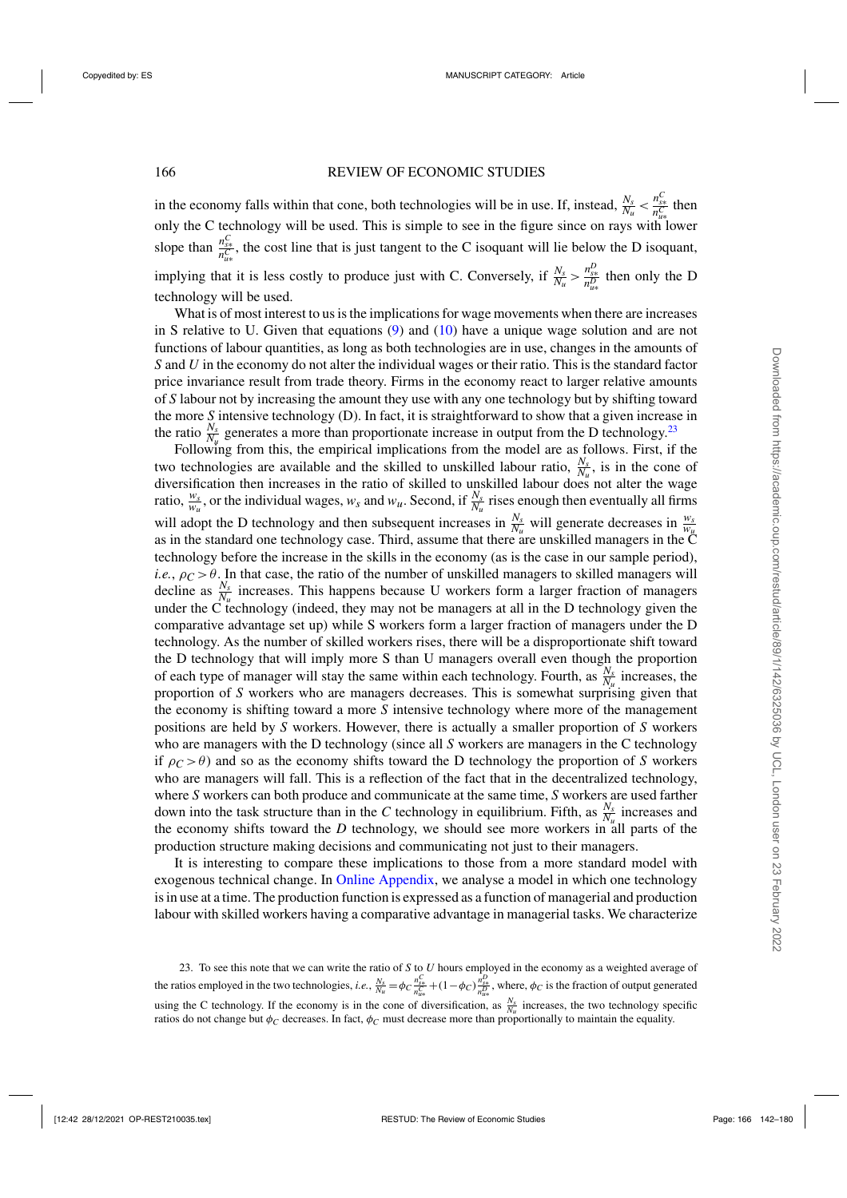in the economy falls within that cone, both technologies will be in use. If, instead,  $\frac{N_s}{N_u} < \frac{n_{\rm s}^C}{n_{\rm s}^C}$  then only the C technology will be used. This is simple to see in the figure since on rays with lower slope than  $\frac{n_{ss}^C}{n_{us}^C}$ , the cost line that is just tangent to the C isoquant will lie below the D isoquant, implying that it is less costly to produce just with C. Conversely, if  $\frac{N_s}{N_u} > \frac{n_{ss}^D}{n_{us}^D}$  then only the D technology will be used.

What is of most interest to us is the implications for wage movements when there are increases in S relative to U. Given that equations  $(9)$  and  $(10)$  have a unique wage solution and are not functions of labour quantities, as long as both technologies are in use, changes in the amounts of *S* and *U* in the economy do not alter the individual wages or their ratio. This is the standard factor price invariance result from trade theory. Firms in the economy react to larger relative amounts of *S* labour not by increasing the amount they use with any one technology but by shifting toward the more *S* intensive technology (D). In fact, it is straightforward to show that a given increase in the ratio  $\frac{N_s}{N_u}$  generates a more than proportionate increase in output from the D technology.<sup>23</sup>

Following from this, the empirical implications from the model are as follows. First, if the two technologies are available and the skilled to unskilled labour ratio,  $\frac{N_s}{N_u}$ , is in the cone of diversification then increases in the ratio of skilled to unskilled labour does not alter the wage ratio,  $\frac{w_s}{w_u}$ , or the individual wages,  $w_s$  and  $w_u$ . Second, if  $\frac{N_s}{N_u}$  rises enough then eventually all firms will adopt the D technology and then subsequent increases in  $\frac{N_s}{N_u}$  will generate decreases in  $\frac{w_s}{w_\mu}$ as in the standard one technology case. Third, assume that there are unskilled managers in the C technology before the increase in the skills in the economy (as is the case in our sample period), *i.e.*,  $\rho_C > \theta$ . In that case, the ratio of the number of unskilled managers to skilled managers will decline as  $\frac{N_s}{N_u}$  increases. This happens because U workers form a larger fraction of managers under the C technology (indeed, they may not be managers at all in the D technology given the comparative advantage set up) while S workers form a larger fraction of managers under the D technology. As the number of skilled workers rises, there will be a disproportionate shift toward the D technology that will imply more S than U managers overall even though the proportion of each type of manager will stay the same within each technology. Fourth, as  $\frac{N_s}{N_u}$  increases, the proportion of *S* workers who are managers decreases. This is somewhat surprising given that the economy is shifting toward a more *S* intensive technology where more of the management positions are held by *S* workers. However, there is actually a smaller proportion of *S* workers who are managers with the D technology (since all *S* workers are managers in the C technology if  $\rho_C > \theta$ ) and so as the economy shifts toward the D technology the proportion of *S* workers who are managers will fall. This is a reflection of the fact that in the decentralized technology, where *S* workers can both produce and communicate at the same time, *S* workers are used farther down into the task structure than in the *C* technology in equilibrium. Fifth, as  $\frac{N_s}{N_u}$  increases and the economy shifts toward the *D* technology, we should see more workers in all parts of the production structure making decisions and communicating not just to their managers.

It is interesting to compare these implications to those from a more standard model with exogenous technical change. In [Online Appendix,](https://academic.oup.com/restud/article-lookup/doi/10.1093/restud/rdab034#supplementary-data) we analyse a model in which one technology is in use at a time. The production function is expressed as a function of managerial and production labour with skilled workers having a comparative advantage in managerial tasks. We characterize

23. To see this note that we can write the ratio of *S* to *U* hours employed in the economy as a weighted average of the ratios employed in the two technologies, *i.e.*,  $\frac{N_s}{N_u} = \phi_C \frac{n_{ss}^C}{n_{us}^C} + (1 - \phi_C) \frac{n_{ss}^D}{n_{us}^D}$ , where,  $\phi_C$  is the fraction of output generated using the C technology. If the economy is in the cone of diversification, as  $\frac{N_s}{N_u}$  increases, the two technology specific ratios do not change but  $\phi_C$  decreases. In fact,  $\phi_C$  must decrease more than proportionally to maintain the equality.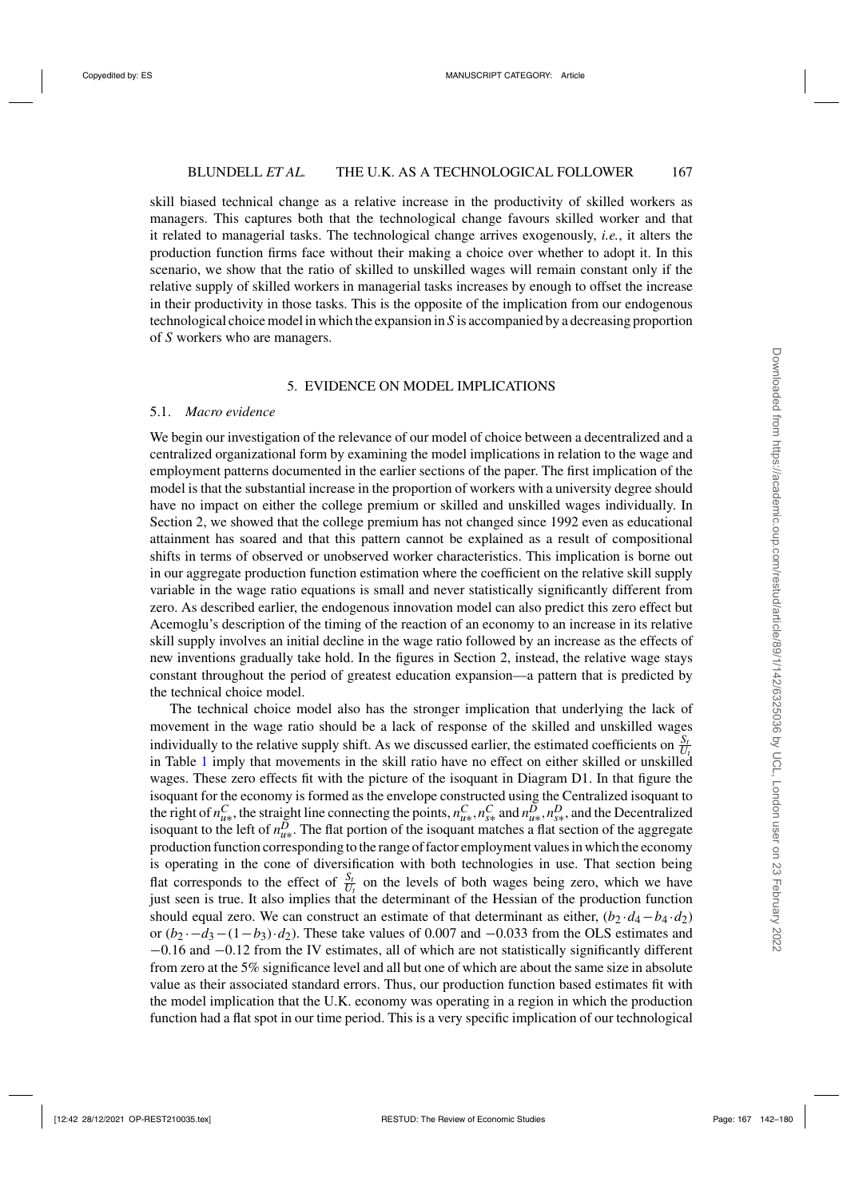skill biased technical change as a relative increase in the productivity of skilled workers as managers. This captures both that the technological change favours skilled worker and that it related to managerial tasks. The technological change arrives exogenously, *i.e.*, it alters the production function firms face without their making a choice over whether to adopt it. In this scenario, we show that the ratio of skilled to unskilled wages will remain constant only if the relative supply of skilled workers in managerial tasks increases by enough to offset the increase in their productivity in those tasks. This is the opposite of the implication from our endogenous technological choice model in which the expansion in *S* is accompanied by a decreasing proportion of *S* workers who are managers.

# 5. EVIDENCE ON MODEL IMPLICATIONS

### 5.1. *Macro evidence*

We begin our investigation of the relevance of our model of choice between a decentralized and a centralized organizational form by examining the model implications in relation to the wage and employment patterns documented in the earlier sections of the paper. The first implication of the model is that the substantial increase in the proportion of workers with a university degree should have no impact on either the college premium or skilled and unskilled wages individually. In Section 2, we showed that the college premium has not changed since 1992 even as educational attainment has soared and that this pattern cannot be explained as a result of compositional shifts in terms of observed or unobserved worker characteristics. This implication is borne out in our aggregate production function estimation where the coefficient on the relative skill supply variable in the wage ratio equations is small and never statistically significantly different from zero. As described earlier, the endogenous innovation model can also predict this zero effect but Acemoglu's description of the timing of the reaction of an economy to an increase in its relative skill supply involves an initial decline in the wage ratio followed by an increase as the effects of new inventions gradually take hold. In the figures in Section 2, instead, the relative wage stays constant throughout the period of greatest education expansion—a pattern that is predicted by the technical choice model.

The technical choice model also has the stronger implication that underlying the lack of movement in the wage ratio should be a lack of response of the skilled and unskilled wages individually to the relative supply shift. As we discussed earlier, the estimated coefficients on  $\frac{S_t}{U_t}$ in Table [1](#page-16-0) imply that movements in the skill ratio have no effect on either skilled or unskilled wages. These zero effects fit with the picture of the isoquant in Diagram D1. In that figure the isoquant for the economy is formed as the envelope constructed using the Centralized isoquant to the right of  $n_{u*}^C$ , the straight line connecting the points,  $n_{u*}^C$ ,  $n_{u*}^C$  and  $n_{u*}^D$ ,  $n_{v*}^D$ , and the Decentralized isoquant to the left of  $n_{u*}^D$ . The flat portion of the isoquant matches a flat section of the aggregate production function corresponding to the range of factor employment values in which the economy is operating in the cone of diversification with both technologies in use. That section being flat corresponds to the effect of  $\frac{S_t}{U_t}$  on the levels of both wages being zero, which we have just seen is true. It also implies that the determinant of the Hessian of the production function should equal zero. We can construct an estimate of that determinant as either,  $(b_2 \cdot d_4 - b_4 \cdot d_2)$ or  $(b_2 \cdot -d_3 - (1-b_3) \cdot d_2)$ . These take values of 0.007 and  $-0.033$  from the OLS estimates and −0.16 and −0.12 from the IV estimates, all of which are not statistically significantly different from zero at the 5% significance level and all but one of which are about the same size in absolute value as their associated standard errors. Thus, our production function based estimates fit with the model implication that the U.K. economy was operating in a region in which the production function had a flat spot in our time period. This is a very specific implication of our technological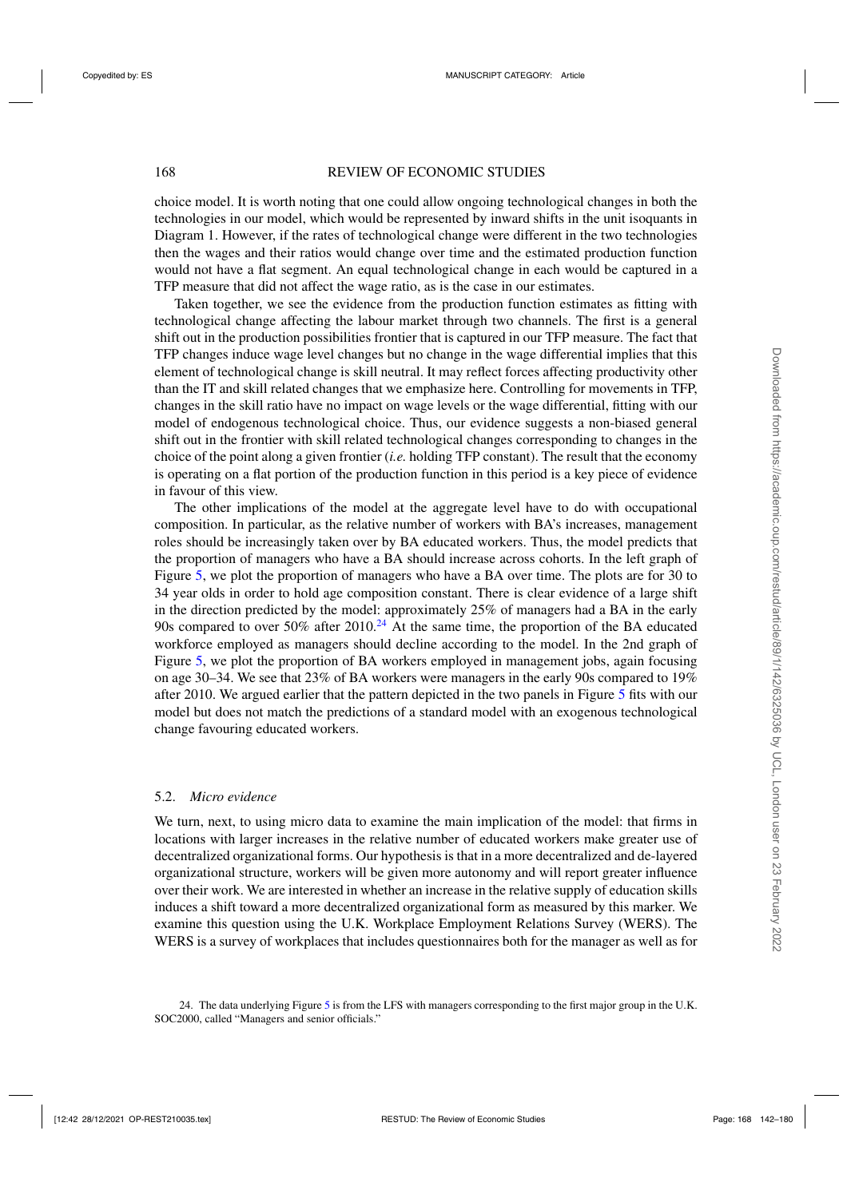choice model. It is worth noting that one could allow ongoing technological changes in both the technologies in our model, which would be represented by inward shifts in the unit isoquants in Diagram 1. However, if the rates of technological change were different in the two technologies then the wages and their ratios would change over time and the estimated production function would not have a flat segment. An equal technological change in each would be captured in a TFP measure that did not affect the wage ratio, as is the case in our estimates.

Taken together, we see the evidence from the production function estimates as fitting with technological change affecting the labour market through two channels. The first is a general shift out in the production possibilities frontier that is captured in our TFP measure. The fact that TFP changes induce wage level changes but no change in the wage differential implies that this element of technological change is skill neutral. It may reflect forces affecting productivity other than the IT and skill related changes that we emphasize here. Controlling for movements in TFP, changes in the skill ratio have no impact on wage levels or the wage differential, fitting with our model of endogenous technological choice. Thus, our evidence suggests a non-biased general shift out in the frontier with skill related technological changes corresponding to changes in the choice of the point along a given frontier (*i.e.* holding TFP constant). The result that the economy is operating on a flat portion of the production function in this period is a key piece of evidence in favour of this view.

The other implications of the model at the aggregate level have to do with occupational composition. In particular, as the relative number of workers with BA's increases, management roles should be increasingly taken over by BA educated workers. Thus, the model predicts that the proportion of managers who have a BA should increase across cohorts. In the left graph of Figure [5,](#page-27-0) we plot the proportion of managers who have a BA over time. The plots are for 30 to 34 year olds in order to hold age composition constant. There is clear evidence of a large shift in the direction predicted by the model: approximately 25% of managers had a BA in the early 90s compared to over 50% after  $2010^{24}$  At the same time, the proportion of the BA educated workforce employed as managers should decline according to the model. In the 2nd graph of Figure [5,](#page-27-0) we plot the proportion of BA workers employed in management jobs, again focusing on age 30–34. We see that 23% of BA workers were managers in the early 90s compared to 19% after 2010. We argued earlier that the pattern depicted in the two panels in Figure [5](#page-27-0) fits with our model but does not match the predictions of a standard model with an exogenous technological change favouring educated workers.

## 5.2. *Micro evidence*

We turn, next, to using micro data to examine the main implication of the model: that firms in locations with larger increases in the relative number of educated workers make greater use of decentralized organizational forms. Our hypothesis is that in a more decentralized and de-layered organizational structure, workers will be given more autonomy and will report greater influence over their work. We are interested in whether an increase in the relative supply of education skills induces a shift toward a more decentralized organizational form as measured by this marker. We examine this question using the U.K. Workplace Employment Relations Survey (WERS). The WERS is a survey of workplaces that includes questionnaires both for the manager as well as for

<sup>24.</sup> The data underlying Figure [5](#page-27-0) is from the LFS with managers corresponding to the first major group in the U.K. SOC2000, called "Managers and senior officials."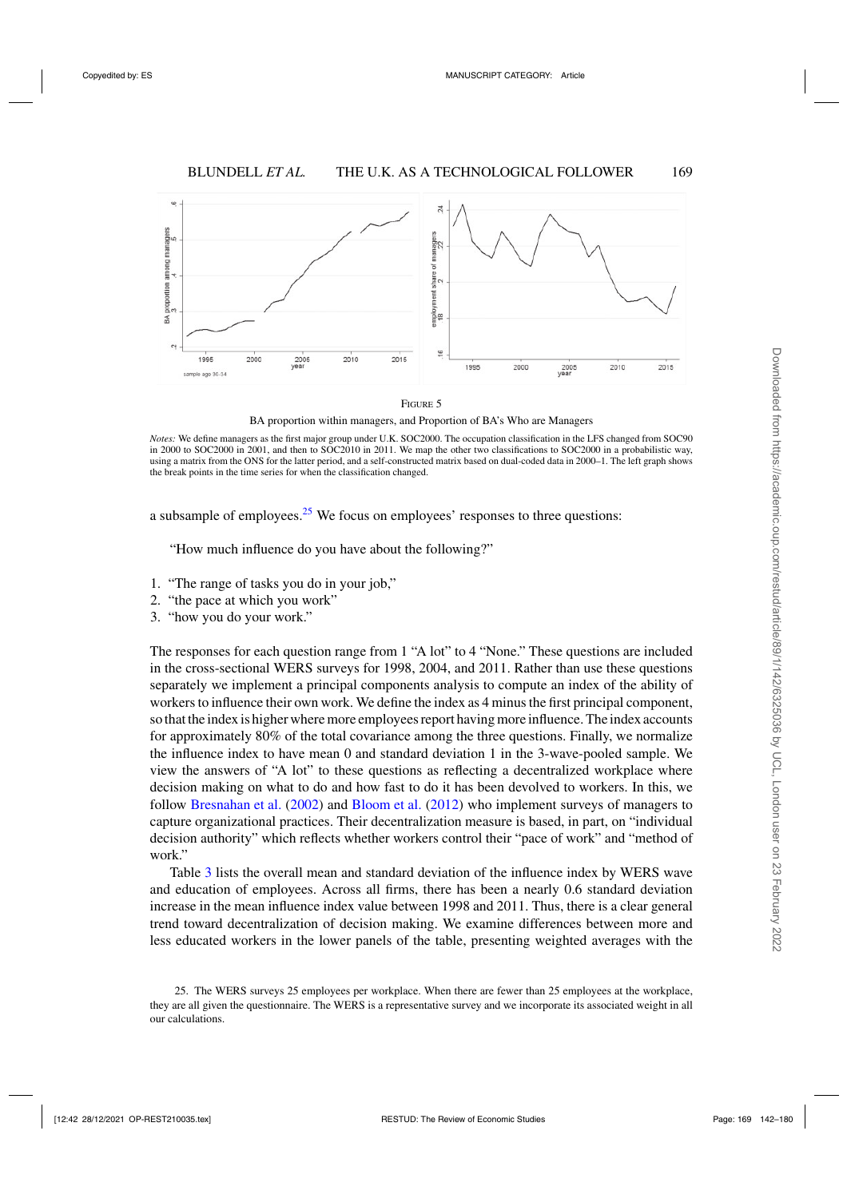<span id="page-27-0"></span>



BA proportion within managers, and Proportion of BA's Who are Managers

*Notes:* We define managers as the first major group under U.K. SOC2000. The occupation classification in the LFS changed from SOC90 in 2000 to SOC2000 in 2001, and then to SOC2010 in 2011. We map the other two classifications to SOC2000 in a probabilistic way, using a matrix from the ONS for the latter period, and a self-constructed matrix based on dual-coded data in 2000–1. The left graph shows the break points in the time series for when the classification changed.

a subsample of employees.<sup>25</sup> We focus on employees' responses to three questions:

"How much influence do you have about the following?"

- 1. "The range of tasks you do in your job,"
- 2. "the pace at which you work"
- 3. "how you do your work."

The responses for each question range from 1 "A lot" to 4 "None." These questions are included in the cross-sectional WERS surveys for 1998, 2004, and 2011. Rather than use these questions separately we implement a principal components analysis to compute an index of the ability of workers to influence their own work. We define the index as 4 minus the first principal component, so that the index is higher where more employees report having more influence. The index accounts for approximately 80% of the total covariance among the three questions. Finally, we normalize the influence index to have mean 0 and standard deviation 1 in the 3-wave-pooled sample. We view the answers of "A lot" to these questions as reflecting a decentralized workplace where decision making on what to do and how fast to do it has been devolved to workers. In this, we follow [Bresnahan et al.](#page-37-0) [\(2002](#page-37-0)) and [Bloom et al.](#page-37-0) [\(2012\)](#page-37-0) who implement surveys of managers to capture organizational practices. Their decentralization measure is based, in part, on "individual decision authority" which reflects whether workers control their "pace of work" and "method of work."

Table [3](#page-28-0) lists the overall mean and standard deviation of the influence index by WERS wave and education of employees. Across all firms, there has been a nearly 0.6 standard deviation increase in the mean influence index value between 1998 and 2011. Thus, there is a clear general trend toward decentralization of decision making. We examine differences between more and less educated workers in the lower panels of the table, presenting weighted averages with the

<sup>25.</sup> The WERS surveys 25 employees per workplace. When there are fewer than 25 employees at the workplace, they are all given the questionnaire. The WERS is a representative survey and we incorporate its associated weight in all our calculations.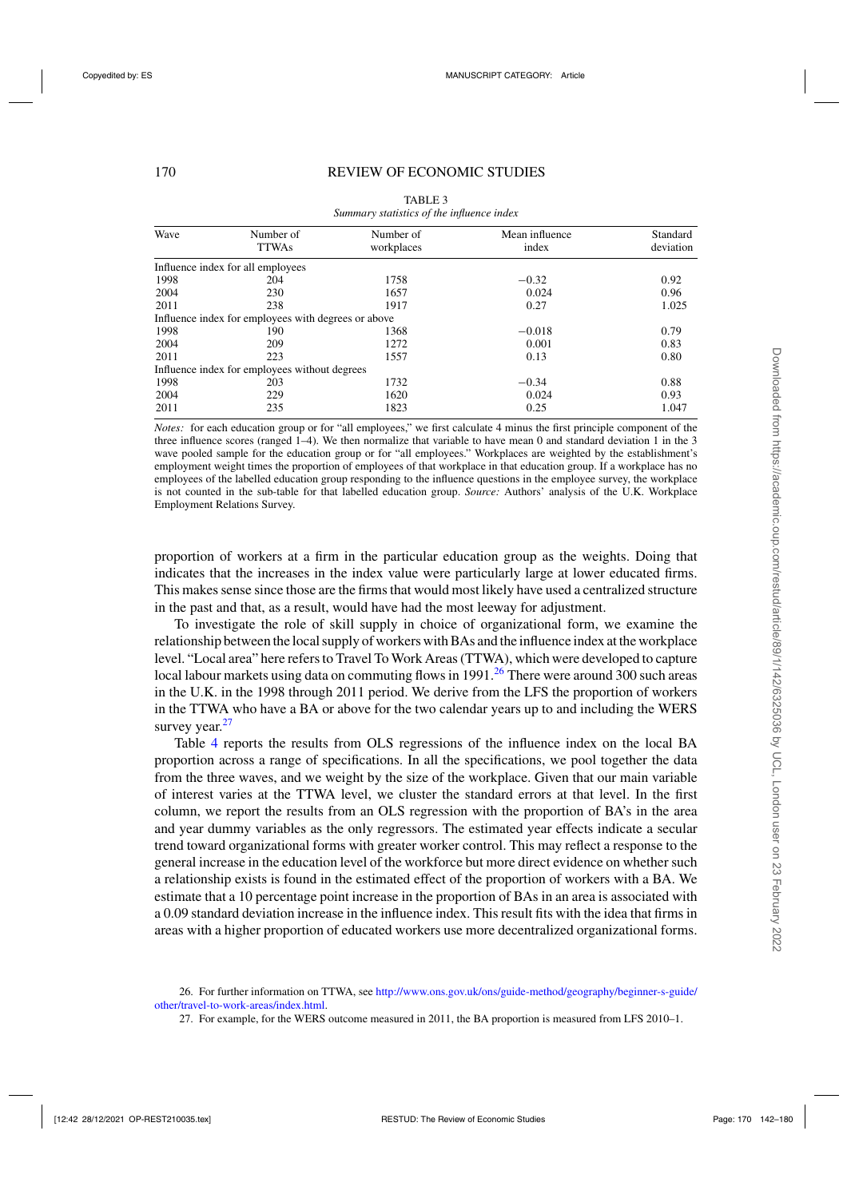<span id="page-28-0"></span>

| Wave | Number of<br><b>TTWAs</b>                           | Number of<br>workplaces | Mean influence<br>index | Standard<br>deviation |
|------|-----------------------------------------------------|-------------------------|-------------------------|-----------------------|
|      | Influence index for all employees                   |                         |                         |                       |
| 1998 | 204                                                 | 1758                    | $-0.32$                 | 0.92                  |
| 2004 | 230                                                 | 1657                    | 0.024                   | 0.96                  |
| 2011 | 238                                                 | 1917                    | 0.27                    | 1.025                 |
|      | Influence index for employees with degrees or above |                         |                         |                       |
| 1998 | 190                                                 | 1368                    | $-0.018$                | 0.79                  |
| 2004 | 209                                                 | 1272                    | 0.001                   | 0.83                  |
| 2011 | 223                                                 | 1557                    | 0.13                    | 0.80                  |
|      | Influence index for employees without degrees       |                         |                         |                       |
| 1998 | 203                                                 | 1732                    | $-0.34$                 | 0.88                  |
| 2004 | 229                                                 | 1620                    | 0.024                   | 0.93                  |
| 2011 | 235                                                 | 1823                    | 0.25                    | 1.047                 |

TABLE 3 *Summary statistics of the influence index*

*Notes:* for each education group or for "all employees," we first calculate 4 minus the first principle component of the three influence scores (ranged 1–4). We then normalize that variable to have mean 0 and standard deviation 1 in the 3 wave pooled sample for the education group or for "all employees." Workplaces are weighted by the establishment's employment weight times the proportion of employees of that workplace in that education group. If a workplace has no employees of the labelled education group responding to the influence questions in the employee survey, the workplace is not counted in the sub-table for that labelled education group. *Source:* Authors' analysis of the U.K. Workplace Employment Relations Survey.

proportion of workers at a firm in the particular education group as the weights. Doing that indicates that the increases in the index value were particularly large at lower educated firms. This makes sense since those are the firms that would most likely have used a centralized structure in the past and that, as a result, would have had the most leeway for adjustment.

To investigate the role of skill supply in choice of organizational form, we examine the relationship between the local supply of workers with BAs and the influence index at the workplace level. "Local area" here refers to Travel To Work Areas (TTWA), which were developed to capture local labour markets using data on commuting flows in 1991.<sup>26</sup> There were around 300 such areas in the U.K. in the 1998 through 2011 period. We derive from the LFS the proportion of workers in the TTWA who have a BA or above for the two calendar years up to and including the WERS survey year. $27$ 

Table [4](#page-29-0) reports the results from OLS regressions of the influence index on the local BA proportion across a range of specifications. In all the specifications, we pool together the data from the three waves, and we weight by the size of the workplace. Given that our main variable of interest varies at the TTWA level, we cluster the standard errors at that level. In the first column, we report the results from an OLS regression with the proportion of BA's in the area and year dummy variables as the only regressors. The estimated year effects indicate a secular trend toward organizational forms with greater worker control. This may reflect a response to the general increase in the education level of the workforce but more direct evidence on whether such a relationship exists is found in the estimated effect of the proportion of workers with a BA. We estimate that a 10 percentage point increase in the proportion of BAs in an area is associated with a 0.09 standard deviation increase in the influence index. This result fits with the idea that firms in areas with a higher proportion of educated workers use more decentralized organizational forms.

<sup>26.</sup> For further information on TTWA, see [http://www.ons.gov.uk/ons/guide-method/geography/beginner-s-guide/](http://www.ons.gov.uk/ons/guide-method/geography/beginner-s-guide/other/travel-to-work-areas/index.html) [other/travel-to-work-areas/index.html.](http://www.ons.gov.uk/ons/guide-method/geography/beginner-s-guide/other/travel-to-work-areas/index.html)

<sup>27.</sup> For example, for the WERS outcome measured in 2011, the BA proportion is measured from LFS 2010–1.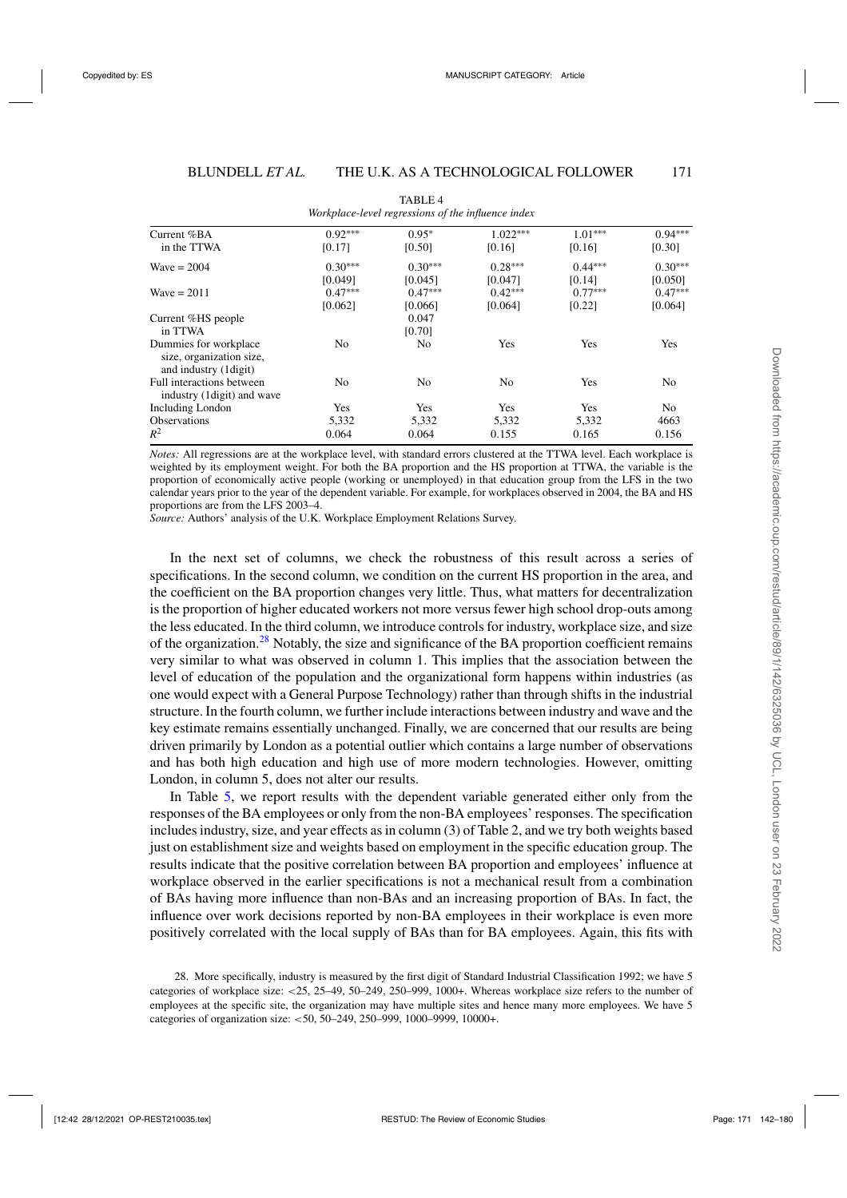<span id="page-29-0"></span>

|                                                                             |           | $\cdots$       |            |           |                |
|-----------------------------------------------------------------------------|-----------|----------------|------------|-----------|----------------|
| Current %BA                                                                 | $0.92***$ | $0.95*$        | $1.022***$ | $1.01***$ | $0.94***$      |
| in the TTWA                                                                 | [0.17]    | [0.50]         | [0.16]     | [0.16]    | [0.30]         |
| Wave $= 2004$                                                               | $0.30***$ | $0.30***$      | $0.28***$  | $0.44***$ | $0.30***$      |
|                                                                             | [0.049]   | [0.045]        | [0.047]    | [0.14]    | [0.050]        |
| Wave $= 2011$                                                               | $0.47***$ | $0.47***$      | $0.42***$  | $0.77***$ | $0.47***$      |
|                                                                             | [0.062]   | [0.066]        | [0.064]    | [0.22]    | [0.064]        |
| Current %HS people                                                          |           | 0.047          |            |           |                |
| in TTWA                                                                     |           | [0.70]         |            |           |                |
| Dummies for workplace<br>size, organization size,<br>and industry (1 digit) | No.       | N <sub>0</sub> | Yes        | Yes       | Yes            |
| Full interactions between<br>industry (1 digit) and wave                    | No        | N <sub>0</sub> | No         | Yes       | No             |
| <b>Including London</b>                                                     | Yes       | Yes            | Yes        | Yes       | N <sub>0</sub> |
| <b>Observations</b>                                                         | 5,332     | 5,332          | 5,332      | 5,332     | 4663           |
| $R^2$                                                                       | 0.064     | 0.064          | 0.155      | 0.165     | 0.156          |

TABLE 4 *Workplace-level regressions of the influence index*

*Notes:* All regressions are at the workplace level, with standard errors clustered at the TTWA level. Each workplace is weighted by its employment weight. For both the BA proportion and the HS proportion at TTWA, the variable is the proportion of economically active people (working or unemployed) in that education group from the LFS in the two calendar years prior to the year of the dependent variable. For example, for workplaces observed in 2004, the BA and HS proportions are from the LFS 2003–4.

*Source:* Authors' analysis of the U.K. Workplace Employment Relations Survey.

In the next set of columns, we check the robustness of this result across a series of specifications. In the second column, we condition on the current HS proportion in the area, and the coefficient on the BA proportion changes very little. Thus, what matters for decentralization is the proportion of higher educated workers not more versus fewer high school drop-outs among the less educated. In the third column, we introduce controls for industry, workplace size, and size of the organization. $28$  Notably, the size and significance of the BA proportion coefficient remains very similar to what was observed in column 1. This implies that the association between the level of education of the population and the organizational form happens within industries (as one would expect with a General Purpose Technology) rather than through shifts in the industrial structure. In the fourth column, we further include interactions between industry and wave and the key estimate remains essentially unchanged. Finally, we are concerned that our results are being driven primarily by London as a potential outlier which contains a large number of observations and has both high education and high use of more modern technologies. However, omitting London, in column 5, does not alter our results.

In Table [5,](#page-30-0) we report results with the dependent variable generated either only from the responses of the BA employees or only from the non-BA employees' responses. The specification includes industry, size, and year effects as in column (3) of Table 2, and we try both weights based just on establishment size and weights based on employment in the specific education group. The results indicate that the positive correlation between BA proportion and employees' influence at workplace observed in the earlier specifications is not a mechanical result from a combination of BAs having more influence than non-BAs and an increasing proportion of BAs. In fact, the influence over work decisions reported by non-BA employees in their workplace is even more positively correlated with the local supply of BAs than for BA employees. Again, this fits with

<sup>28.</sup> More specifically, industry is measured by the first digit of Standard Industrial Classification 1992; we have 5 categories of workplace size: <25, 25–49, 50–249, 250–999, 1000+. Whereas workplace size refers to the number of employees at the specific site, the organization may have multiple sites and hence many more employees. We have 5 categories of organization size: <50, 50–249, 250–999, 1000–9999, 10000+.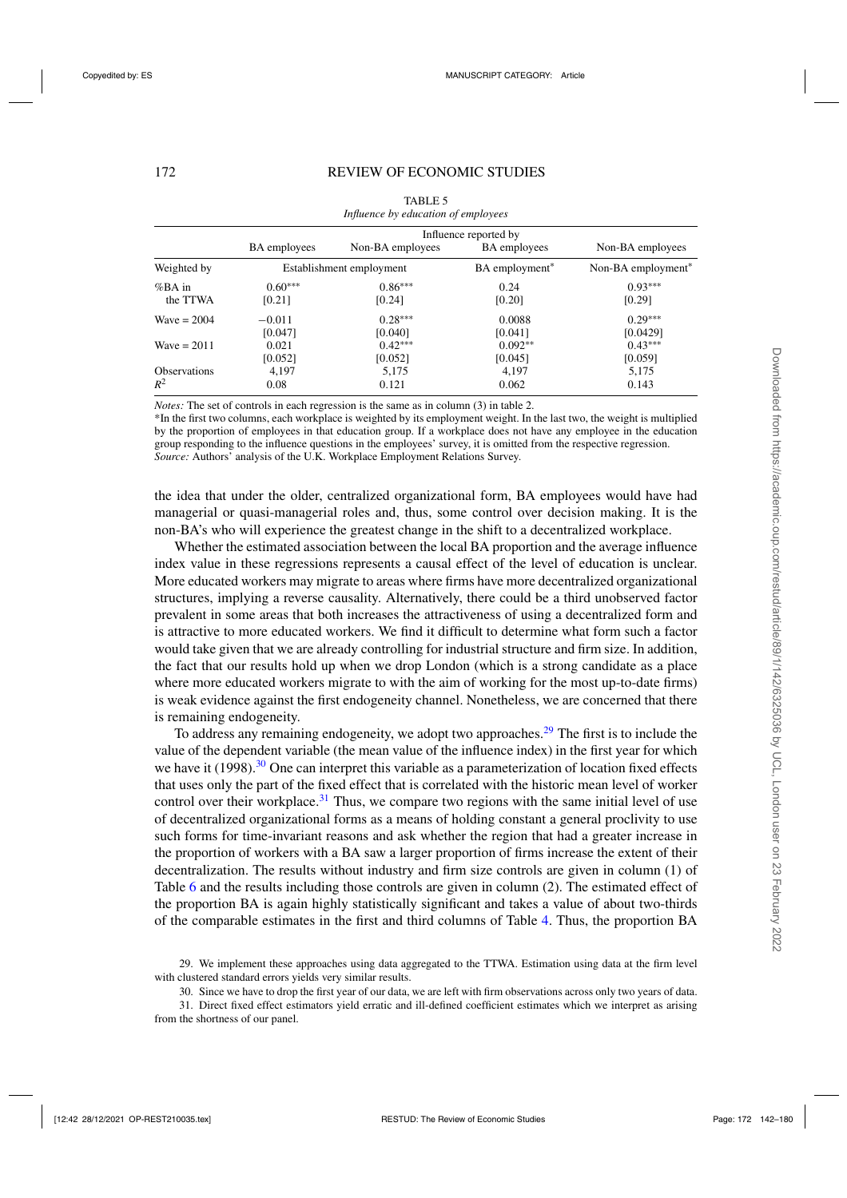<span id="page-30-0"></span>

|                     | Influence reported by |                          |                     |                                |
|---------------------|-----------------------|--------------------------|---------------------|--------------------------------|
|                     | <b>BA</b> employees   | Non-BA employees         | <b>BA</b> employees | Non-BA employees               |
| Weighted by         |                       | Establishment employment | BA employment*      | Non-BA employment <sup>*</sup> |
| %BA in              | $0.60***$             | $0.86***$                | 0.24                | $0.93***$                      |
| the TTWA            | [0.21]                | [0.24]                   | [0.20]              | [0.29]                         |
| Wave $= 2004$       | $-0.011$              | $0.28***$                | 0.0088              | $0.29***$                      |
|                     | [0.047]               | [0.040]                  | [0.041]             | [0.0429]                       |
| Wave $= 2011$       | 0.021                 | $0.42***$                | $0.092**$           | $0.43***$                      |
|                     | [0.052]               | [0.052]                  | [0.045]             | [0.059]                        |
| <b>Observations</b> | 4,197                 | 5,175                    | 4,197               | 5,175                          |
| $R^2$               | 0.08                  | 0.121                    | 0.062               | 0.143                          |

| TABLE 5                             |
|-------------------------------------|
| Influence by education of employees |

*Notes:* The set of controls in each regression is the same as in column (3) in table 2.

\*In the first two columns, each workplace is weighted by its employment weight. In the last two, the weight is multiplied by the proportion of employees in that education group. If a workplace does not have any employee in the education group responding to the influence questions in the employees' survey, it is omitted from the respective regression. *Source:* Authors' analysis of the U.K. Workplace Employment Relations Survey.

the idea that under the older, centralized organizational form, BA employees would have had managerial or quasi-managerial roles and, thus, some control over decision making. It is the non-BA's who will experience the greatest change in the shift to a decentralized workplace.

Whether the estimated association between the local BA proportion and the average influence index value in these regressions represents a causal effect of the level of education is unclear. More educated workers may migrate to areas where firms have more decentralized organizational structures, implying a reverse causality. Alternatively, there could be a third unobserved factor prevalent in some areas that both increases the attractiveness of using a decentralized form and is attractive to more educated workers. We find it difficult to determine what form such a factor would take given that we are already controlling for industrial structure and firm size. In addition, the fact that our results hold up when we drop London (which is a strong candidate as a place where more educated workers migrate to with the aim of working for the most up-to-date firms) is weak evidence against the first endogeneity channel. Nonetheless, we are concerned that there is remaining endogeneity.

To address any remaining endogeneity, we adopt two approaches.<sup>29</sup> The first is to include the value of the dependent variable (the mean value of the influence index) in the first year for which we have it (1998).<sup>30</sup> One can interpret this variable as a parameterization of location fixed effects that uses only the part of the fixed effect that is correlated with the historic mean level of worker control over their workplace.<sup>31</sup> Thus, we compare two regions with the same initial level of use of decentralized organizational forms as a means of holding constant a general proclivity to use such forms for time-invariant reasons and ask whether the region that had a greater increase in the proportion of workers with a BA saw a larger proportion of firms increase the extent of their decentralization. The results without industry and firm size controls are given in column (1) of Table [6](#page-31-0) and the results including those controls are given in column (2). The estimated effect of the proportion BA is again highly statistically significant and takes a value of about two-thirds of the comparable estimates in the first and third columns of Table [4.](#page-29-0) Thus, the proportion BA

<sup>29.</sup> We implement these approaches using data aggregated to the TTWA. Estimation using data at the firm level with clustered standard errors yields very similar results.

<sup>30.</sup> Since we have to drop the first year of our data, we are left with firm observations across only two years of data.

<sup>31.</sup> Direct fixed effect estimators yield erratic and ill-defined coefficient estimates which we interpret as arising from the shortness of our panel.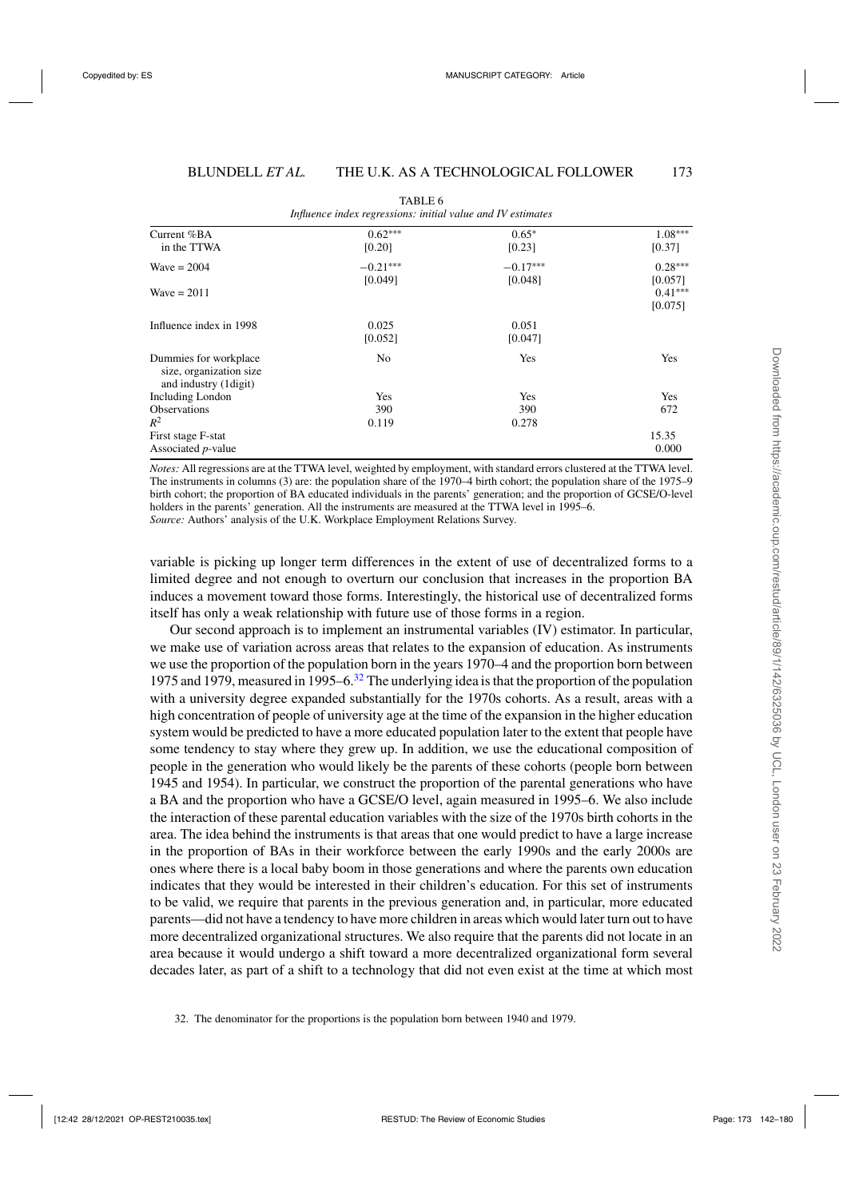<span id="page-31-0"></span>

| Current %BA<br>in the TTWA                                                | $0.62***$<br>[0.20] | $0.65*$<br>[0.23] | $1.08***$<br>[0.37]             |
|---------------------------------------------------------------------------|---------------------|-------------------|---------------------------------|
|                                                                           |                     |                   |                                 |
| Wave $= 2004$                                                             | $-0.21***$          | $-0.17***$        | $0.28***$                       |
| Wave = $2011$                                                             | [0.049]             | [0.048]           | [0.057]<br>$0.41***$<br>[0.075] |
| Influence index in 1998                                                   | 0.025<br>[0.052]    | 0.051<br>[0.047]  |                                 |
| Dummies for workplace<br>size, organization size<br>and industry (1digit) | N <sub>0</sub>      | Yes               | Yes                             |
| Including London                                                          | Yes                 | Yes               | Yes                             |
| <b>Observations</b>                                                       | 390                 | 390               | 672                             |
| $R^2$                                                                     | 0.119               | 0.278             |                                 |
| First stage F-stat                                                        |                     |                   | 15.35                           |
| Associated <i>p</i> -value                                                |                     |                   | 0.000                           |

TABLE 6 *Influence index regressions: initial value and IV estimates*

*Notes:* All regressions are at the TTWA level, weighted by employment, with standard errors clustered at the TTWA level. The instruments in columns (3) are: the population share of the 1970–4 birth cohort; the population share of the 1975–9 birth cohort; the proportion of BA educated individuals in the parents' generation; and the proportion of GCSE/O-level holders in the parents' generation. All the instruments are measured at the TTWA level in 1995–6. *Source:* Authors' analysis of the U.K. Workplace Employment Relations Survey.

variable is picking up longer term differences in the extent of use of decentralized forms to a limited degree and not enough to overturn our conclusion that increases in the proportion BA induces a movement toward those forms. Interestingly, the historical use of decentralized forms itself has only a weak relationship with future use of those forms in a region.

Our second approach is to implement an instrumental variables (IV) estimator. In particular, we make use of variation across areas that relates to the expansion of education. As instruments we use the proportion of the population born in the years 1970–4 and the proportion born between 1975 and 1979, measured in 1995–6. $32$  The underlying idea is that the proportion of the population with a university degree expanded substantially for the 1970s cohorts. As a result, areas with a high concentration of people of university age at the time of the expansion in the higher education system would be predicted to have a more educated population later to the extent that people have some tendency to stay where they grew up. In addition, we use the educational composition of people in the generation who would likely be the parents of these cohorts (people born between 1945 and 1954). In particular, we construct the proportion of the parental generations who have a BA and the proportion who have a GCSE/O level, again measured in 1995–6. We also include the interaction of these parental education variables with the size of the 1970s birth cohorts in the area. The idea behind the instruments is that areas that one would predict to have a large increase in the proportion of BAs in their workforce between the early 1990s and the early 2000s are ones where there is a local baby boom in those generations and where the parents own education indicates that they would be interested in their children's education. For this set of instruments to be valid, we require that parents in the previous generation and, in particular, more educated parents—did not have a tendency to have more children in areas which would later turn out to have more decentralized organizational structures. We also require that the parents did not locate in an area because it would undergo a shift toward a more decentralized organizational form several decades later, as part of a shift to a technology that did not even exist at the time at which most

<sup>32.</sup> The denominator for the proportions is the population born between 1940 and 1979.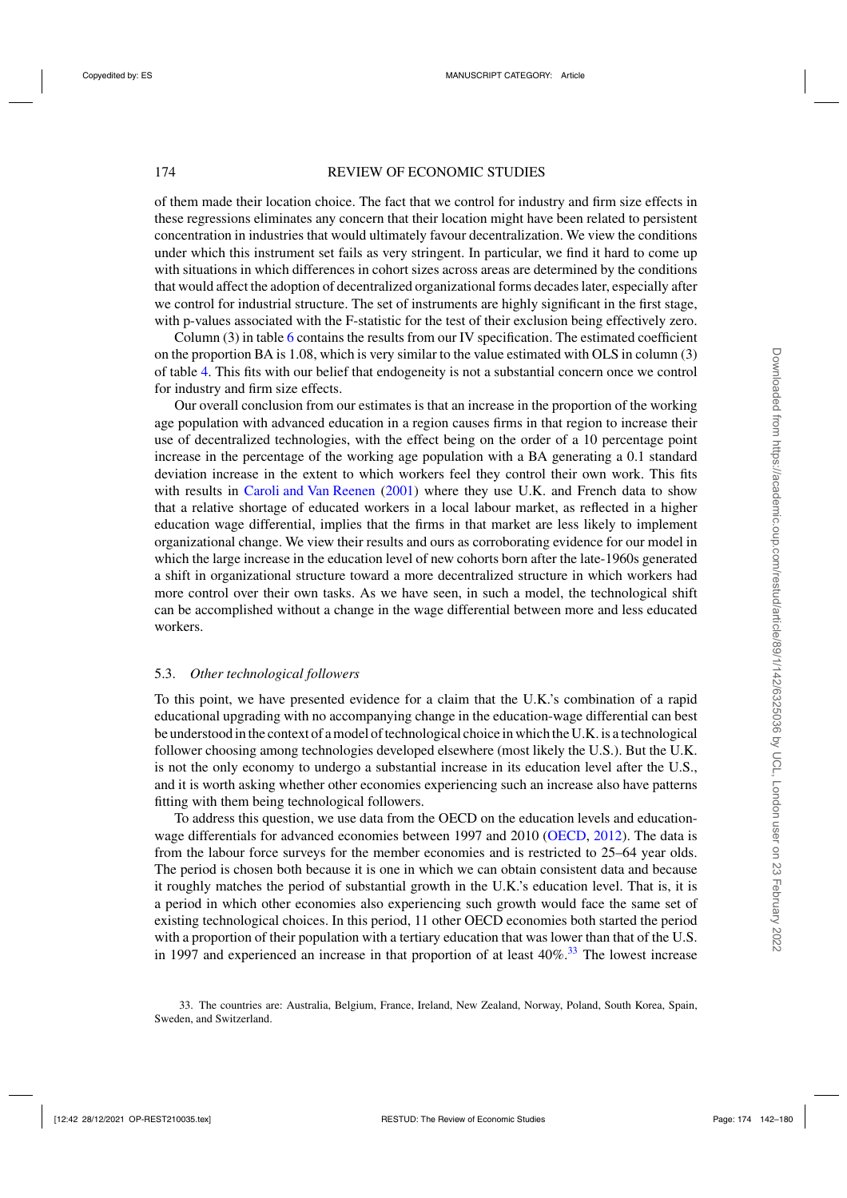# 174 REVIEW OF ECONOMIC STUDIES

of them made their location choice. The fact that we control for industry and firm size effects in these regressions eliminates any concern that their location might have been related to persistent concentration in industries that would ultimately favour decentralization. We view the conditions under which this instrument set fails as very stringent. In particular, we find it hard to come up with situations in which differences in cohort sizes across areas are determined by the conditions that would affect the adoption of decentralized organizational forms decades later, especially after we control for industrial structure. The set of instruments are highly significant in the first stage, with p-values associated with the F-statistic for the test of their exclusion being effectively zero.

Column (3) in table [6](#page-31-0) contains the results from our IV specification. The estimated coefficient on the proportion BA is 1.08, which is very similar to the value estimated with OLS in column (3) of table [4.](#page-29-0) This fits with our belief that endogeneity is not a substantial concern once we control for industry and firm size effects.

Our overall conclusion from our estimates is that an increase in the proportion of the working age population with advanced education in a region causes firms in that region to increase their use of decentralized technologies, with the effect being on the order of a 10 percentage point increase in the percentage of the working age population with a BA generating a 0.1 standard deviation increase in the extent to which workers feel they control their own work. This fits with results in [Caroli and Van Reenen](#page-37-0) [\(2001](#page-37-0)) where they use U.K. and French data to show that a relative shortage of educated workers in a local labour market, as reflected in a higher education wage differential, implies that the firms in that market are less likely to implement organizational change. We view their results and ours as corroborating evidence for our model in which the large increase in the education level of new cohorts born after the late-1960s generated a shift in organizational structure toward a more decentralized structure in which workers had more control over their own tasks. As we have seen, in such a model, the technological shift can be accomplished without a change in the wage differential between more and less educated workers.

## 5.3. *Other technological followers*

To this point, we have presented evidence for a claim that the U.K.'s combination of a rapid educational upgrading with no accompanying change in the education-wage differential can best be understood in the context of a model of technological choice in which the U.K. is a technological follower choosing among technologies developed elsewhere (most likely the U.S.). But the U.K. is not the only economy to undergo a substantial increase in its education level after the U.S., and it is worth asking whether other economies experiencing such an increase also have patterns fitting with them being technological followers.

To address this question, we use data from the OECD on the education levels and education-wage differentials for advanced economies between 1997 and 2010 [\(OECD](#page-38-0), [2012](#page-38-0)). The data is from the labour force surveys for the member economies and is restricted to 25–64 year olds. The period is chosen both because it is one in which we can obtain consistent data and because it roughly matches the period of substantial growth in the U.K.'s education level. That is, it is a period in which other economies also experiencing such growth would face the same set of existing technological choices. In this period, 11 other OECD economies both started the period with a proportion of their population with a tertiary education that was lower than that of the U.S. in 1997 and experienced an increase in that proportion of at least  $40\%$ <sup>33</sup>. The lowest increase

<sup>33.</sup> The countries are: Australia, Belgium, France, Ireland, New Zealand, Norway, Poland, South Korea, Spain, Sweden, and Switzerland.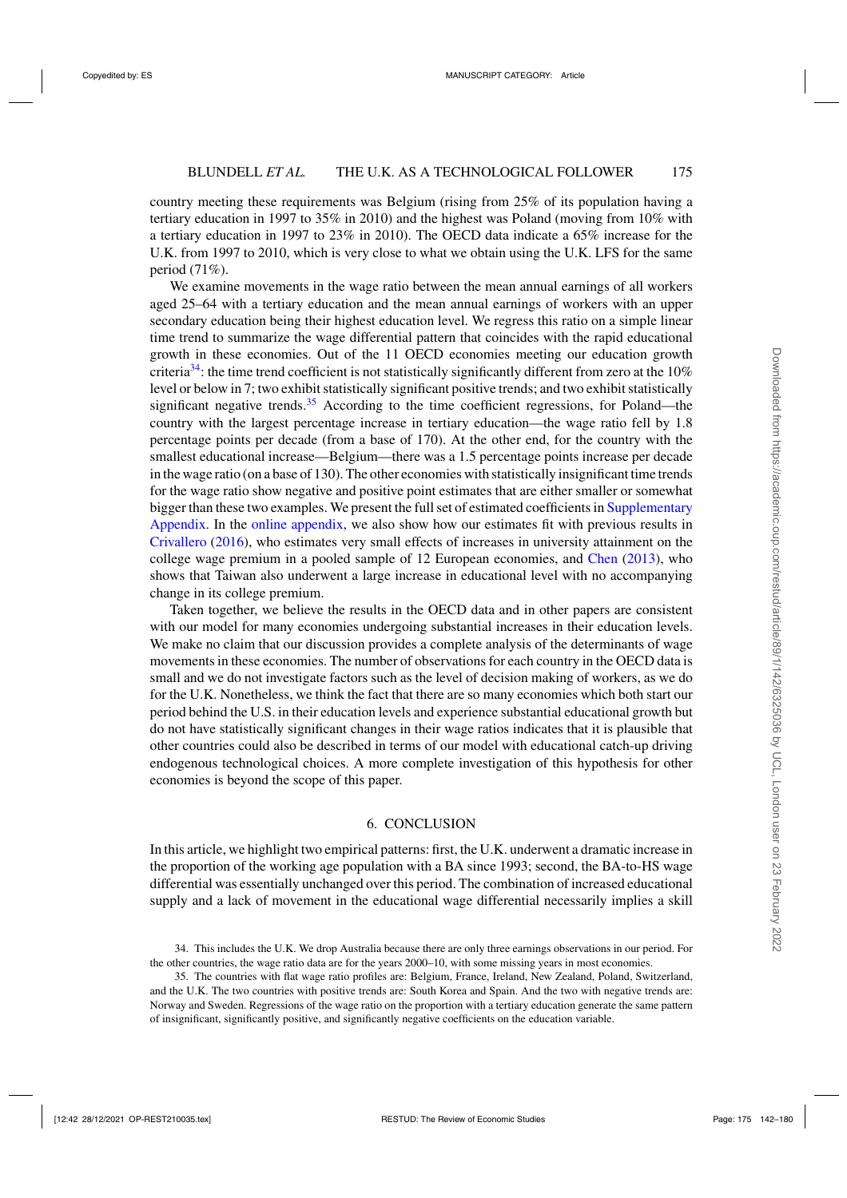country meeting these requirements was Belgium (rising from 25% of its population having a tertiary education in 1997 to 35% in 2010) and the highest was Poland (moving from 10% with a tertiary education in 1997 to 23% in 2010). The OECD data indicate a 65% increase for the U.K. from 1997 to 2010, which is very close to what we obtain using the U.K. LFS for the same period (71%).

We examine movements in the wage ratio between the mean annual earnings of all workers aged 25–64 with a tertiary education and the mean annual earnings of workers with an upper secondary education being their highest education level. We regress this ratio on a simple linear time trend to summarize the wage differential pattern that coincides with the rapid educational growth in these economies. Out of the 11 OECD economies meeting our education growth criteria<sup>34</sup>: the time trend coefficient is not statistically significantly different from zero at the 10% level or below in 7; two exhibit statistically significant positive trends; and two exhibit statistically significant negative trends.<sup>35</sup> According to the time coefficient regressions, for Poland—the country with the largest percentage increase in tertiary education—the wage ratio fell by 1.8 percentage points per decade (from a base of 170). At the other end, for the country with the smallest educational increase—Belgium—there was a 1.5 percentage points increase per decade in the wage ratio (on a base of 130). The other economies with statistically insignificant time trends for the wage ratio show negative and positive point estimates that are either smaller or somewhat bigger than these two examples. We present the full set of estimated coefficients in [Supplementary](https://academic.oup.com/restud/article-lookup/doi/10.1093/restud/rdab034#supplementary-data) [Appendix.](https://academic.oup.com/restud/article-lookup/doi/10.1093/restud/rdab034#supplementary-data) In the [online appendix,](https://academic.oup.com/restud/article-lookup/doi/10.1093/restud/rdab034#supplementary-data) we also show how our estimates fit with previous results in [Crivallero](#page-38-0) [\(2016\)](#page-38-0), who estimates very small effects of increases in university attainment on the college wage premium in a pooled sample of 12 European economies, and [Chen](#page-37-0) [\(2013\)](#page-37-0), who shows that Taiwan also underwent a large increase in educational level with no accompanying change in its college premium.

Taken together, we believe the results in the OECD data and in other papers are consistent with our model for many economies undergoing substantial increases in their education levels. We make no claim that our discussion provides a complete analysis of the determinants of wage movements in these economies. The number of observations for each country in the OECD data is small and we do not investigate factors such as the level of decision making of workers, as we do for the U.K. Nonetheless, we think the fact that there are so many economies which both start our period behind the U.S. in their education levels and experience substantial educational growth but do not have statistically significant changes in their wage ratios indicates that it is plausible that other countries could also be described in terms of our model with educational catch-up driving endogenous technological choices. A more complete investigation of this hypothesis for other economies is beyond the scope of this paper.

# 6. CONCLUSION

In this article, we highlight two empirical patterns: first, the U.K. underwent a dramatic increase in the proportion of the working age population with a BA since 1993; second, the BA-to-HS wage differential was essentially unchanged over this period. The combination of increased educational supply and a lack of movement in the educational wage differential necessarily implies a skill

<sup>34.</sup> This includes the U.K. We drop Australia because there are only three earnings observations in our period. For the other countries, the wage ratio data are for the years 2000–10, with some missing years in most economies.

<sup>35.</sup> The countries with flat wage ratio profiles are: Belgium, France, Ireland, New Zealand, Poland, Switzerland, and the U.K. The two countries with positive trends are: South Korea and Spain. And the two with negative trends are: Norway and Sweden. Regressions of the wage ratio on the proportion with a tertiary education generate the same pattern of insignificant, significantly positive, and significantly negative coefficients on the education variable.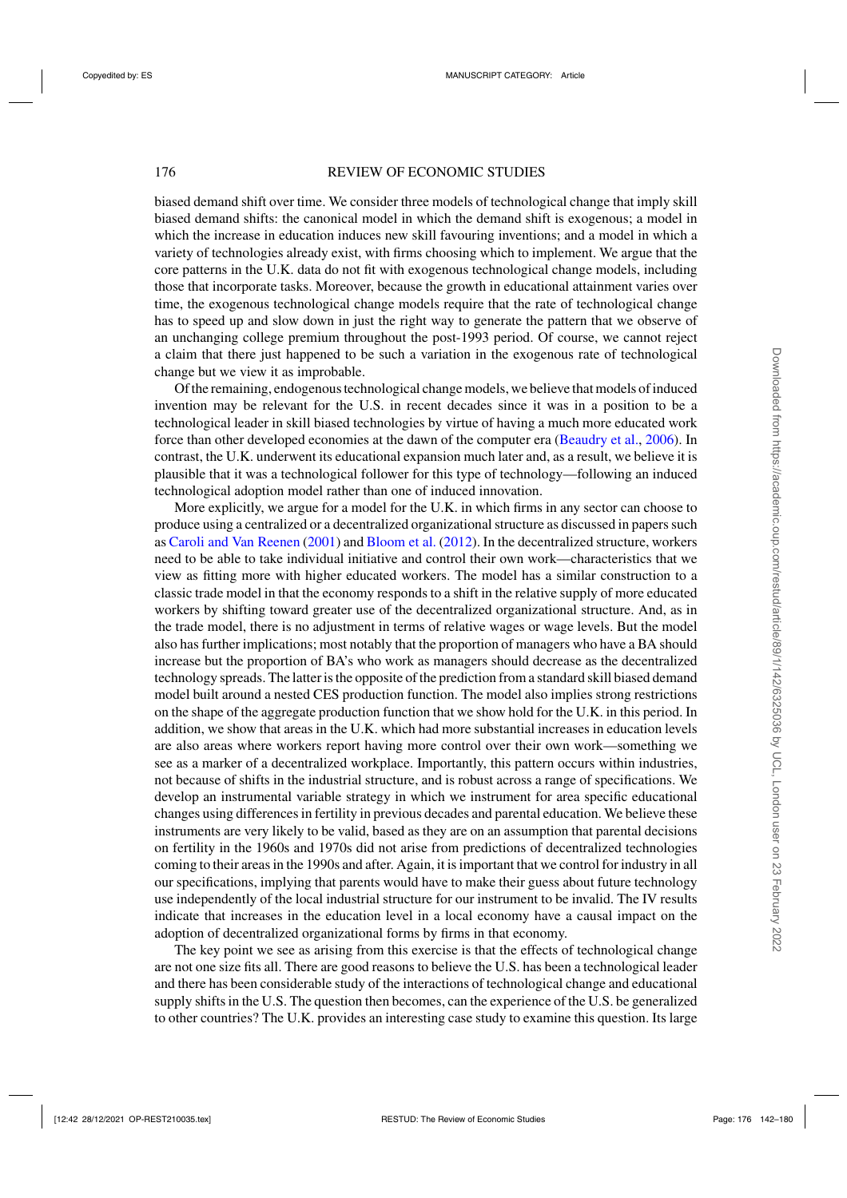# 176 REVIEW OF ECONOMIC STUDIES

biased demand shift over time. We consider three models of technological change that imply skill biased demand shifts: the canonical model in which the demand shift is exogenous; a model in which the increase in education induces new skill favouring inventions; and a model in which a variety of technologies already exist, with firms choosing which to implement. We argue that the core patterns in the U.K. data do not fit with exogenous technological change models, including those that incorporate tasks. Moreover, because the growth in educational attainment varies over time, the exogenous technological change models require that the rate of technological change has to speed up and slow down in just the right way to generate the pattern that we observe of an unchanging college premium throughout the post-1993 period. Of course, we cannot reject a claim that there just happened to be such a variation in the exogenous rate of technological change but we view it as improbable.

Of the remaining, endogenous technological change models, we believe that models of induced invention may be relevant for the U.S. in recent decades since it was in a position to be a technological leader in skill biased technologies by virtue of having a much more educated work force than other developed economies at the dawn of the computer era [\(Beaudry et al.,](#page-37-0) [2006\)](#page-37-0). In contrast, the U.K. underwent its educational expansion much later and, as a result, we believe it is plausible that it was a technological follower for this type of technology—following an induced technological adoption model rather than one of induced innovation.

More explicitly, we argue for a model for the U.K. in which firms in any sector can choose to produce using a centralized or a decentralized organizational structure as discussed in papers such as [Caroli and Van Reenen](#page-37-0) [\(2001](#page-37-0)) and [Bloom et al.](#page-37-0) [\(2012\)](#page-37-0). In the decentralized structure, workers need to be able to take individual initiative and control their own work—characteristics that we view as fitting more with higher educated workers. The model has a similar construction to a classic trade model in that the economy responds to a shift in the relative supply of more educated workers by shifting toward greater use of the decentralized organizational structure. And, as in the trade model, there is no adjustment in terms of relative wages or wage levels. But the model also has further implications; most notably that the proportion of managers who have a BA should increase but the proportion of BA's who work as managers should decrease as the decentralized technology spreads. The latter is the opposite of the prediction from a standard skill biased demand model built around a nested CES production function. The model also implies strong restrictions on the shape of the aggregate production function that we show hold for the U.K. in this period. In addition, we show that areas in the U.K. which had more substantial increases in education levels are also areas where workers report having more control over their own work—something we see as a marker of a decentralized workplace. Importantly, this pattern occurs within industries, not because of shifts in the industrial structure, and is robust across a range of specifications. We develop an instrumental variable strategy in which we instrument for area specific educational changes using differences in fertility in previous decades and parental education. We believe these instruments are very likely to be valid, based as they are on an assumption that parental decisions on fertility in the 1960s and 1970s did not arise from predictions of decentralized technologies coming to their areas in the 1990s and after. Again, it is important that we control for industry in all our specifications, implying that parents would have to make their guess about future technology use independently of the local industrial structure for our instrument to be invalid. The IV results indicate that increases in the education level in a local economy have a causal impact on the adoption of decentralized organizational forms by firms in that economy.

The key point we see as arising from this exercise is that the effects of technological change are not one size fits all. There are good reasons to believe the U.S. has been a technological leader and there has been considerable study of the interactions of technological change and educational supply shifts in the U.S. The question then becomes, can the experience of the U.S. be generalized to other countries? The U.K. provides an interesting case study to examine this question. Its large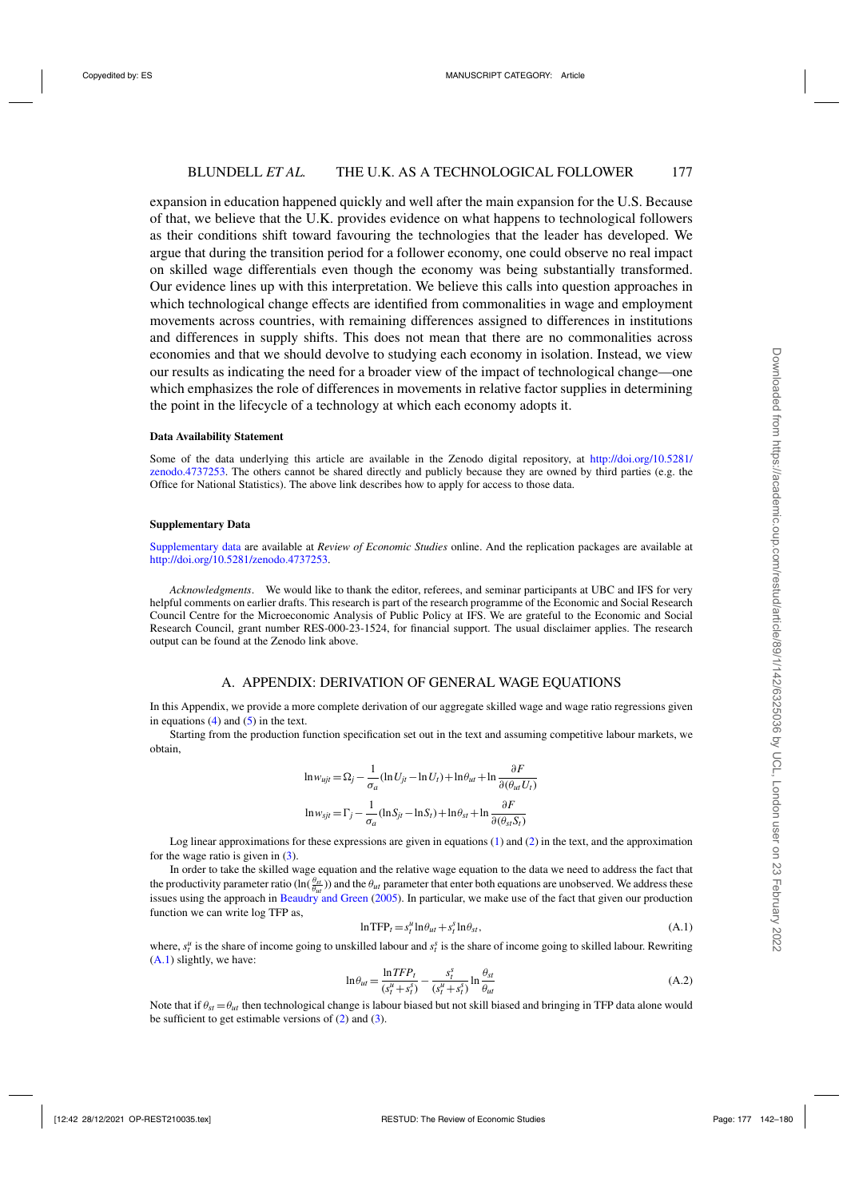<span id="page-35-0"></span>expansion in education happened quickly and well after the main expansion for the U.S. Because of that, we believe that the U.K. provides evidence on what happens to technological followers as their conditions shift toward favouring the technologies that the leader has developed. We argue that during the transition period for a follower economy, one could observe no real impact on skilled wage differentials even though the economy was being substantially transformed. Our evidence lines up with this interpretation. We believe this calls into question approaches in which technological change effects are identified from commonalities in wage and employment movements across countries, with remaining differences assigned to differences in institutions and differences in supply shifts. This does not mean that there are no commonalities across economies and that we should devolve to studying each economy in isolation. Instead, we view our results as indicating the need for a broader view of the impact of technological change—one which emphasizes the role of differences in movements in relative factor supplies in determining the point in the lifecycle of a technology at which each economy adopts it.

#### **Data Availability Statement**

Some of the data underlying this article are available in the Zenodo digital repository, at [http://doi.org/10.5281/](http://doi.org/10.5281/zenodo.4737253) [zenodo.4737253.](http://doi.org/10.5281/zenodo.4737253) The others cannot be shared directly and publicly because they are owned by third parties (e.g. the Office for National Statistics). The above link describes how to apply for access to those data.

#### **Supplementary Data**

[Supplementary data](https://academic.oup.com/restud/article-lookup/doi/10.1093/restud/rdab034#supplementary-data) are available at *Review of Economic Studies* online. And the replication packages are available at [http://doi.org/10.5281/zenodo.4737253.](http://doi.org/10.5281/zenodo.4737253)

*Acknowledgments*. We would like to thank the editor, referees, and seminar participants at UBC and IFS for very helpful comments on earlier drafts. This research is part of the research programme of the Economic and Social Research Council Centre for the Microeconomic Analysis of Public Policy at IFS. We are grateful to the Economic and Social Research Council, grant number RES-000-23-1524, for financial support. The usual disclaimer applies. The research output can be found at the Zenodo link above.

## A. APPENDIX: DERIVATION OF GENERAL WAGE EQUATIONS

In this Appendix, we provide a more complete derivation of our aggregate skilled wage and wage ratio regressions given in equations  $(4)$  and  $(5)$  in the text.

Starting from the production function specification set out in the text and assuming competitive labour markets, we obtain,

$$
\ln w_{ujt} = \Omega_j - \frac{1}{\sigma_a} (\ln U_{jt} - \ln U_t) + \ln \theta_{ut} + \ln \frac{\partial F}{\partial (\theta_{ut} U_t)}
$$

$$
\ln w_{sjt} = \Gamma_j - \frac{1}{\sigma_a} (\ln S_{jt} - \ln S_t) + \ln \theta_{st} + \ln \frac{\partial F}{\partial (\theta_{st} S_t)}
$$

Log linear approximations for these expressions are given in equations [\(1\)](#page-12-0) and [\(2\)](#page-12-0) in the text, and the approximation for the wage ratio is given in  $(3)$ .

In order to take the skilled wage equation and the relative wage equation to the data we need to address the fact that the productivity parameter ratio  $(\ln(\frac{\theta_{st}}{\theta_{ut}}))$  and the  $\theta_{ut}$  parameter that enter both equations are unobserved. We address these issues using the approach in [Beaudry and Green](#page-37-0) [\(2005\)](#page-37-0). In particular, we make use of the fact that given our production function we can write log TFP as,

$$
\ln \text{TPP}_t = s_t^u \ln \theta_{ut} + s_t^s \ln \theta_{st},\tag{A.1}
$$

where,  $s_t^u$  is the share of income going to unskilled labour and  $s_t^s$  is the share of income going to skilled labour. Rewriting (A.1) slightly, we have:

$$
\ln \theta_{ut} = \frac{\ln TFP_t}{(s_t^u + s_t^s)} - \frac{s_t^s}{(s_t^u + s_t^s)} \ln \frac{\theta_{st}}{\theta_{ut}}
$$
(A.2)

Note that if  $\theta_{\rm st} = \theta_{\rm ut}$  then technological change is labour biased but not skill biased and bringing in TFP data alone would be sufficient to get estimable versions of  $(2)$  and  $(3)$ .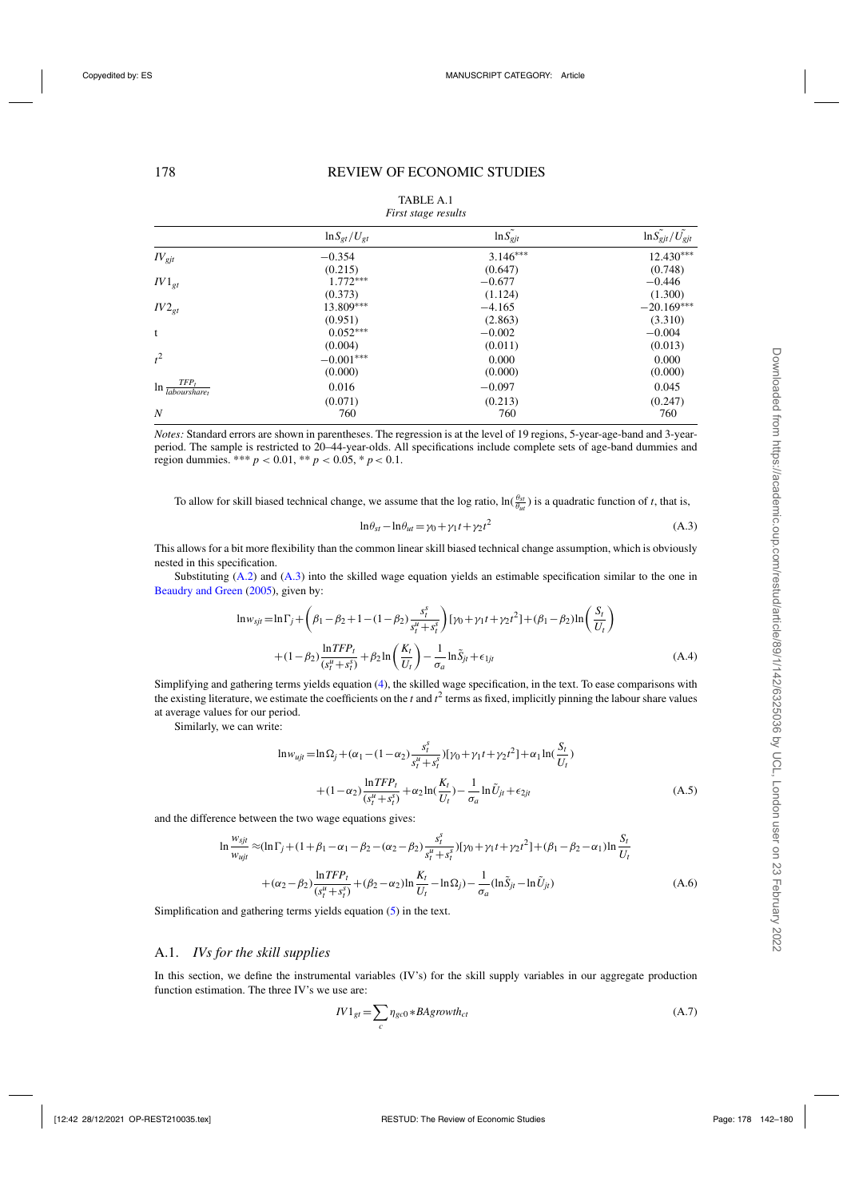<span id="page-36-0"></span>

|                                                             |                     | $\cdot$       |                               |
|-------------------------------------------------------------|---------------------|---------------|-------------------------------|
|                                                             | $\ln S_{gt}/U_{gt}$ | $\ln S_{gjt}$ | $\ln S_{gjt}/\tilde{U_{gjt}}$ |
| $IV_{\text{gjt}}$                                           | $-0.354$            | $3.146***$    | $12.430***$                   |
|                                                             | (0.215)             | (0.647)       | (0.748)                       |
| $IV1_{gt}$                                                  | $1.772***$          | $-0.677$      | $-0.446$                      |
|                                                             | (0.373)             | (1.124)       | (1.300)                       |
| $IV2_{gt}$                                                  | 13.809***           | $-4.165$      | $-20.169***$                  |
|                                                             | (0.951)             | (2.863)       | (3.310)                       |
| t                                                           | $0.052***$          | $-0.002$      | $-0.004$                      |
|                                                             | (0.004)             | (0.011)       | (0.013)                       |
| $t^2$                                                       | $-0.001***$         | 0.000         | 0.000                         |
|                                                             | (0.000)             | (0.000)       | (0.000)                       |
| $TFP_t$<br>$\ln \frac{1}{\textit{labours} \textit{hare}_t}$ | 0.016               | $-0.097$      | 0.045                         |
|                                                             | (0.071)             | (0.213)       | (0.247)                       |
| $\boldsymbol{N}$                                            | 760                 | 760           | 760                           |

| <b>TABLE A.1</b> |                     |
|------------------|---------------------|
|                  | First stage results |

*Notes:* Standard errors are shown in parentheses. The regression is at the level of 19 regions, 5-year-age-band and 3-yearperiod. The sample is restricted to 20–44-year-olds. All specifications include complete sets of age-band dummies and region dummies. \*\*\* *p* < 0.01, \*\* *p* < 0.05, \* *p*< 0.1.

To allow for skill biased technical change, we assume that the log ratio,  $\ln(\frac{\theta_{st}}{\theta_{ut}})$  is a quadratic function of *t*, that is,

$$
ln \theta_{st} - ln \theta_{ut} = \gamma_0 + \gamma_1 t + \gamma_2 t^2
$$
\n(A.3)

This allows for a bit more flexibility than the common linear skill biased technical change assumption, which is obviously nested in this specification.

Substituting [\(A.2\)](#page-35-0) and (A.3) into the skilled wage equation yields an estimable specification similar to the one in [Beaudry and Green](#page-37-0) [\(2005](#page-37-0)), given by:

$$
\ln w_{sjt} = \ln \Gamma_j + \left(\beta_1 - \beta_2 + 1 - (1 - \beta_2) \frac{s_t^s}{s_t^u + s_t^s}\right) [\gamma_0 + \gamma_1 t + \gamma_2 t^2] + (\beta_1 - \beta_2) \ln \left(\frac{S_t}{U_t}\right) + (1 - \beta_2) \frac{\ln TFP_t}{(s_t^u + s_t^s)} + \beta_2 \ln \left(\frac{K_t}{U_t}\right) - \frac{1}{\sigma_a} \ln \tilde{S}_{jt} + \epsilon_{1jt}
$$
\n(A.4)

Simplifying and gathering terms yields equation [\(4\)](#page-13-0), the skilled wage specification, in the text. To ease comparisons with the existing literature, we estimate the coefficients on the  $t$  and  $t^2$  terms as fixed, implicitly pinning the labour share values at average values for our period.

Similarly, we can write:

$$
\ln w_{ujt} = \ln \Omega_j + (\alpha_1 - (1 - \alpha_2) \frac{s_t^s}{s_t^u + s_t^s}) [\gamma_0 + \gamma_1 t + \gamma_2 t^2] + \alpha_1 \ln(\frac{S_t}{U_t})
$$
  
+  $(1 - \alpha_2) \frac{\ln TFP_t}{(s_t^u + s_t^s)} + \alpha_2 \ln(\frac{K_t}{U_t}) - \frac{1}{\sigma_a} \ln \tilde{U}_{jt} + \epsilon_{2jt}$  (A.5)

and the difference between the two wage equations gives:

$$
\ln \frac{w_{sjt}}{w_{ujt}} \approx (\ln \Gamma_j + (1 + \beta_1 - \alpha_1 - \beta_2 - (\alpha_2 - \beta_2) \frac{s_t^s}{s_t^u + s_t^s}) [\gamma_0 + \gamma_1 t + \gamma_2 t^2] + (\beta_1 - \beta_2 - \alpha_1) \ln \frac{S_t}{U_t}
$$
  
+  $(\alpha_2 - \beta_2) \frac{\ln TFP_t}{(s_t^u + s_t^s)} + (\beta_2 - \alpha_2) \ln \frac{K_t}{U_t} - \ln \Omega_j - \frac{1}{\sigma_a} (\ln \tilde{S}_{jt} - \ln \tilde{U}_{jt})$  (A.6)

Simplification and gathering terms yields equation [\(5\)](#page-13-0) in the text.

# A.1. *IVs for the skill supplies*

In this section, we define the instrumental variables (IV's) for the skill supply variables in our aggregate production function estimation. The three IV's we use are:

$$
IV1_{gt} = \sum_{c} \eta_{gc0} * BAgrowth_{ct}
$$
\n(A.7)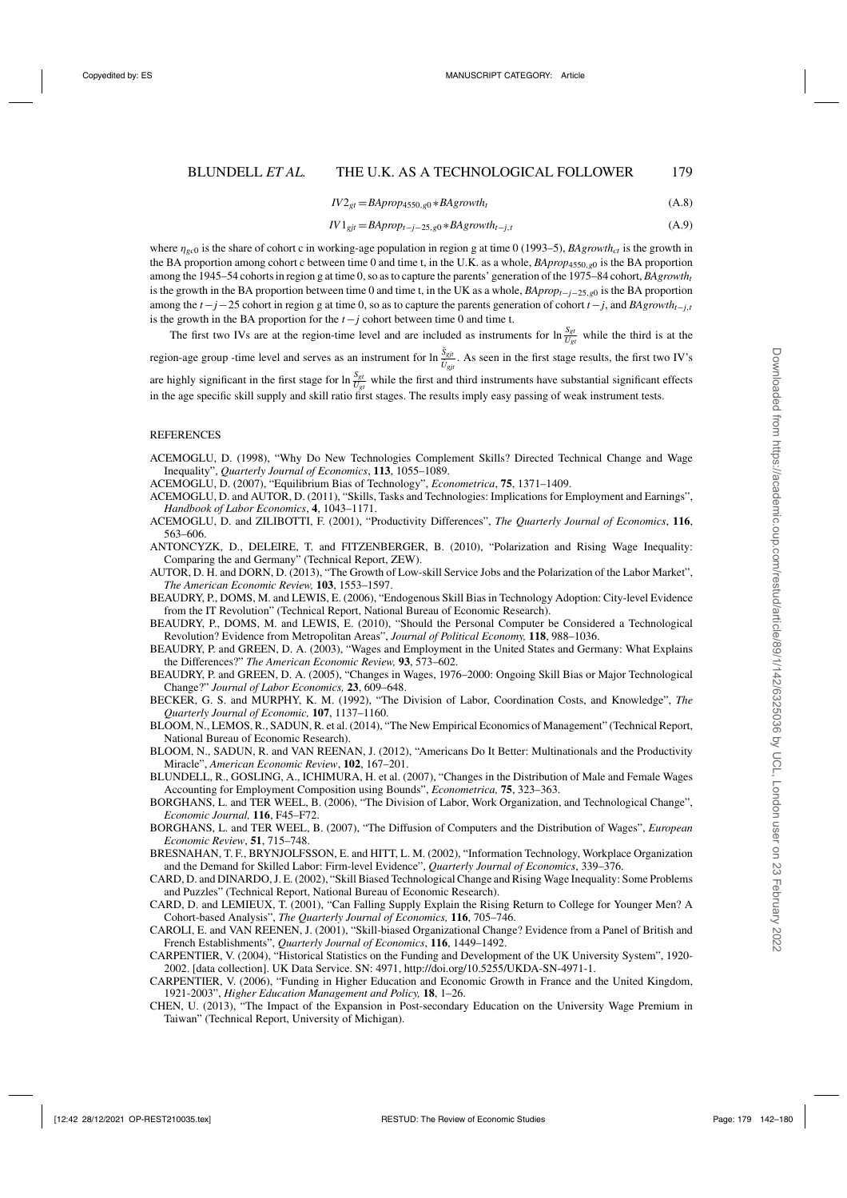$$
IV2_{gt} = BAprop_{4550,g0} * BAgrowth_t
$$
\n(A.8)

$$
IV1_{gjt} = BAprop_{t-j-25,g0} * BAgrowth_{t-j,t}
$$
\n(A.9)

<span id="page-37-0"></span>where  $\eta_{\alpha c0}$  is the share of cohort c in working-age population in region g at time 0 (1993–5), *BAgrowth<sub>ct</sub>* is the growth in the BA proportion among cohort c between time 0 and time t, in the U.K. as a whole, *BAprop*4550,*g*<sup>0</sup> is the BA proportion among the 1945–54 cohorts in region g at time 0, so as to capture the parents' generation of the 1975–84 cohort, *BAgrowtht* is the growth in the BA proportion between time 0 and time t, in the UK as a whole, *BApropt*−*j*−25,*g*<sup>0</sup> is the BA proportion among the *t*−*j*−25 cohort in region g at time 0, so as to capture the parents generation of cohort *t*−*j*, and *BAgrowtht*−*j*,*<sup>t</sup>* is the growth in the BA proportion for the *t*−*j* cohort between time 0 and time t.

The first two IVs are at the region-time level and are included as instruments for  $\ln \frac{S_{gt}}{U_{gt}}$  while the third is at the

region-age group -time level and serves as an instrument for  $\ln \frac{S_{glt}}{\tilde{U}_{gjt}}$ . As seen in the first stage results, the first two IV's

are highly significant in the first stage for  $\ln \frac{S_{gt}}{U_{gt}}$  while the first and third instruments have substantial significant effects in the age specific skill supply and skill ratio first stages. The results imply easy passing of weak instrument tests.

#### **REFERENCES**

- ACEMOGLU, D. (1998), "Why Do New Technologies Complement Skills? Directed Technical Change and Wage Inequality", *Quarterly Journal of Economics*, **113**, 1055–1089.
- ACEMOGLU, D. (2007), "Equilibrium Bias of Technology", *Econometrica*, **75**, 1371–1409.
- ACEMOGLU, D. and AUTOR, D. (2011), "Skills, Tasks and Technologies: Implications for Employment and Earnings", *Handbook of Labor Economics*, **4**, 1043–1171.
- ACEMOGLU, D. and ZILIBOTTI, F. (2001), "Productivity Differences", *The Quarterly Journal of Economics*, **116**, 563–606.
- ANTONCYZK, D., DELEIRE, T. and FITZENBERGER, B. (2010), "Polarization and Rising Wage Inequality: Comparing the and Germany" (Technical Report, ZEW).
- AUTOR, D. H. and DORN, D. (2013), "The Growth of Low-skill Service Jobs and the Polarization of the Labor Market", *The American Economic Review,* **103**, 1553–1597.
- BEAUDRY, P., DOMS, M. and LEWIS, E. (2006), "Endogenous Skill Bias in Technology Adoption: City-level Evidence from the IT Revolution" (Technical Report, National Bureau of Economic Research).
- BEAUDRY, P., DOMS, M. and LEWIS, E. (2010), "Should the Personal Computer be Considered a Technological Revolution? Evidence from Metropolitan Areas", *Journal of Political Economy,* **118**, 988–1036.
- BEAUDRY, P. and GREEN, D. A. (2003), "Wages and Employment in the United States and Germany: What Explains the Differences?" *The American Economic Review,* **93**, 573–602.
- BEAUDRY, P. and GREEN, D. A. (2005), "Changes in Wages, 1976–2000: Ongoing Skill Bias or Major Technological Change?" *Journal of Labor Economics,* **23**, 609–648.
- BECKER, G. S. and MURPHY, K. M. (1992), "The Division of Labor, Coordination Costs, and Knowledge", *The Quarterly Journal of Economic,* **107**, 1137–1160.
- BLOOM, N., LEMOS, R., SADUN, R. et al. (2014), "The New Empirical Economics of Management" (Technical Report, National Bureau of Economic Research).
- BLOOM, N., SADUN, R. and VAN REENAN, J. (2012), "Americans Do It Better: Multinationals and the Productivity Miracle", *American Economic Review*, **102**, 167–201.
- BLUNDELL, R., GOSLING, A., ICHIMURA, H. et al. (2007), "Changes in the Distribution of Male and Female Wages Accounting for Employment Composition using Bounds", *Econometrica,* **75**, 323–363.
- BORGHANS, L. and TER WEEL, B. (2006), "The Division of Labor, Work Organization, and Technological Change", *Economic Journal,* **116**, F45–F72.
- BORGHANS, L. and TER WEEL, B. (2007), "The Diffusion of Computers and the Distribution of Wages", *European Economic Review*, **51**, 715–748.
- BRESNAHAN, T. F., BRYNJOLFSSON, E. and HITT, L. M. (2002), "Information Technology, Workplace Organization and the Demand for Skilled Labor: Firm-level Evidence", *Quarterly Journal of Economics*, 339–376.
- CARD, D. and DINARDO, J. E. (2002), "Skill Biased Technological Change and Rising Wage Inequality: Some Problems and Puzzles" (Technical Report, National Bureau of Economic Research).
- CARD, D. and LEMIEUX, T. (2001), "Can Falling Supply Explain the Rising Return to College for Younger Men? A Cohort-based Analysis", *The Quarterly Journal of Economics,* **116**, 705–746.
- CAROLI, E. and VAN REENEN, J. (2001), "Skill-biased Organizational Change? Evidence from a Panel of British and French Establishments", *Quarterly Journal of Economics*, **116**, 1449–1492.
- CARPENTIER, V. (2004), "Historical Statistics on the Funding and Development of the UK University System", 1920- 2002. [data collection]. UK Data Service. SN: 4971, http://doi.org/10.5255/UKDA-SN-4971-1.
- CARPENTIER, V. (2006), "Funding in Higher Education and Economic Growth in France and the United Kingdom, 1921-2003", *Higher Education Management and Policy,* **18**, 1–26.
- CHEN, U. (2013), "The Impact of the Expansion in Post-secondary Education on the University Wage Premium in Taiwan" (Technical Report, University of Michigan).